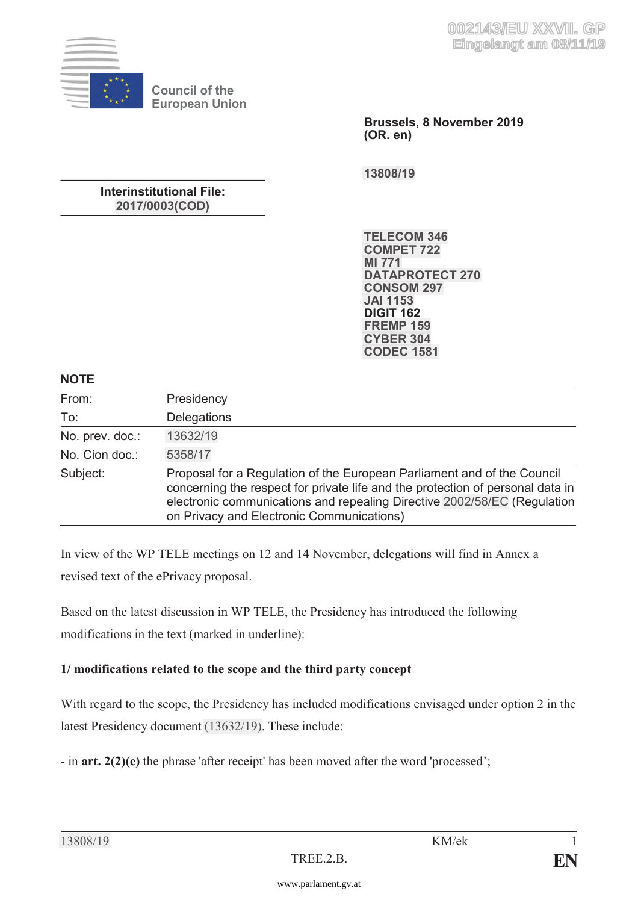

**Council of the European Union**

> **Brussels, 8 November 2019 (OR. en)**

**[13808/19](https://www.parlament.gv.at/pls/portal/le.link?gp=XXVII&ityp=EU&inr=2143&code1=RAT&code2=&gruppen=Link:13808/19;Nr:13808;Year:19&comp=13808%7C2019%7C)** 

## **Interinstitutional File: [2017/0003\(COD\)](https://www.parlament.gv.at/pls/portal/le.link?gp=XXVII&ityp=EU&inr=2143&code1=INT&code2=&gruppen=Year:2017;Nr:0003;Code:COD&comp=0003%7C2017%7C)**

**[TELECOM 346](https://www.parlament.gv.at/pls/portal/le.link?gp=XXVII&ityp=EU&inr=2143&code1=RMA&code2=&gruppen=Link:TELECOM%20346;Code:TELECOM;Nr:346&comp=TELECOM%7C346%7C) [COMPET 722](https://www.parlament.gv.at/pls/portal/le.link?gp=XXVII&ityp=EU&inr=2143&code1=RMA&code2=&gruppen=Link:COMPET%20722;Code:COMPET;Nr:722&comp=COMPET%7C722%7C) [MI 771](https://www.parlament.gv.at/pls/portal/le.link?gp=XXVII&ityp=EU&inr=2143&code1=RMA&code2=&gruppen=Link:MI%20771;Code:MI;Nr:771&comp=MI%7C771%7C) [DATAPROTECT 270](https://www.parlament.gv.at/pls/portal/le.link?gp=XXVII&ityp=EU&inr=2143&code1=RMA&code2=&gruppen=Link:DATAPROTECT%20270;Code:DATAPROTECT;Nr:270&comp=DATAPROTECT%7C270%7C) [CONSOM 297](https://www.parlament.gv.at/pls/portal/le.link?gp=XXVII&ityp=EU&inr=2143&code1=RMA&code2=&gruppen=Link:CONSOM%20297;Code:CONSOM;Nr:297&comp=CONSOM%7C297%7C) [JAI 1153](https://www.parlament.gv.at/pls/portal/le.link?gp=XXVII&ityp=EU&inr=2143&code1=RMA&code2=&gruppen=Link:JAI%201153;Code:JAI;Nr:1153&comp=JAI%7C1153%7C) DIGIT 162 [FREMP 159](https://www.parlament.gv.at/pls/portal/le.link?gp=XXVII&ityp=EU&inr=2143&code1=RMA&code2=&gruppen=Link:FREMP%20159;Code:FREMP;Nr:159&comp=FREMP%7C159%7C) [CYBER 304](https://www.parlament.gv.at/pls/portal/le.link?gp=XXVII&ityp=EU&inr=2143&code1=RMA&code2=&gruppen=Link:CYBER%20304;Code:CYBER;Nr:304&comp=CYBER%7C304%7C) [CODEC 1581](https://www.parlament.gv.at/pls/portal/le.link?gp=XXVII&ityp=EU&inr=2143&code1=RMA&code2=&gruppen=Link:CODEC%201581;Code:CODEC;Nr:1581&comp=CODEC%7C1581%7C)** 

## **NOTE**

| From:           | Presidency                                                                                                                                                                                                                                                                         |
|-----------------|------------------------------------------------------------------------------------------------------------------------------------------------------------------------------------------------------------------------------------------------------------------------------------|
| To:             | <b>Delegations</b>                                                                                                                                                                                                                                                                 |
| No. prev. doc.: | 13632/19                                                                                                                                                                                                                                                                           |
| No. Cion doc.:  | 5358/17                                                                                                                                                                                                                                                                            |
| Subject:        | Proposal for a Regulation of the European Parliament and of the Council<br>concerning the respect for private life and the protection of personal data in<br>electronic communications and repealing Directive 2002/58/EC (Regulation<br>on Privacy and Electronic Communications) |

In view of the WP TELE meetings on 12 and 14 November, delegations will find in Annex a revised text of the ePrivacy proposal.

Based on the latest discussion in WP TELE, the Presidency has introduced the following modifications in the text (marked in underline):

# **1/ modifications related to the scope and the third party concept**

With regard to the scope, the Presidency has included modifications envisaged under option 2 in the latest Presidency document [\(13632/19\)](https://www.parlament.gv.at/pls/portal/le.link?gp=XXVII&ityp=EU&inr=2143&code1=RAT&code2=&gruppen=Link:13632/19;Nr:13632;Year:19&comp=13632%7C2019%7C). These include:

- in **art. 2(2)(e)** the phrase 'after receipt' has been moved after the word 'processed';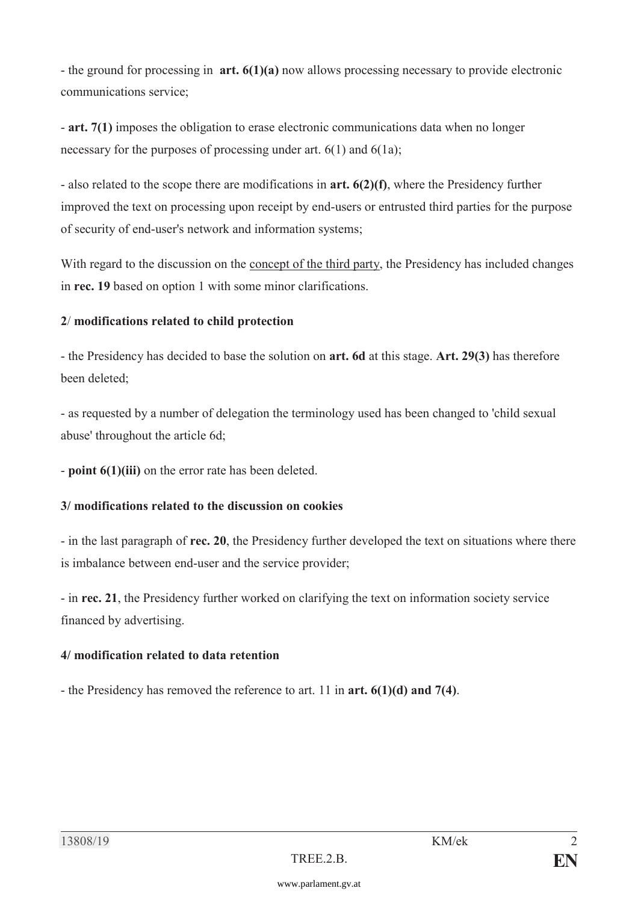- the ground for processing in **art. 6(1)(a)** now allows processing necessary to provide electronic communications service;

- **art. 7(1)** imposes the obligation to erase electronic communications data when no longer necessary for the purposes of processing under art. 6(1) and 6(1a);

- also related to the scope there are modifications in **art. 6(2)(f)**, where the Presidency further improved the text on processing upon receipt by end-users or entrusted third parties for the purpose of security of end-user's network and information systems;

With regard to the discussion on the concept of the third party, the Presidency has included changes in **rec. 19** based on option 1 with some minor clarifications.

### **2**/ **modifications related to child protection**

- the Presidency has decided to base the solution on **art. 6d** at this stage. **Art. 29(3)** has therefore been deleted;

- as requested by a number of delegation the terminology used has been changed to 'child sexual abuse' throughout the article 6d;

- **point 6(1)(iii)** on the error rate has been deleted.

### **3/ modifications related to the discussion on cookies**

- in the last paragraph of **rec. 20**, the Presidency further developed the text on situations where there is imbalance between end-user and the service provider;

- in **rec. 21**, the Presidency further worked on clarifying the text on information society service financed by advertising.

# **4/ modification related to data retention**

- the Presidency has removed the reference to art. 11 in **art. 6(1)(d) and 7(4)**.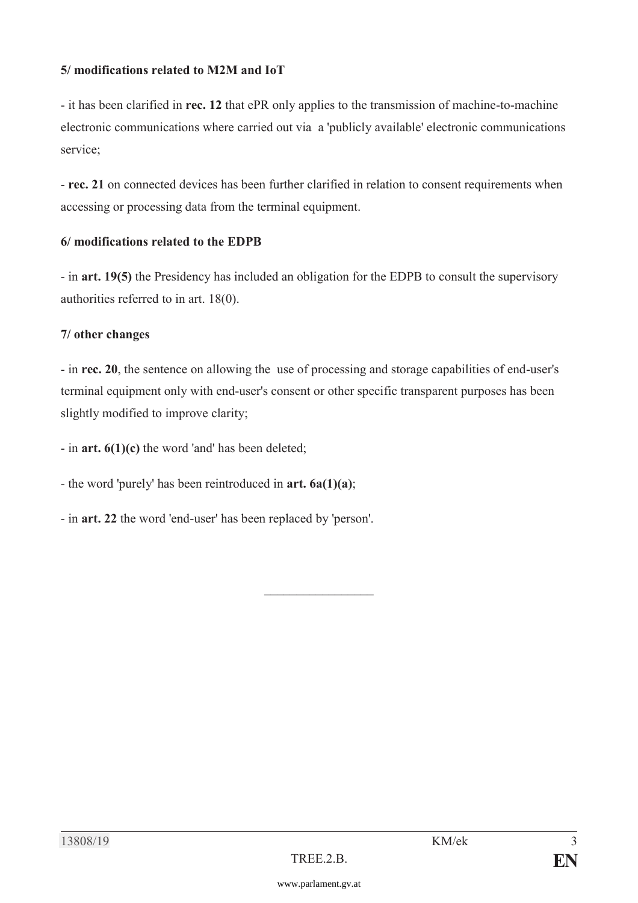### **5/ modifications related to M2M and IoT**

- it has been clarified in **rec. 12** that ePR only applies to the transmission of machine-to-machine electronic communications where carried out via a 'publicly available' electronic communications service;

- **rec. 21** on connected devices has been further clarified in relation to consent requirements when accessing or processing data from the terminal equipment.

#### **6/ modifications related to the EDPB**

- in **art. 19(5)** the Presidency has included an obligation for the EDPB to consult the supervisory authorities referred to in art. 18(0).

#### **7/ other changes**

- in **rec. 20**, the sentence on allowing the use of processing and storage capabilities of end-user's terminal equipment only with end-user's consent or other specific transparent purposes has been slightly modified to improve clarity;

 $\mathcal{L}_\text{max}$ 

- in **art. 6(1)(c)** the word 'and' has been deleted;

- the word 'purely' has been reintroduced in **art. 6a(1)(a)**;

- in **art. 22** the word 'end-user' has been replaced by 'person'.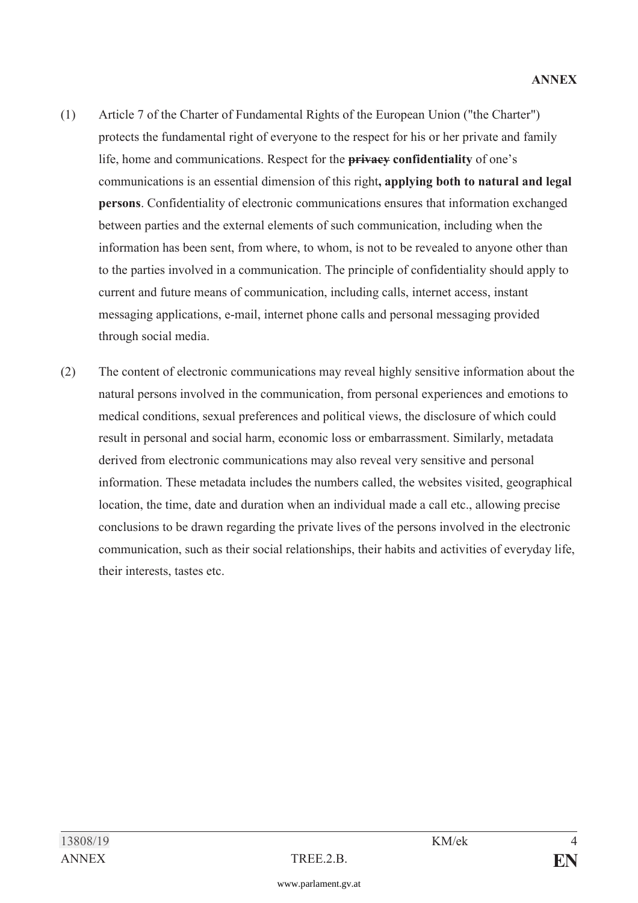- (1) Article 7 of the Charter of Fundamental Rights of the European Union ("the Charter") protects the fundamental right of everyone to the respect for his or her private and family life, home and communications. Respect for the **privacy confidentiality** of one's communications is an essential dimension of this right**, applying both to natural and legal persons**. Confidentiality of electronic communications ensures that information exchanged between parties and the external elements of such communication, including when the information has been sent, from where, to whom, is not to be revealed to anyone other than to the parties involved in a communication. The principle of confidentiality should apply to current and future means of communication, including calls, internet access, instant messaging applications, e-mail, internet phone calls and personal messaging provided through social media.
- (2) The content of electronic communications may reveal highly sensitive information about the natural persons involved in the communication, from personal experiences and emotions to medical conditions, sexual preferences and political views, the disclosure of which could result in personal and social harm, economic loss or embarrassment. Similarly, metadata derived from electronic communications may also reveal very sensitive and personal information. These metadata includes the numbers called, the websites visited, geographical location, the time, date and duration when an individual made a call etc., allowing precise conclusions to be drawn regarding the private lives of the persons involved in the electronic communication, such as their social relationships, their habits and activities of everyday life, their interests, tastes etc.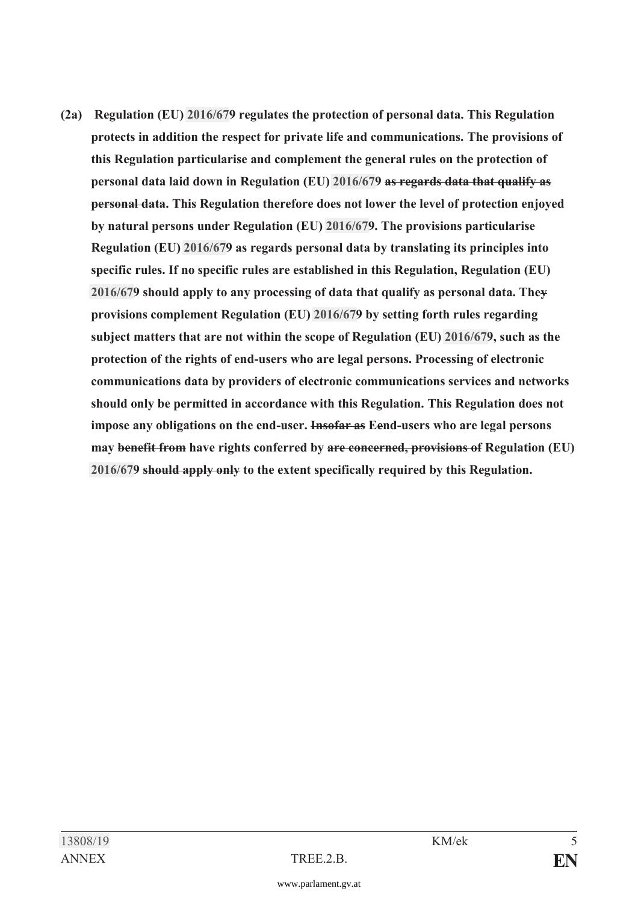**(2a) Regulation (EU) [2016/67](https://www.parlament.gv.at/pls/portal/le.link?gp=XXVII&ityp=EU&inr=2143&code1=VER&code2=&gruppen=Link:2016/67;Nr:2016;Year:67&comp=)9 regulates the protection of personal data. This Regulation protects in addition the respect for private life and communications. The provisions of this Regulation particularise and complement the general rules on the protection of personal data laid down in Regulation (EU) [2016/67](https://www.parlament.gv.at/pls/portal/le.link?gp=XXVII&ityp=EU&inr=2143&code1=VER&code2=&gruppen=Link:2016/67;Nr:2016;Year:67&comp=)9 as regards data that qualify as personal data. This Regulation therefore does not lower the level of protection enjoyed by natural persons under Regulation (EU) [2016/67](https://www.parlament.gv.at/pls/portal/le.link?gp=XXVII&ityp=EU&inr=2143&code1=VER&code2=&gruppen=Link:2016/67;Nr:2016;Year:67&comp=)9. The provisions particularise Regulation (EU) [2016/67](https://www.parlament.gv.at/pls/portal/le.link?gp=XXVII&ityp=EU&inr=2143&code1=VER&code2=&gruppen=Link:2016/67;Nr:2016;Year:67&comp=)9 as regards personal data by translating its principles into specific rules. If no specific rules are established in this Regulation, Regulation (EU) [2016/67](https://www.parlament.gv.at/pls/portal/le.link?gp=XXVII&ityp=EU&inr=2143&code1=VER&code2=&gruppen=Link:2016/67;Nr:2016;Year:67&comp=)9 should apply to any processing of data that qualify as personal data. They provisions complement Regulation (EU) [2016/67](https://www.parlament.gv.at/pls/portal/le.link?gp=XXVII&ityp=EU&inr=2143&code1=VER&code2=&gruppen=Link:2016/67;Nr:2016;Year:67&comp=)9 by setting forth rules regarding subject matters that are not within the scope of Regulation (EU) [2016/67](https://www.parlament.gv.at/pls/portal/le.link?gp=XXVII&ityp=EU&inr=2143&code1=VER&code2=&gruppen=Link:2016/67;Nr:2016;Year:67&comp=)9, such as the protection of the rights of end-users who are legal persons. Processing of electronic communications data by providers of electronic communications services and networks should only be permitted in accordance with this Regulation. This Regulation does not impose any obligations on the end-user. Insofar as Eend-users who are legal persons may benefit from have rights conferred by are concerned, provisions of Regulation (EU) [2016/67](https://www.parlament.gv.at/pls/portal/le.link?gp=XXVII&ityp=EU&inr=2143&code1=VER&code2=&gruppen=Link:2016/67;Nr:2016;Year:67&comp=)9 should apply only to the extent specifically required by this Regulation.**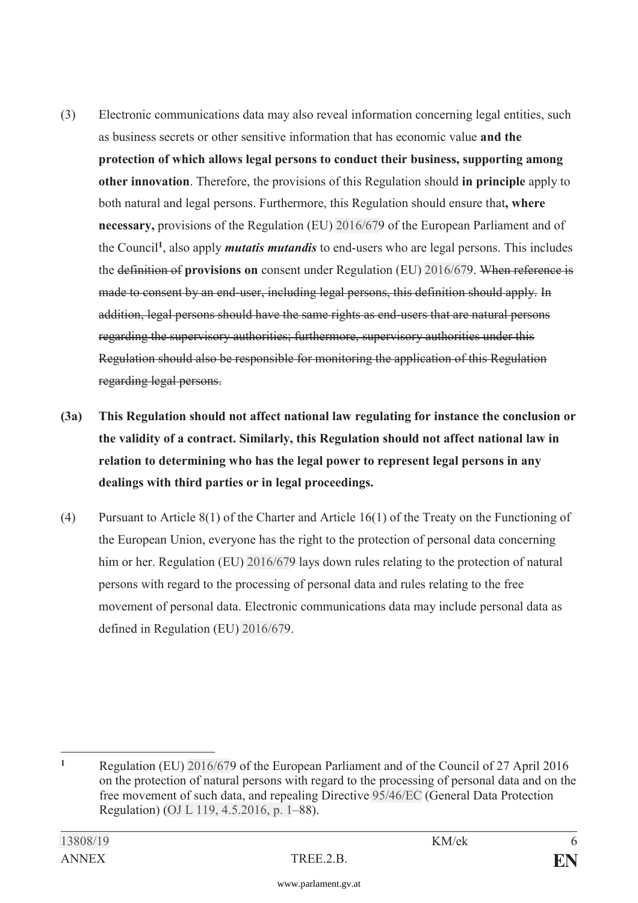- (3) Electronic communications data may also reveal information concerning legal entities, such as business secrets or other sensitive information that has economic value **and the protection of which allows legal persons to conduct their business, supporting among other innovation**. Therefore, the provisions of this Regulation should **in principle** apply to both natural and legal persons. Furthermore, this Regulation should ensure that**, where necessary,** provisions of the Regulation (EU) [2016/67](https://www.parlament.gv.at/pls/portal/le.link?gp=XXVII&ityp=EU&inr=2143&code1=VER&code2=&gruppen=Link:2016/67;Nr:2016;Year:67&comp=)9 of the European Parliament and of the Council**<sup>1</sup>**, also apply *mutatis mutandis* to end-users who are legal persons. This includes the definition of **provisions on** consent under Regulation (EU) [2016/67](https://www.parlament.gv.at/pls/portal/le.link?gp=XXVII&ityp=EU&inr=2143&code1=VER&code2=&gruppen=Link:2016/67;Nr:2016;Year:67&comp=)9. When reference is made to consent by an end-user, including legal persons, this definition should apply. In addition, legal persons should have the same rights as end-users that are natural persons regarding the supervisory authorities; furthermore, supervisory authorities under this Regulation should also be responsible for monitoring the application of this Regulation regarding legal persons.
- **(3a) This Regulation should not affect national law regulating for instance the conclusion or the validity of a contract. Similarly, this Regulation should not affect national law in relation to determining who has the legal power to represent legal persons in any dealings with third parties or in legal proceedings.**
- (4) Pursuant to Article 8(1) of the Charter and Article 16(1) of the Treaty on the Functioning of the European Union, everyone has the right to the protection of personal data concerning him or her. Regulation (EU) [2016/67](https://www.parlament.gv.at/pls/portal/le.link?gp=XXVII&ityp=EU&inr=2143&code1=VER&code2=&gruppen=Link:2016/67;Nr:2016;Year:67&comp=)9 lays down rules relating to the protection of natural persons with regard to the processing of personal data and rules relating to the free movement of personal data. Electronic communications data may include personal data as defined in Regulation (EU) [2016/67](https://www.parlament.gv.at/pls/portal/le.link?gp=XXVII&ityp=EU&inr=2143&code1=VER&code2=&gruppen=Link:2016/67;Nr:2016;Year:67&comp=)9.

 $\mathbf{1}$ **<sup>1</sup>** Regulation (EU) [2016/67](https://www.parlament.gv.at/pls/portal/le.link?gp=XXVII&ityp=EU&inr=2143&code1=VER&code2=&gruppen=Link:2016/67;Nr:2016;Year:67&comp=)9 of the European Parliament and of the Council of 27 April 2016 on the protection of natural persons with regard to the processing of personal data and on the free movement of such data, and repealing Directive [95/46/EC](https://www.parlament.gv.at/pls/portal/le.link?gp=XXVII&ityp=EU&inr=2143&code1=RIL&code2=&gruppen=Link:95/46/EC;Year:95;Nr:46&comp=) (General Data Protection Regulation) [\(OJ L 119, 4.5.2016, p. 1](https://www.parlament.gv.at/pls/portal/le.link?gp=XXVII&ityp=EU&inr=2143&code1=ABL&code2=&gruppen=Code:L;Nr:119;Day:4;Month:5;Year:2016;Page:1&comp=)–88).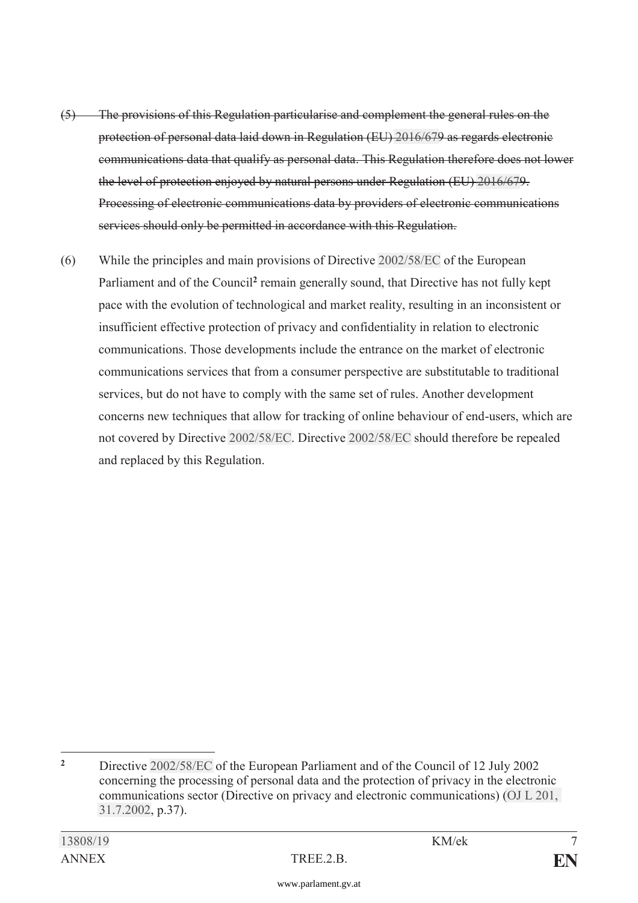- (5) The provisions of this Regulation particularise and complement the general rules on the protection of personal data laid down in Regulation (EU) [2016/67](https://www.parlament.gv.at/pls/portal/le.link?gp=XXVII&ityp=EU&inr=2143&code1=VER&code2=&gruppen=Link:2016/67;Nr:2016;Year:67&comp=)9 as regards electronic communications data that qualify as personal data. This Regulation therefore does not lower the level of protection enjoyed by natural persons under Regulation (EU) [2016/67](https://www.parlament.gv.at/pls/portal/le.link?gp=XXVII&ityp=EU&inr=2143&code1=VER&code2=&gruppen=Link:2016/67;Nr:2016;Year:67&comp=)9. Processing of electronic communications data by providers of electronic communications services should only be permitted in accordance with this Regulation.
- (6) While the principles and main provisions of Directive [2002/58/EC](https://www.parlament.gv.at/pls/portal/le.link?gp=XXVII&ityp=EU&inr=2143&code1=RIL&code2=&gruppen=Link:2002/58/EC;Year:2002;Nr:58&comp=) of the European Parliament and of the Council**<sup>2</sup>** remain generally sound, that Directive has not fully kept pace with the evolution of technological and market reality, resulting in an inconsistent or insufficient effective protection of privacy and confidentiality in relation to electronic communications. Those developments include the entrance on the market of electronic communications services that from a consumer perspective are substitutable to traditional services, but do not have to comply with the same set of rules. Another development concerns new techniques that allow for tracking of online behaviour of end-users, which are not covered by Directive [2002/58/EC](https://www.parlament.gv.at/pls/portal/le.link?gp=XXVII&ityp=EU&inr=2143&code1=RIL&code2=&gruppen=Link:2002/58/EC;Year:2002;Nr:58&comp=). Directive [2002/58/EC](https://www.parlament.gv.at/pls/portal/le.link?gp=XXVII&ityp=EU&inr=2143&code1=RIL&code2=&gruppen=Link:2002/58/EC;Year:2002;Nr:58&comp=) should therefore be repealed and replaced by this Regulation.

 $\overline{2}$ **<sup>2</sup>** Directive [2002/58/EC](https://www.parlament.gv.at/pls/portal/le.link?gp=XXVII&ityp=EU&inr=2143&code1=RIL&code2=&gruppen=Link:2002/58/EC;Year:2002;Nr:58&comp=) of the European Parliament and of the Council of 12 July 2002 concerning the processing of personal data and the protection of privacy in the electronic communications sector (Directive on privacy and electronic communications) [\(OJ L 201,](https://www.parlament.gv.at/pls/portal/le.link?gp=XXVII&ityp=EU&inr=2143&code1=ABL&code2=&gruppen=Code:L;Nr:201;Day:31;Month:7;Year:2002&comp=)  [31.7.2002](https://www.parlament.gv.at/pls/portal/le.link?gp=XXVII&ityp=EU&inr=2143&code1=ABL&code2=&gruppen=Code:L;Nr:201;Day:31;Month:7;Year:2002&comp=), p.37).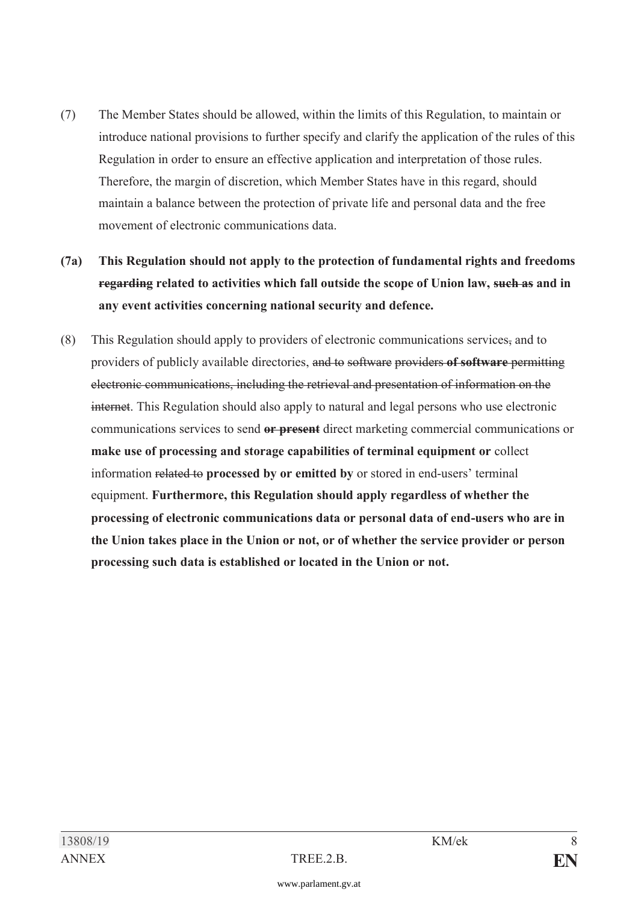- (7) The Member States should be allowed, within the limits of this Regulation, to maintain or introduce national provisions to further specify and clarify the application of the rules of this Regulation in order to ensure an effective application and interpretation of those rules. Therefore, the margin of discretion, which Member States have in this regard, should maintain a balance between the protection of private life and personal data and the free movement of electronic communications data.
- **(7a) This Regulation should not apply to the protection of fundamental rights and freedoms regarding related to activities which fall outside the scope of Union law, such as and in any event activities concerning national security and defence.**
- (8) This Regulation should apply to providers of electronic communications services, and to providers of publicly available directories, and to software providers **of software** permitting electronic communications, including the retrieval and presentation of information on the internet. This Regulation should also apply to natural and legal persons who use electronic communications services to send **or present** direct marketing commercial communications or **make use of processing and storage capabilities of terminal equipment or** collect information related to **processed by or emitted by** or stored in end-users' terminal equipment. **Furthermore, this Regulation should apply regardless of whether the processing of electronic communications data or personal data of end-users who are in the Union takes place in the Union or not, or of whether the service provider or person processing such data is established or located in the Union or not.**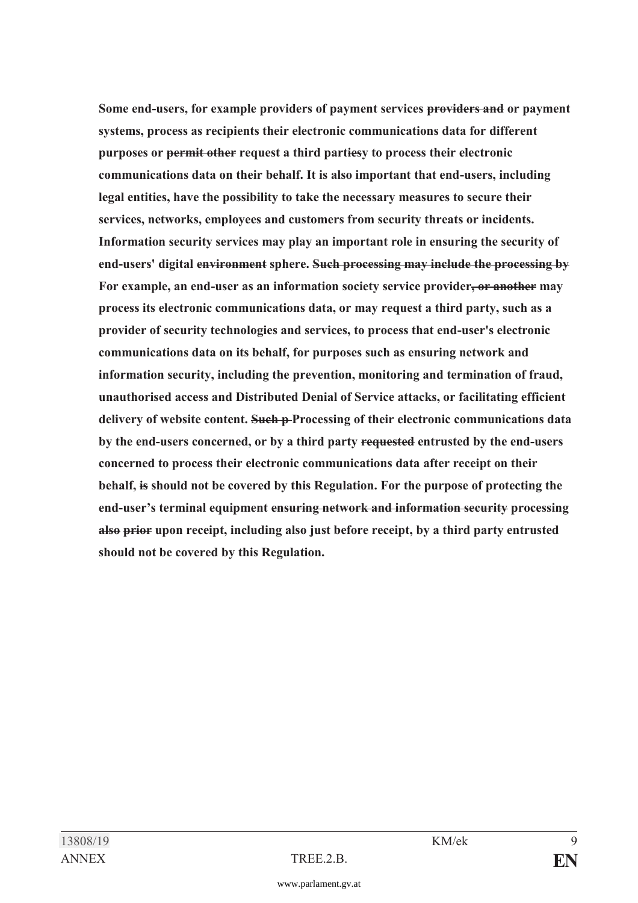**Some end-users, for example providers of payment services providers and or payment systems, process as recipients their electronic communications data for different purposes or permit other request a third partiesy to process their electronic communications data on their behalf. It is also important that end-users, including legal entities, have the possibility to take the necessary measures to secure their services, networks, employees and customers from security threats or incidents. Information security services may play an important role in ensuring the security of end-users' digital environment sphere. Such processing may include the processing by For example, an end-user as an information society service provider, or another may process its electronic communications data, or may request a third party, such as a provider of security technologies and services, to process that end-user's electronic communications data on its behalf, for purposes such as ensuring network and information security, including the prevention, monitoring and termination of fraud, unauthorised access and Distributed Denial of Service attacks, or facilitating efficient delivery of website content. Such p Processing of their electronic communications data by the end-users concerned, or by a third party requested entrusted by the end-users concerned to process their electronic communications data after receipt on their behalf, is should not be covered by this Regulation. For the purpose of protecting the end-user's terminal equipment ensuring network and information security processing also prior upon receipt, including also just before receipt, by a third party entrusted should not be covered by this Regulation.**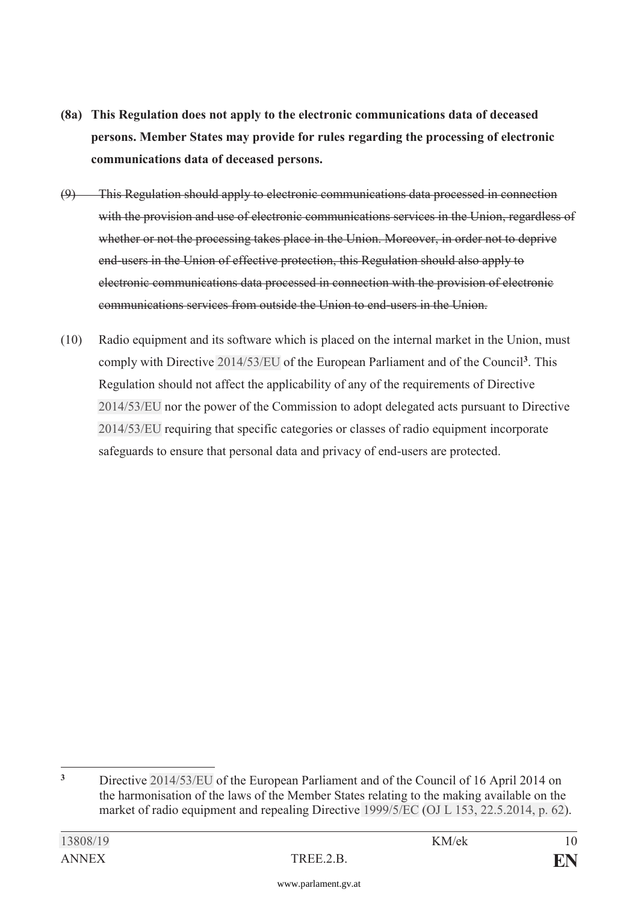- **(8a) This Regulation does not apply to the electronic communications data of deceased persons. Member States may provide for rules regarding the processing of electronic communications data of deceased persons.**
- (9) This Regulation should apply to electronic communications data processed in connection with the provision and use of electronic communications services in the Union, regardless of whether or not the processing takes place in the Union. Moreover, in order not to deprive end-users in the Union of effective protection, this Regulation should also apply to electronic communications data processed in connection with the provision of electronic communications services from outside the Union to end-users in the Union.
- (10) Radio equipment and its software which is placed on the internal market in the Union, must comply with Directive [2014/53/EU](https://www.parlament.gv.at/pls/portal/le.link?gp=XXVII&ityp=EU&inr=2143&code1=RIL&code2=&gruppen=Link:2014/53/EU;Year:2014;Nr:53&comp=) of the European Parliament and of the Council**<sup>3</sup>**. This Regulation should not affect the applicability of any of the requirements of Directive [2014/53/EU](https://www.parlament.gv.at/pls/portal/le.link?gp=XXVII&ityp=EU&inr=2143&code1=RIL&code2=&gruppen=Link:2014/53/EU;Year:2014;Nr:53&comp=) nor the power of the Commission to adopt delegated acts pursuant to Directive [2014/53/EU](https://www.parlament.gv.at/pls/portal/le.link?gp=XXVII&ityp=EU&inr=2143&code1=RIL&code2=&gruppen=Link:2014/53/EU;Year:2014;Nr:53&comp=) requiring that specific categories or classes of radio equipment incorporate safeguards to ensure that personal data and privacy of end-users are protected.

<sup>-</sup><sup>3</sup> Directive [2014/53/EU](https://www.parlament.gv.at/pls/portal/le.link?gp=XXVII&ityp=EU&inr=2143&code1=RIL&code2=&gruppen=Link:2014/53/EU;Year:2014;Nr:53&comp=) of the European Parliament and of the Council of 16 April 2014 on the harmonisation of the laws of the Member States relating to the making available on the market of radio equipment and repealing Directive [1999/5/EC](https://www.parlament.gv.at/pls/portal/le.link?gp=XXVII&ityp=EU&inr=2143&code1=RIL&code2=&gruppen=Link:1999/5/EC;Year:1999;Nr:5&comp=) [\(OJ L 153, 22.5.2014, p. 62](https://www.parlament.gv.at/pls/portal/le.link?gp=XXVII&ityp=EU&inr=2143&code1=ABL&code2=&gruppen=Code:L;Nr:153;Day:22;Month:5;Year:2014;Page:62&comp=)).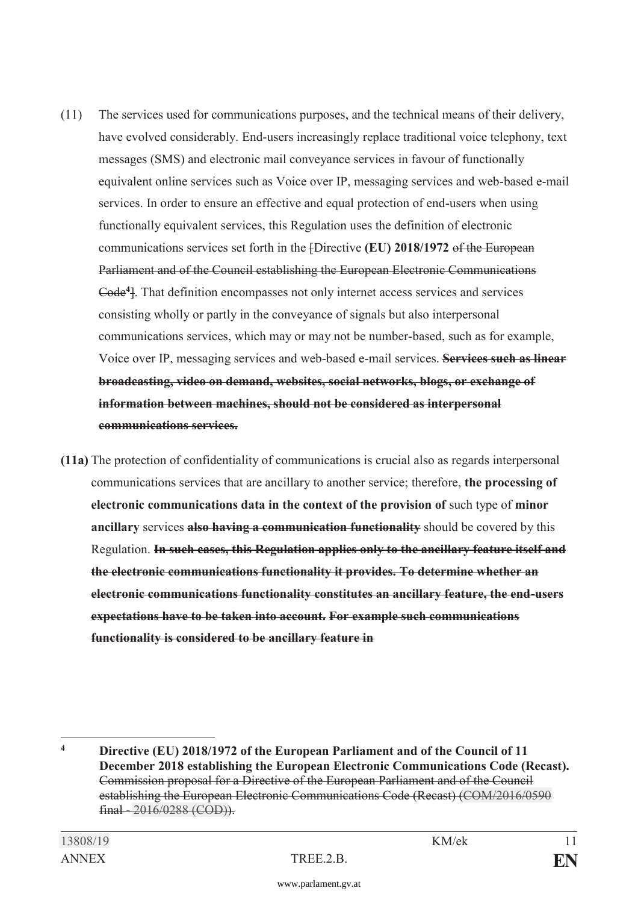- (11) The services used for communications purposes, and the technical means of their delivery, have evolved considerably. End-users increasingly replace traditional voice telephony, text messages (SMS) and electronic mail conveyance services in favour of functionally equivalent online services such as Voice over IP, messaging services and web-based e-mail services. In order to ensure an effective and equal protection of end-users when using functionally equivalent services, this Regulation uses the definition of electronic communications services set forth in the [Directive **(EU) 2018/1972** of the European Parliament and of the Council establishing the European Electronic Communications Code**<sup>4</sup>**]. That definition encompasses not only internet access services and services consisting wholly or partly in the conveyance of signals but also interpersonal communications services, which may or may not be number-based, such as for example, Voice over IP, messaging services and web-based e-mail services. **Services such as linear broadcasting, video on demand, websites, social networks, blogs, or exchange of information between machines, should not be considered as interpersonal communications services.**
- **(11a)** The protection of confidentiality of communications is crucial also as regards interpersonal communications services that are ancillary to another service; therefore, **the processing of electronic communications data in the context of the provision of** such type of **minor ancillary** services **also having a communication functionality** should be covered by this Regulation. **In such cases, this Regulation applies only to the ancillary feature itself and the electronic communications functionality it provides. To determine whether an electronic communications functionality constitutes an ancillary feature, the end-users expectations have to be taken into account. For example such communications functionality is considered to be ancillary feature in**

-

**<sup>4</sup> Directive (EU) 2018/1972 of the European Parliament and of the Council of 11 December 2018 establishing the European Electronic Communications Code (Recast).** Commission proposal for a Directive of the European Parliament and of the Council establishing the European Electronic Communications Code (Recast) [\(COM/2016/0590](https://www.parlament.gv.at/pls/portal/le.link?gp=XXVII&ityp=EU&inr=2143&code1=COM&code2=&gruppen=Code:COM;Year:2016;Nr:0590&comp=0590%7C2016%7CCOM) final - [2016/0288 \(COD\)](https://www.parlament.gv.at/pls/portal/le.link?gp=XXVII&ityp=EU&inr=2143&code1=INT&code2=&gruppen=Year:2016;Nr:0288;Code:COD&comp=0288%7C2016%7C)).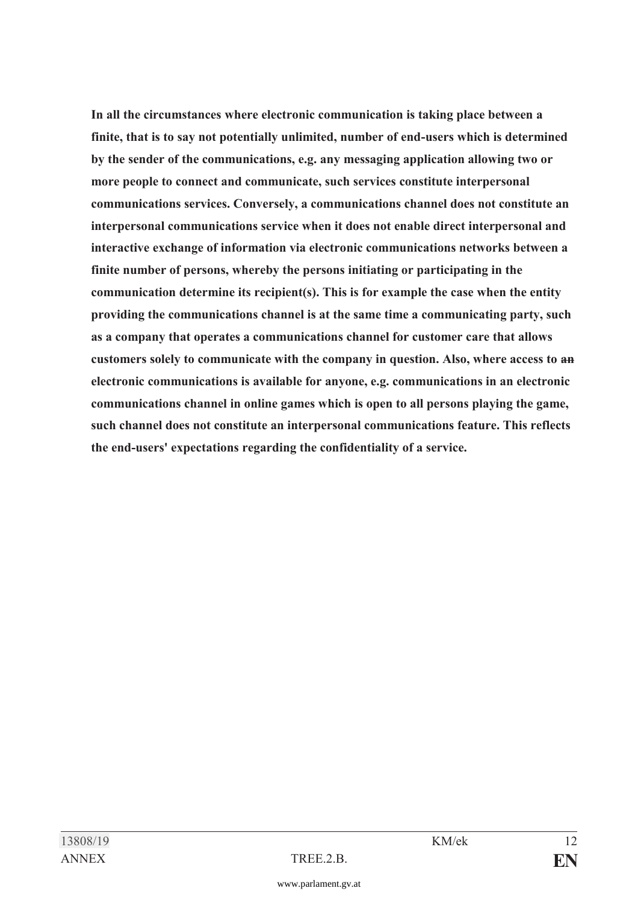**In all the circumstances where electronic communication is taking place between a finite, that is to say not potentially unlimited, number of end-users which is determined by the sender of the communications, e.g. any messaging application allowing two or more people to connect and communicate, such services constitute interpersonal communications services. Conversely, a communications channel does not constitute an interpersonal communications service when it does not enable direct interpersonal and interactive exchange of information via electronic communications networks between a finite number of persons, whereby the persons initiating or participating in the communication determine its recipient(s). This is for example the case when the entity providing the communications channel is at the same time a communicating party, such as a company that operates a communications channel for customer care that allows customers solely to communicate with the company in question. Also, where access to an electronic communications is available for anyone, e.g. communications in an electronic communications channel in online games which is open to all persons playing the game, such channel does not constitute an interpersonal communications feature. This reflects the end-users' expectations regarding the confidentiality of a service.**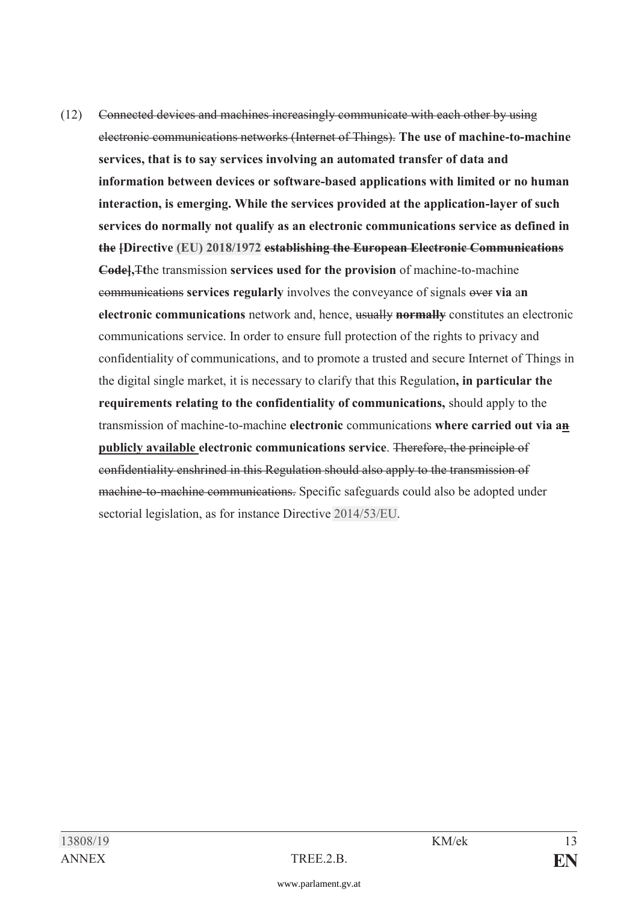(12) Connected devices and machines increasingly communicate with each other by using electronic communications networks (Internet of Things). **The use of machine-to-machine services, that is to say services involving an automated transfer of data and information between devices or software-based applications with limited or no human interaction, is emerging. While the services provided at the application-layer of such services do normally not qualify as an electronic communications service as defined in the [Directive [\(EU\) 2018/1972](https://www.parlament.gv.at/pls/portal/le.link?gp=XXVII&ityp=EU&inr=2143&code1=RIL&code2=&gruppen=Link:(EU)%202018/1972;Year2:2018;Nr2:1972&comp=) establishing the European Electronic Communications Code],**T**t**he transmission **services used for the provision** of machine-to-machine communications **services regularly** involves the conveyance of signals over **via** a**n electronic communications** network and, hence, usually **normally** constitutes an electronic communications service. In order to ensure full protection of the rights to privacy and confidentiality of communications, and to promote a trusted and secure Internet of Things in the digital single market, it is necessary to clarify that this Regulation**, in particular the requirements relating to the confidentiality of communications,** should apply to the transmission of machine-to-machine **electronic** communications **where carried out via an publicly available electronic communications service**. Therefore, the principle of confidentiality enshrined in this Regulation should also apply to the transmission of machine-to-machine communications. Specific safeguards could also be adopted under sectorial legislation, as for instance Directive [2014/53/EU](https://www.parlament.gv.at/pls/portal/le.link?gp=XXVII&ityp=EU&inr=2143&code1=RIL&code2=&gruppen=Link:2014/53/EU;Year:2014;Nr:53&comp=).

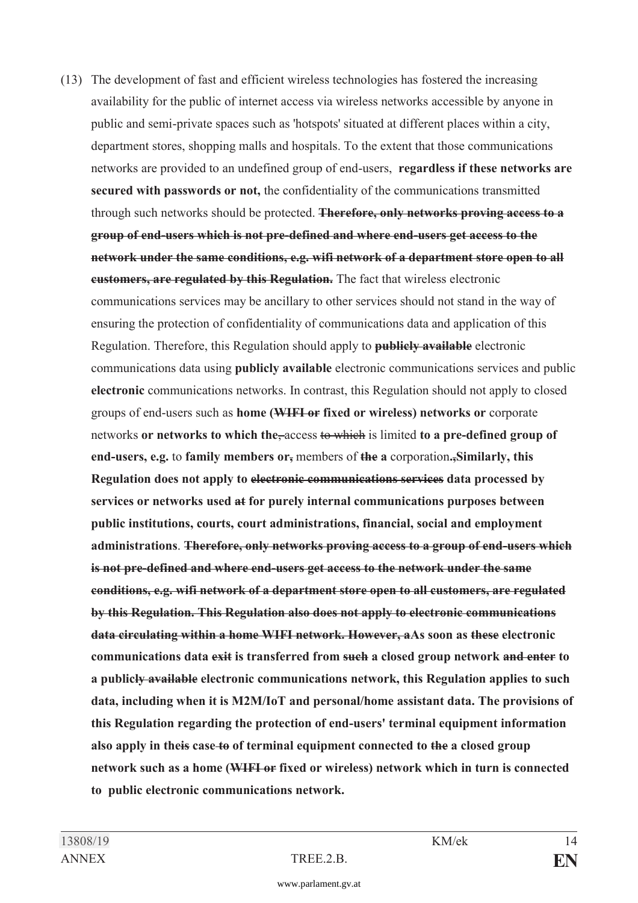(13) The development of fast and efficient wireless technologies has fostered the increasing availability for the public of internet access via wireless networks accessible by anyone in public and semi-private spaces such as 'hotspots' situated at different places within a city, department stores, shopping malls and hospitals. To the extent that those communications networks are provided to an undefined group of end-users, **regardless if these networks are secured with passwords or not,** the confidentiality of the communications transmitted through such networks should be protected. **Therefore, only networks proving access to a group of end-users which is not pre-defined and where end-users get access to the network under the same conditions, e.g. wifi network of a department store open to all customers, are regulated by this Regulation.** The fact that wireless electronic communications services may be ancillary to other services should not stand in the way of ensuring the protection of confidentiality of communications data and application of this Regulation. Therefore, this Regulation should apply to **publicly available** electronic communications data using **publicly available** electronic communications services and public **electronic** communications networks. In contrast, this Regulation should not apply to closed groups of end-users such as **home (WIFI or fixed or wireless) networks or** corporate networks **or networks to which the**, access to which is limited **to a pre-defined group of end-users, e.g.** to **family members or,** members of **the a** corporation**.,Similarly, this Regulation does not apply to electronic communications services data processed by services or networks used at for purely internal communications purposes between public institutions, courts, court administrations, financial, social and employment administrations**. **Therefore, only networks proving access to a group of end-users which is not pre-defined and where end-users get access to the network under the same conditions, e.g. wifi network of a department store open to all customers, are regulated by this Regulation. This Regulation also does not apply to electronic communications data circulating within a home WIFI network. However, aAs soon as these electronic communications data exit is transferred from such a closed group network and enter to a publicly available electronic communications network, this Regulation applies to such data, including when it is M2M/IoT and personal/home assistant data. The provisions of this Regulation regarding the protection of end-users' terminal equipment information also apply in theis case to of terminal equipment connected to the a closed group network such as a home (WIFI or fixed or wireless) network which in turn is connected to public electronic communications network.**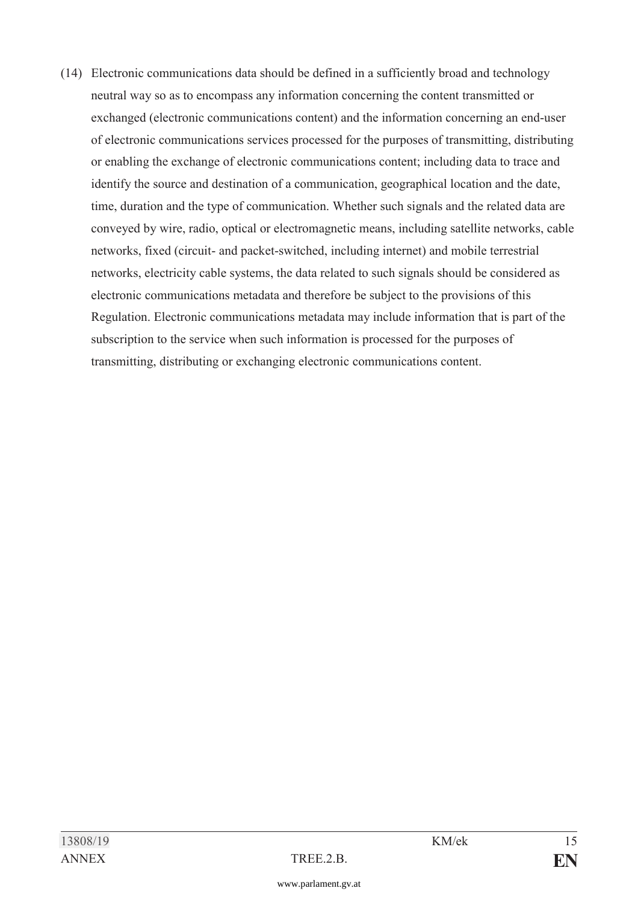(14) Electronic communications data should be defined in a sufficiently broad and technology neutral way so as to encompass any information concerning the content transmitted or exchanged (electronic communications content) and the information concerning an end-user of electronic communications services processed for the purposes of transmitting, distributing or enabling the exchange of electronic communications content; including data to trace and identify the source and destination of a communication, geographical location and the date, time, duration and the type of communication. Whether such signals and the related data are conveyed by wire, radio, optical or electromagnetic means, including satellite networks, cable networks, fixed (circuit- and packet-switched, including internet) and mobile terrestrial networks, electricity cable systems, the data related to such signals should be considered as electronic communications metadata and therefore be subject to the provisions of this Regulation. Electronic communications metadata may include information that is part of the subscription to the service when such information is processed for the purposes of transmitting, distributing or exchanging electronic communications content.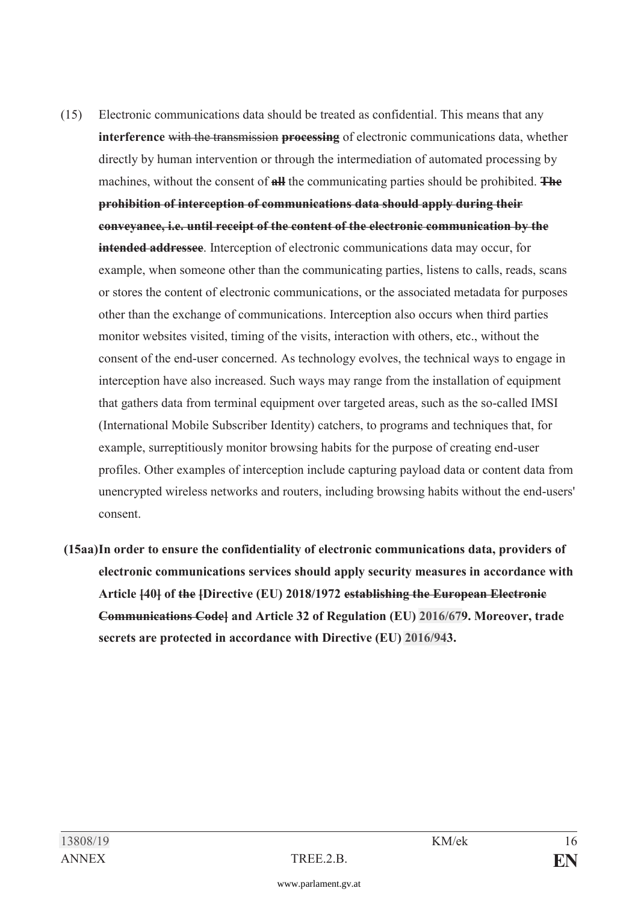- (15) Electronic communications data should be treated as confidential. This means that any **interference** with the transmission **processing** of electronic communications data, whether directly by human intervention or through the intermediation of automated processing by machines, without the consent of **all** the communicating parties should be prohibited. **The prohibition of interception of communications data should apply during their conveyance, i.e. until receipt of the content of the electronic communication by the intended addressee**. Interception of electronic communications data may occur, for example, when someone other than the communicating parties, listens to calls, reads, scans or stores the content of electronic communications, or the associated metadata for purposes other than the exchange of communications. Interception also occurs when third parties monitor websites visited, timing of the visits, interaction with others, etc., without the consent of the end-user concerned. As technology evolves, the technical ways to engage in interception have also increased. Such ways may range from the installation of equipment that gathers data from terminal equipment over targeted areas, such as the so-called IMSI (International Mobile Subscriber Identity) catchers, to programs and techniques that, for example, surreptitiously monitor browsing habits for the purpose of creating end-user profiles. Other examples of interception include capturing payload data or content data from unencrypted wireless networks and routers, including browsing habits without the end-users' consent.
- **(15aa) In order to ensure the confidentiality of electronic communications data, providers of electronic communications services should apply security measures in accordance with Article [40] of the [Directive (EU) 2018/1972 establishing the European Electronic Communications Code] and Article 32 of Regulation (EU) [2016/67](https://www.parlament.gv.at/pls/portal/le.link?gp=XXVII&ityp=EU&inr=2143&code1=VER&code2=&gruppen=Link:2016/67;Nr:2016;Year:67&comp=)9. Moreover, trade secrets are protected in accordance with Directive (EU) [2016/94](https://www.parlament.gv.at/pls/portal/le.link?gp=XXVII&ityp=EU&inr=2143&code1=VER&code2=&gruppen=Link:2016/94;Nr:2016;Year:94&comp=)3.**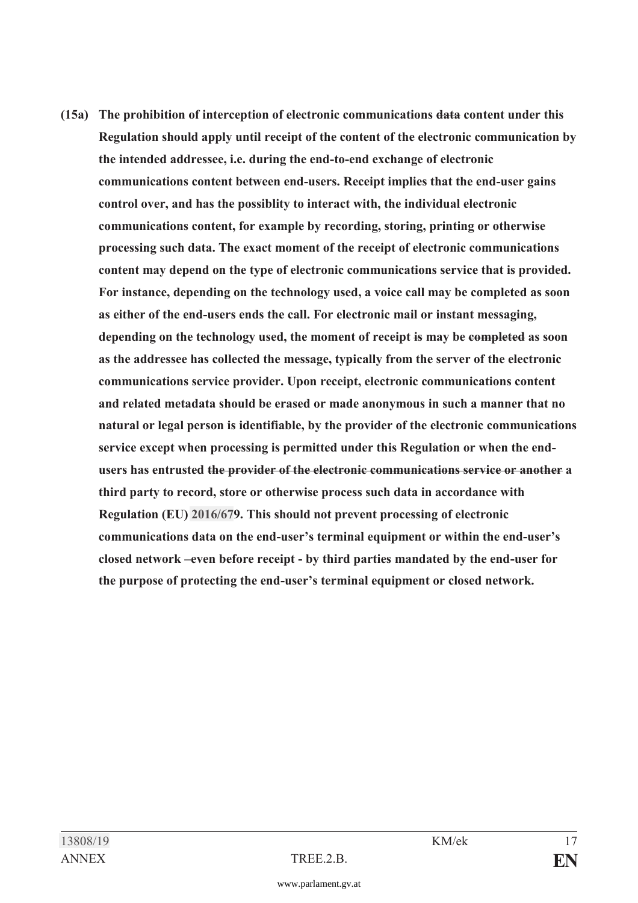**(15a) The prohibition of interception of electronic communications data content under this Regulation should apply until receipt of the content of the electronic communication by the intended addressee, i.e. during the end-to-end exchange of electronic communications content between end-users. Receipt implies that the end-user gains control over, and has the possiblity to interact with, the individual electronic communications content, for example by recording, storing, printing or otherwise processing such data. The exact moment of the receipt of electronic communications content may depend on the type of electronic communications service that is provided. For instance, depending on the technology used, a voice call may be completed as soon as either of the end-users ends the call. For electronic mail or instant messaging, depending on the technology used, the moment of receipt is may be completed as soon as the addressee has collected the message, typically from the server of the electronic communications service provider. Upon receipt, electronic communications content and related metadata should be erased or made anonymous in such a manner that no natural or legal person is identifiable, by the provider of the electronic communications service except when processing is permitted under this Regulation or when the endusers has entrusted the provider of the electronic communications service or another a third party to record, store or otherwise process such data in accordance with Regulation (EU) [2016/67](https://www.parlament.gv.at/pls/portal/le.link?gp=XXVII&ityp=EU&inr=2143&code1=VER&code2=&gruppen=Link:2016/67;Nr:2016;Year:67&comp=)9. This should not prevent processing of electronic communications data on the end-user's terminal equipment or within the end-user's closed network –even before receipt - by third parties mandated by the end-user for the purpose of protecting the end-user's terminal equipment or closed network.** 

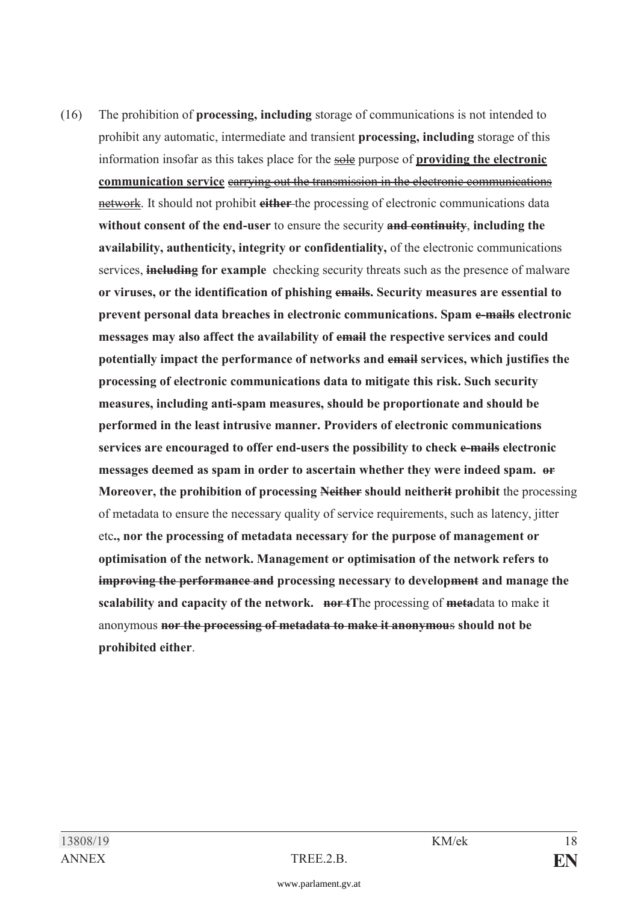(16) The prohibition of **processing, including** storage of communications is not intended to prohibit any automatic, intermediate and transient **processing, including** storage of this information insofar as this takes place for the sole purpose of **providing the electronic communication service** carrying out the transmission in the electronic communications network. It should not prohibit **either** the processing of electronic communications data **without consent of the end-user** to ensure the security **and continuity**, **including the availability, authenticity, integrity or confidentiality,** of the electronic communications services, **including for example** checking security threats such as the presence of malware **or viruses, or the identification of phishing emails. Security measures are essential to prevent personal data breaches in electronic communications. Spam e-mails electronic messages may also affect the availability of email the respective services and could potentially impact the performance of networks and email services, which justifies the processing of electronic communications data to mitigate this risk. Such security measures, including anti-spam measures, should be proportionate and should be performed in the least intrusive manner. Providers of electronic communications services are encouraged to offer end-users the possibility to check e-mails electronic messages deemed as spam in order to ascertain whether they were indeed spam. or Moreover, the prohibition of processing Neither should neitherit prohibit** the processing of metadata to ensure the necessary quality of service requirements, such as latency, jitter etc**., nor the processing of metadata necessary for the purpose of management or optimisation of the network. Management or optimisation of the network refers to improving the performance and processing necessary to development and manage the scalability and capacity of the network. nor tT**he processing of **meta**data to make it anonymous **nor the processing of metadata to make it anonymou**s **should not be prohibited either**.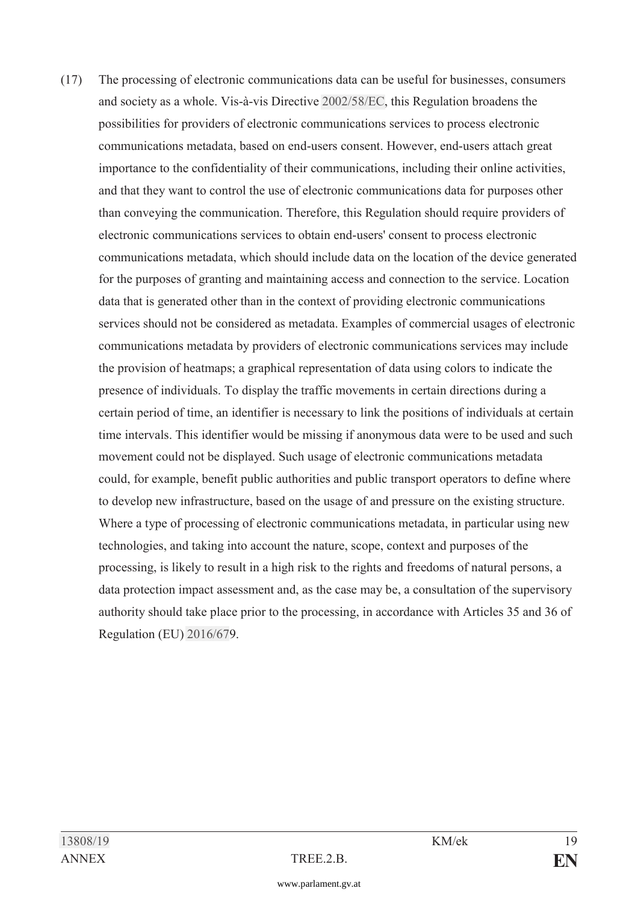(17) The processing of electronic communications data can be useful for businesses, consumers and society as a whole. Vis-à-vis Directive [2002/58/EC](https://www.parlament.gv.at/pls/portal/le.link?gp=XXVII&ityp=EU&inr=2143&code1=RIL&code2=&gruppen=Link:2002/58/EC;Year:2002;Nr:58&comp=), this Regulation broadens the possibilities for providers of electronic communications services to process electronic communications metadata, based on end-users consent. However, end-users attach great importance to the confidentiality of their communications, including their online activities, and that they want to control the use of electronic communications data for purposes other than conveying the communication. Therefore, this Regulation should require providers of electronic communications services to obtain end-users' consent to process electronic communications metadata, which should include data on the location of the device generated for the purposes of granting and maintaining access and connection to the service. Location data that is generated other than in the context of providing electronic communications services should not be considered as metadata. Examples of commercial usages of electronic communications metadata by providers of electronic communications services may include the provision of heatmaps; a graphical representation of data using colors to indicate the presence of individuals. To display the traffic movements in certain directions during a certain period of time, an identifier is necessary to link the positions of individuals at certain time intervals. This identifier would be missing if anonymous data were to be used and such movement could not be displayed. Such usage of electronic communications metadata could, for example, benefit public authorities and public transport operators to define where to develop new infrastructure, based on the usage of and pressure on the existing structure. Where a type of processing of electronic communications metadata, in particular using new technologies, and taking into account the nature, scope, context and purposes of the processing, is likely to result in a high risk to the rights and freedoms of natural persons, a data protection impact assessment and, as the case may be, a consultation of the supervisory authority should take place prior to the processing, in accordance with Articles 35 and 36 of Regulation (EU) [2016/67](https://www.parlament.gv.at/pls/portal/le.link?gp=XXVII&ityp=EU&inr=2143&code1=VER&code2=&gruppen=Link:2016/67;Nr:2016;Year:67&comp=)9.

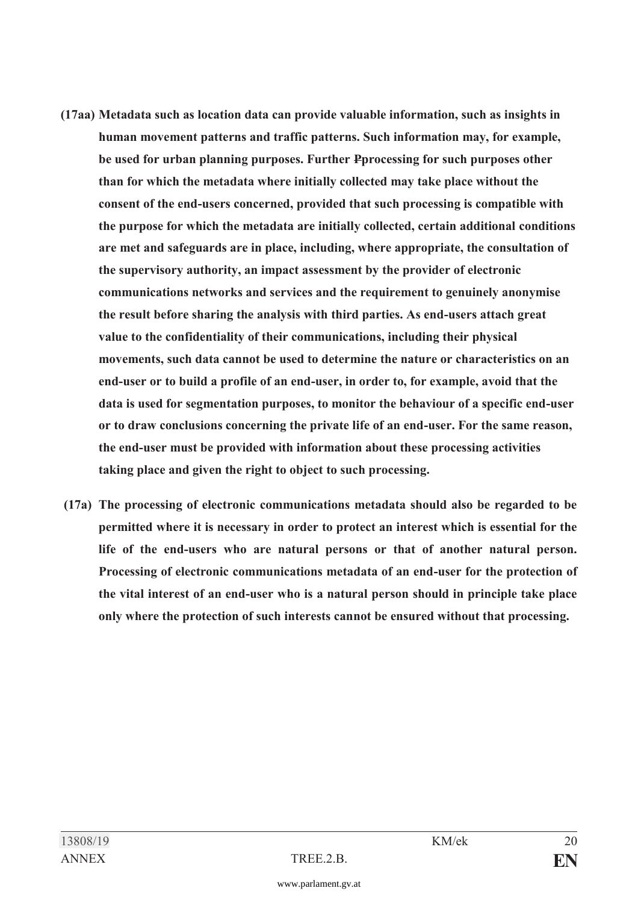- **(17aa) Metadata such as location data can provide valuable information, such as insights in human movement patterns and traffic patterns. Such information may, for example, be used for urban planning purposes. Further Pprocessing for such purposes other than for which the metadata where initially collected may take place without the consent of the end-users concerned, provided that such processing is compatible with the purpose for which the metadata are initially collected, certain additional conditions are met and safeguards are in place, including, where appropriate, the consultation of the supervisory authority, an impact assessment by the provider of electronic communications networks and services and the requirement to genuinely anonymise the result before sharing the analysis with third parties. As end-users attach great value to the confidentiality of their communications, including their physical movements, such data cannot be used to determine the nature or characteristics on an end-user or to build a profile of an end-user, in order to, for example, avoid that the data is used for segmentation purposes, to monitor the behaviour of a specific end-user or to draw conclusions concerning the private life of an end-user. For the same reason, the end-user must be provided with information about these processing activities taking place and given the right to object to such processing.**
- **(17a) The processing of electronic communications metadata should also be regarded to be permitted where it is necessary in order to protect an interest which is essential for the life of the end-users who are natural persons or that of another natural person. Processing of electronic communications metadata of an end-user for the protection of the vital interest of an end-user who is a natural person should in principle take place only where the protection of such interests cannot be ensured without that processing.**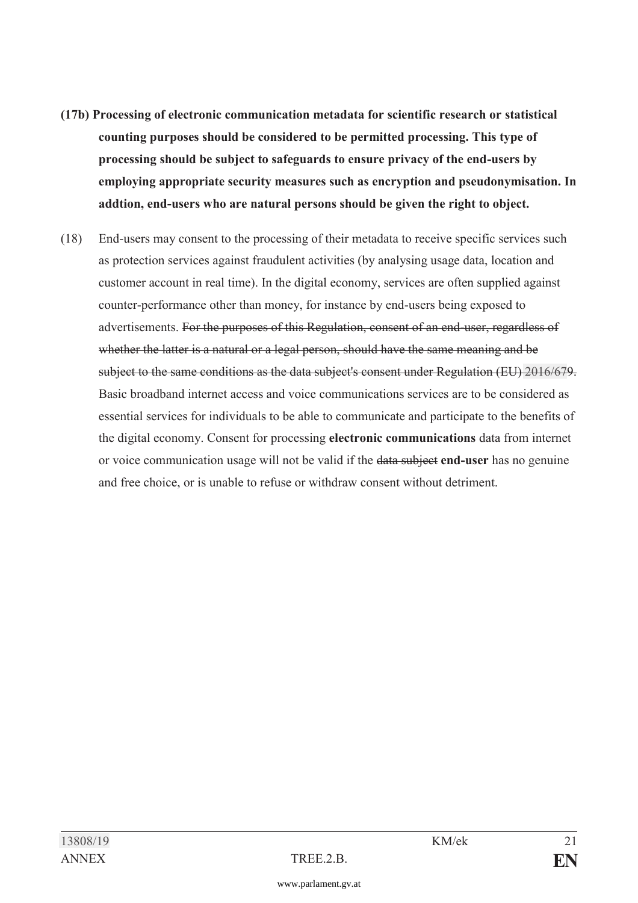- **(17b) Processing of electronic communication metadata for scientific research or statistical counting purposes should be considered to be permitted processing. This type of processing should be subject to safeguards to ensure privacy of the end-users by employing appropriate security measures such as encryption and pseudonymisation. In addtion, end-users who are natural persons should be given the right to object.**
- (18) End-users may consent to the processing of their metadata to receive specific services such as protection services against fraudulent activities (by analysing usage data, location and customer account in real time). In the digital economy, services are often supplied against counter-performance other than money, for instance by end-users being exposed to advertisements. For the purposes of this Regulation, consent of an end-user, regardless of whether the latter is a natural or a legal person, should have the same meaning and be subject to the same conditions as the data subject's consent under Regulation (EU) [2016/67](https://www.parlament.gv.at/pls/portal/le.link?gp=XXVII&ityp=EU&inr=2143&code1=VER&code2=&gruppen=Link:2016/67;Nr:2016;Year:67&comp=)9. Basic broadband internet access and voice communications services are to be considered as essential services for individuals to be able to communicate and participate to the benefits of the digital economy. Consent for processing **electronic communications** data from internet or voice communication usage will not be valid if the data subject **end-user** has no genuine and free choice, or is unable to refuse or withdraw consent without detriment.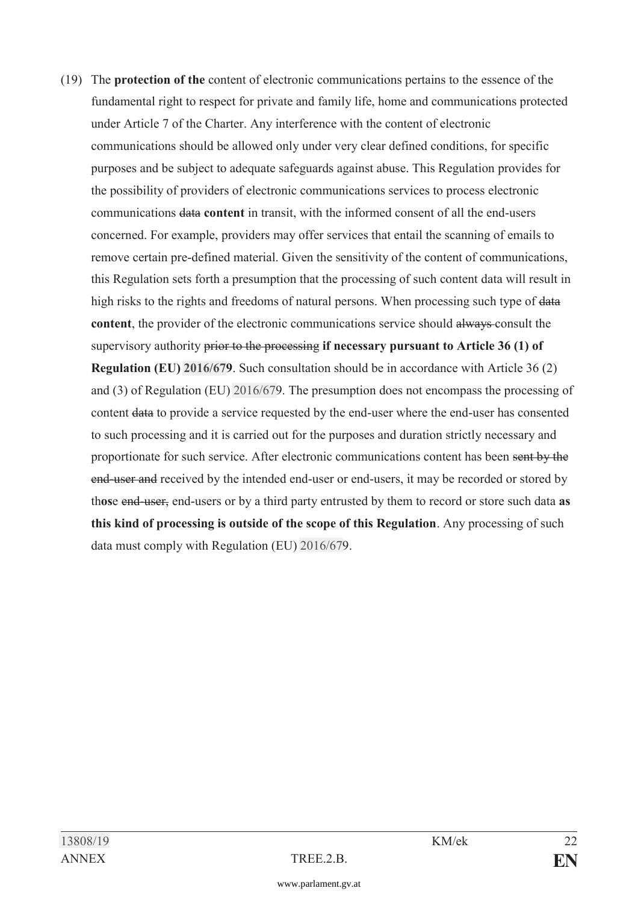(19) The **protection of the** content of electronic communications pertains to the essence of the fundamental right to respect for private and family life, home and communications protected under Article 7 of the Charter. Any interference with the content of electronic communications should be allowed only under very clear defined conditions, for specific purposes and be subject to adequate safeguards against abuse. This Regulation provides for the possibility of providers of electronic communications services to process electronic communications data **content** in transit, with the informed consent of all the end-users concerned. For example, providers may offer services that entail the scanning of emails to remove certain pre-defined material. Given the sensitivity of the content of communications, this Regulation sets forth a presumption that the processing of such content data will result in high risks to the rights and freedoms of natural persons. When processing such type of data **content**, the provider of the electronic communications service should always consult the supervisory authority prior to the processing **if necessary pursuant to Article 36 (1) of Regulation (EU) [2016/67](https://www.parlament.gv.at/pls/portal/le.link?gp=XXVII&ityp=EU&inr=2143&code1=VER&code2=&gruppen=Link:2016/67;Nr:2016;Year:67&comp=)9**. Such consultation should be in accordance with Article 36 (2) and (3) of Regulation (EU) [2016/67](https://www.parlament.gv.at/pls/portal/le.link?gp=XXVII&ityp=EU&inr=2143&code1=VER&code2=&gruppen=Link:2016/67;Nr:2016;Year:67&comp=)9. The presumption does not encompass the processing of content data to provide a service requested by the end-user where the end-user has consented to such processing and it is carried out for the purposes and duration strictly necessary and proportionate for such service. After electronic communications content has been sent by the end-user and received by the intended end-user or end-users, it may be recorded or stored by th**os**e end-user, end-users or by a third party entrusted by them to record or store such data **as this kind of processing is outside of the scope of this Regulation**. Any processing of such data must comply with Regulation (EU) [2016/67](https://www.parlament.gv.at/pls/portal/le.link?gp=XXVII&ityp=EU&inr=2143&code1=VER&code2=&gruppen=Link:2016/67;Nr:2016;Year:67&comp=)9.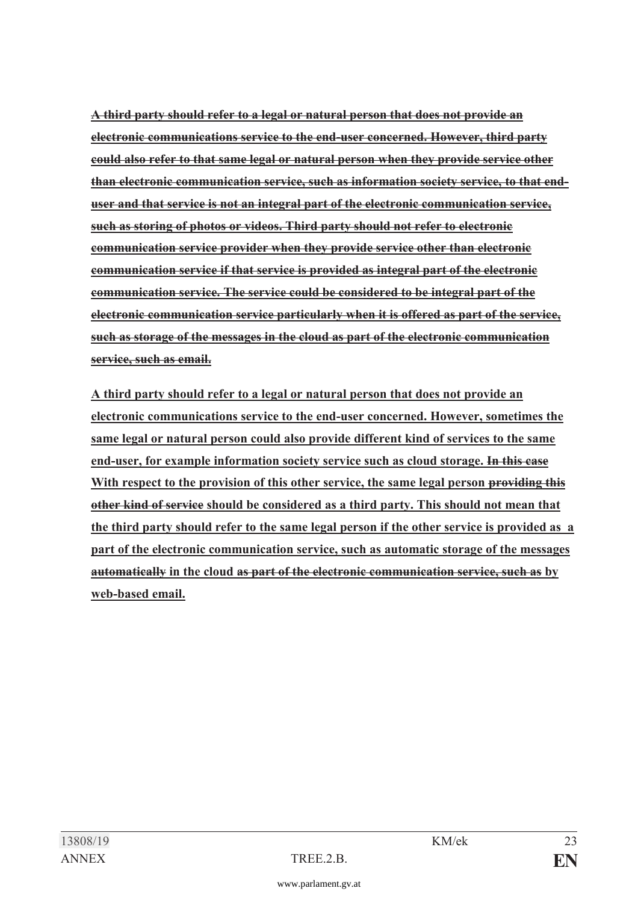**A third party should refer to a legal or natural person that does not provide an electronic communications service to the end-user concerned. However, third party could also refer to that same legal or natural person when they provide service other than electronic communication service, such as information society service, to that enduser and that service is not an integral part of the electronic communication service, such as storing of photos or videos. Third party should not refer to electronic communication service provider when they provide service other than electronic communication service if that service is provided as integral part of the electronic communication service. The service could be considered to be integral part of the electronic communication service particularly when it is offered as part of the service, such as storage of the messages in the cloud as part of the electronic communication service, such as email.** 

 **A third party should refer to a legal or natural person that does not provide an electronic communications service to the end-user concerned. However, sometimes the same legal or natural person could also provide different kind of services to the same end-user, for example information society service such as cloud storage. In this case With respect to the provision of this other service, the same legal person providing this other kind of service should be considered as a third party. This should not mean that the third party should refer to the same legal person if the other service is provided as a part of the electronic communication service, such as automatic storage of the messages automatically in the cloud as part of the electronic communication service, such as by web-based email.**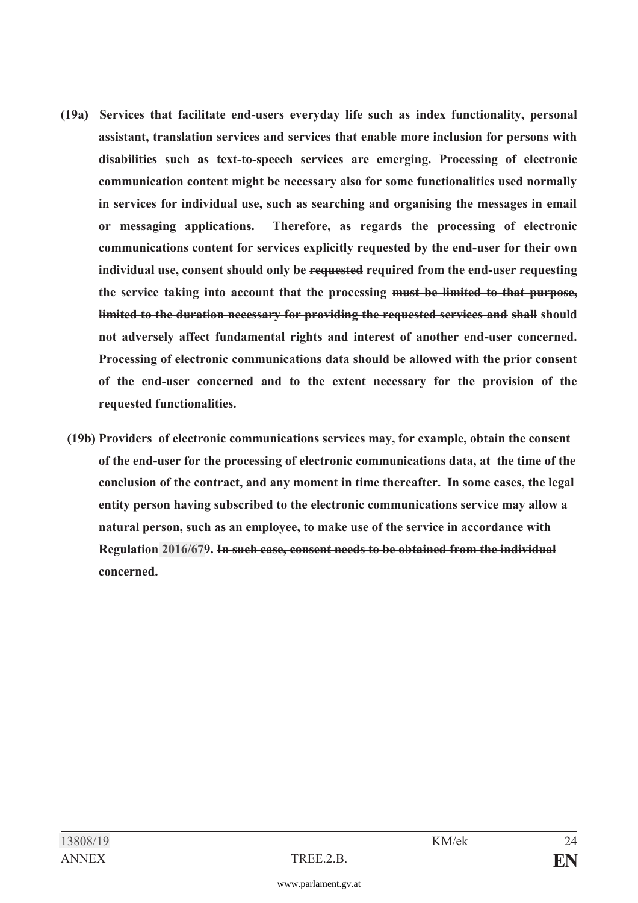- **(19a) Services that facilitate end-users everyday life such as index functionality, personal assistant, translation services and services that enable more inclusion for persons with disabilities such as text-to-speech services are emerging. Processing of electronic communication content might be necessary also for some functionalities used normally in services for individual use, such as searching and organising the messages in email or messaging applications. Therefore, as regards the processing of electronic communications content for services explicitly requested by the end-user for their own individual use, consent should only be requested required from the end-user requesting the service taking into account that the processing must be limited to that purpose, limited to the duration necessary for providing the requested services and shall should not adversely affect fundamental rights and interest of another end-user concerned. Processing of electronic communications data should be allowed with the prior consent of the end-user concerned and to the extent necessary for the provision of the requested functionalities.** 
	- **(19b) Providers of electronic communications services may, for example, obtain the consent of the end-user for the processing of electronic communications data, at the time of the conclusion of the contract, and any moment in time thereafter. In some cases, the legal entity person having subscribed to the electronic communications service may allow a natural person, such as an employee, to make use of the service in accordance with Regulation [2016/67](https://www.parlament.gv.at/pls/portal/le.link?gp=XXVII&ityp=EU&inr=2143&code1=VER&code2=&gruppen=Link:2016/67;Nr:2016;Year:67&comp=)9. In such case, consent needs to be obtained from the individual concerned.**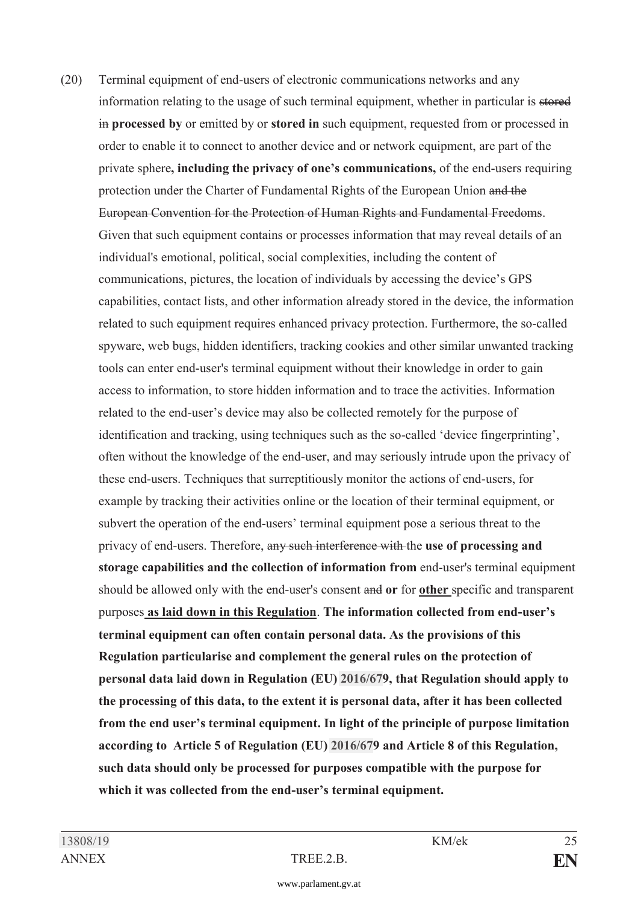(20) Terminal equipment of end-users of electronic communications networks and any information relating to the usage of such terminal equipment, whether in particular is stored in **processed by** or emitted by or **stored in** such equipment, requested from or processed in order to enable it to connect to another device and or network equipment, are part of the private sphere**, including the privacy of one's communications,** of the end-users requiring protection under the Charter of Fundamental Rights of the European Union and the European Convention for the Protection of Human Rights and Fundamental Freedoms. Given that such equipment contains or processes information that may reveal details of an individual's emotional, political, social complexities, including the content of communications, pictures, the location of individuals by accessing the device's GPS capabilities, contact lists, and other information already stored in the device, the information related to such equipment requires enhanced privacy protection. Furthermore, the so-called spyware, web bugs, hidden identifiers, tracking cookies and other similar unwanted tracking tools can enter end-user's terminal equipment without their knowledge in order to gain access to information, to store hidden information and to trace the activities. Information related to the end-user's device may also be collected remotely for the purpose of identification and tracking, using techniques such as the so-called 'device fingerprinting', often without the knowledge of the end-user, and may seriously intrude upon the privacy of these end-users. Techniques that surreptitiously monitor the actions of end-users, for example by tracking their activities online or the location of their terminal equipment, or subvert the operation of the end-users' terminal equipment pose a serious threat to the privacy of end-users. Therefore, any such interference with the **use of processing and storage capabilities and the collection of information from** end-user's terminal equipment should be allowed only with the end-user's consent and **or** for **other** specific and transparent purposes **as laid down in this Regulation**. **The information collected from end-user's terminal equipment can often contain personal data. As the provisions of this Regulation particularise and complement the general rules on the protection of personal data laid down in Regulation (EU) [2016/67](https://www.parlament.gv.at/pls/portal/le.link?gp=XXVII&ityp=EU&inr=2143&code1=VER&code2=&gruppen=Link:2016/67;Nr:2016;Year:67&comp=)9, that Regulation should apply to the processing of this data, to the extent it is personal data, after it has been collected from the end user's terminal equipment. In light of the principle of purpose limitation according to Article 5 of Regulation (EU) [2016/67](https://www.parlament.gv.at/pls/portal/le.link?gp=XXVII&ityp=EU&inr=2143&code1=VER&code2=&gruppen=Link:2016/67;Nr:2016;Year:67&comp=)9 and Article 8 of this Regulation, such data should only be processed for purposes compatible with the purpose for which it was collected from the end-user's terminal equipment.**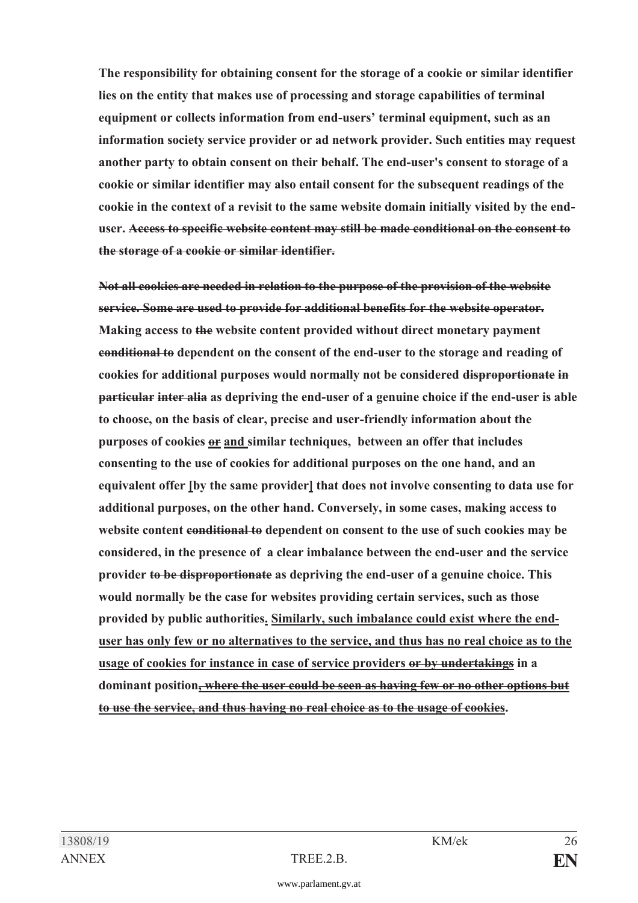**The responsibility for obtaining consent for the storage of a cookie or similar identifier lies on the entity that makes use of processing and storage capabilities of terminal equipment or collects information from end-users' terminal equipment, such as an information society service provider or ad network provider. Such entities may request another party to obtain consent on their behalf. The end-user's consent to storage of a cookie or similar identifier may also entail consent for the subsequent readings of the cookie in the context of a revisit to the same website domain initially visited by the enduser. Access to specific website content may still be made conditional on the consent to the storage of a cookie or similar identifier.** 

 **Not all cookies are needed in relation to the purpose of the provision of the website service. Some are used to provide for additional benefits for the website operator. Making access to the website content provided without direct monetary payment conditional to dependent on the consent of the end-user to the storage and reading of cookies for additional purposes would normally not be considered disproportionate in particular inter alia as depriving the end-user of a genuine choice if the end-user is able to choose, on the basis of clear, precise and user-friendly information about the**  purposes of cookies **or and similar techniques, between an offer that includes consenting to the use of cookies for additional purposes on the one hand, and an equivalent offer [by the same provider] that does not involve consenting to data use for additional purposes, on the other hand. Conversely, in some cases, making access to website content conditional to dependent on consent to the use of such cookies may be considered, in the presence of a clear imbalance between the end-user and the service provider to be disproportionate as depriving the end-user of a genuine choice. This would normally be the case for websites providing certain services, such as those provided by public authorities. Similarly, such imbalance could exist where the enduser has only few or no alternatives to the service, and thus has no real choice as to the usage of cookies for instance in case of service providers or by undertakings in a dominant position, where the user could be seen as having few or no other options but to use the service, and thus having no real choice as to the usage of cookies.**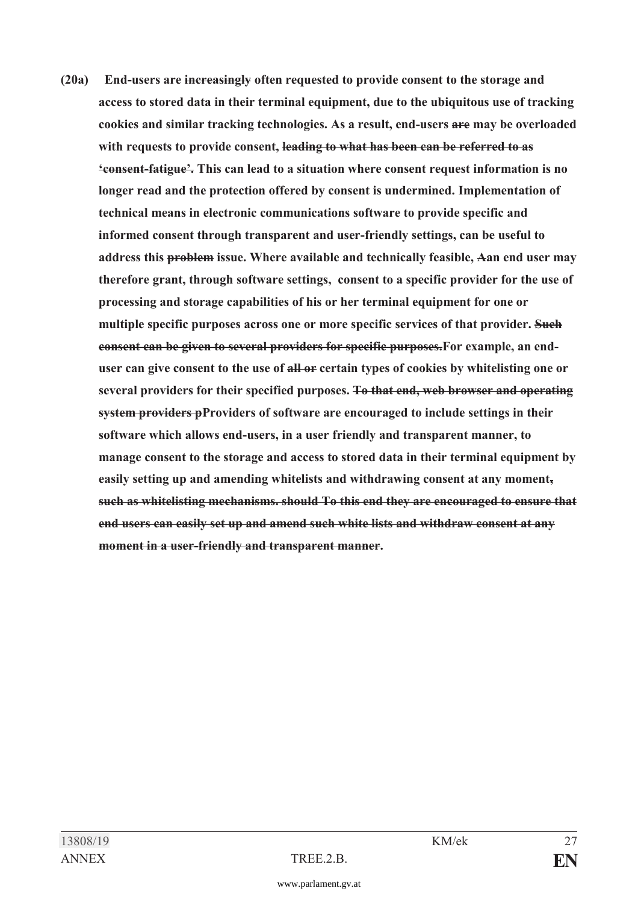**(20a) End-users are increasingly often requested to provide consent to the storage and access to stored data in their terminal equipment, due to the ubiquitous use of tracking cookies and similar tracking technologies. As a result, end-users are may be overloaded with requests to provide consent, leading to what has been can be referred to as 'consent-fatigue'. This can lead to a situation where consent request information is no longer read and the protection offered by consent is undermined. Implementation of technical means in electronic communications software to provide specific and informed consent through transparent and user-friendly settings, can be useful to address this problem issue. Where available and technically feasible, Aan end user may therefore grant, through software settings, consent to a specific provider for the use of processing and storage capabilities of his or her terminal equipment for one or multiple specific purposes across one or more specific services of that provider. Such consent can be given to several providers for specific purposes.For example, an enduser can give consent to the use of all or certain types of cookies by whitelisting one or several providers for their specified purposes. To that end, web browser and operating system providers pProviders of software are encouraged to include settings in their software which allows end-users, in a user friendly and transparent manner, to manage consent to the storage and access to stored data in their terminal equipment by easily setting up and amending whitelists and withdrawing consent at any moment, such as whitelisting mechanisms. should To this end they are encouraged to ensure that end users can easily set up and amend such white lists and withdraw consent at any moment in a user-friendly and transparent manner.**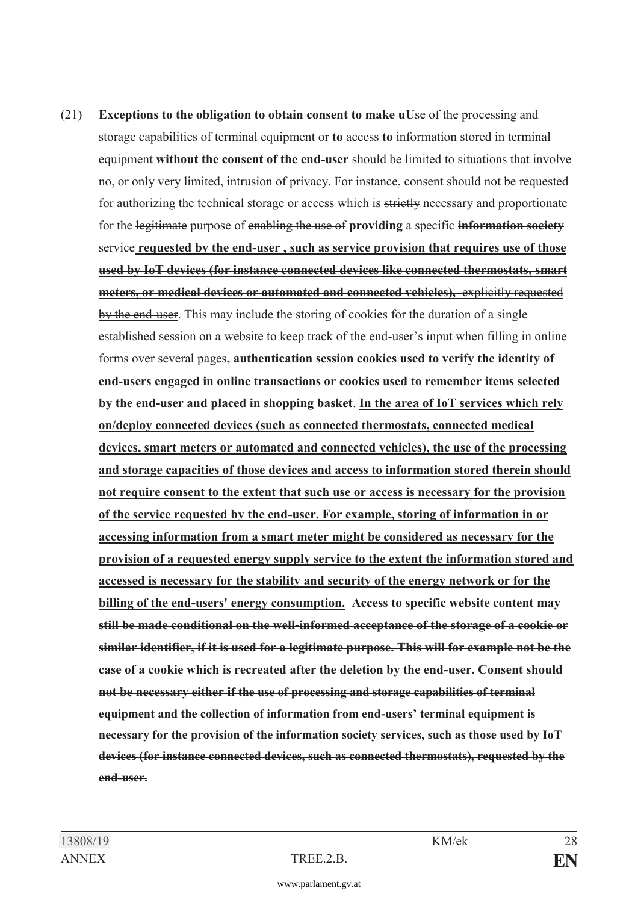(21) **Exceptions to the obligation to obtain consent to make uU**se of the processing and storage capabilities of terminal equipment or **to** access **to** information stored in terminal equipment **without the consent of the end-user** should be limited to situations that involve no, or only very limited, intrusion of privacy. For instance, consent should not be requested for authorizing the technical storage or access which is strictly necessary and proportionate for the legitimate purpose of enabling the use of **providing** a specific **information society**  service **requested by the end-user , such as service provision that requires use of those used by IoT devices (for instance connected devices like connected thermostats, smart meters, or medical devices or automated and connected vehicles),** explicitly requested by the end-user. This may include the storing of cookies for the duration of a single established session on a website to keep track of the end-user's input when filling in online forms over several pages**, authentication session cookies used to verify the identity of end-users engaged in online transactions or cookies used to remember items selected by the end-user and placed in shopping basket**. **In the area of IoT services which rely on/deploy connected devices (such as connected thermostats, connected medical devices, smart meters or automated and connected vehicles), the use of the processing and storage capacities of those devices and access to information stored therein should not require consent to the extent that such use or access is necessary for the provision of the service requested by the end-user. For example, storing of information in or accessing information from a smart meter might be considered as necessary for the provision of a requested energy supply service to the extent the information stored and accessed is necessary for the stability and security of the energy network or for the billing of the end-users' energy consumption. Access to specific website content may still be made conditional on the well-informed acceptance of the storage of a cookie or similar identifier, if it is used for a legitimate purpose. This will for example not be the case of a cookie which is recreated after the deletion by the end-user. Consent should not be necessary either if the use of processing and storage capabilities of terminal equipment and the collection of information from end-users' terminal equipment is necessary for the provision of the information society services, such as those used by IoT devices (for instance connected devices, such as connected thermostats), requested by the end-user.**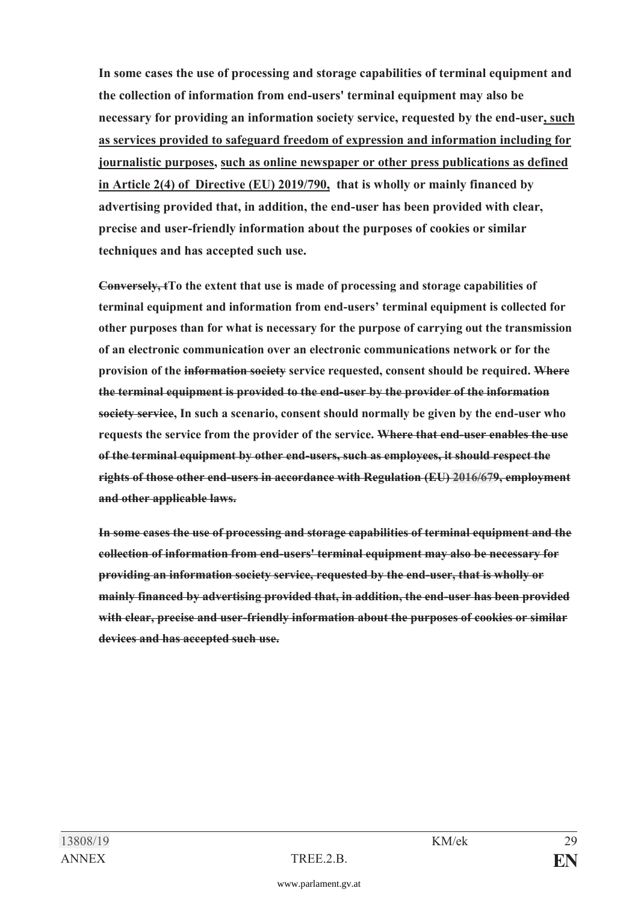**In some cases the use of processing and storage capabilities of terminal equipment and the collection of information from end-users' terminal equipment may also be necessary for providing an information society service, requested by the end-user, such as services provided to safeguard freedom of expression and information including for journalistic purposes, such as online newspaper or other press publications as defined in Article 2(4) of Directive (EU) 2019/790, that is wholly or mainly financed by advertising provided that, in addition, the end-user has been provided with clear, precise and user-friendly information about the purposes of cookies or similar techniques and has accepted such use.** 

 **Conversely, tTo the extent that use is made of processing and storage capabilities of terminal equipment and information from end-users' terminal equipment is collected for other purposes than for what is necessary for the purpose of carrying out the transmission of an electronic communication over an electronic communications network or for the provision of the information society service requested, consent should be required. Where the terminal equipment is provided to the end-user by the provider of the information society service, In such a scenario, consent should normally be given by the end-user who requests the service from the provider of the service. Where that end-user enables the use of the terminal equipment by other end-users, such as employees, it should respect the rights of those other end-users in accordance with Regulation (EU) [2016/67](https://www.parlament.gv.at/pls/portal/le.link?gp=XXVII&ityp=EU&inr=2143&code1=VER&code2=&gruppen=Link:2016/67;Nr:2016;Year:67&comp=)9, employment and other applicable laws.** 

 **In some cases the use of processing and storage capabilities of terminal equipment and the collection of information from end-users' terminal equipment may also be necessary for providing an information society service, requested by the end-user, that is wholly or mainly financed by advertising provided that, in addition, the end-user has been provided with clear, precise and user-friendly information about the purposes of cookies or similar devices and has accepted such use.**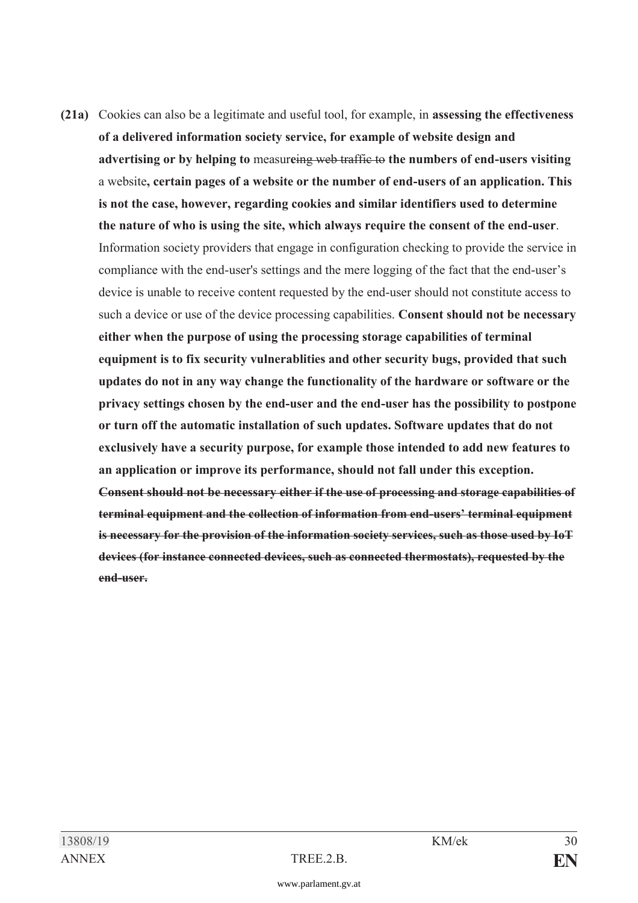**(21a)** Cookies can also be a legitimate and useful tool, for example, in **assessing the effectiveness of a delivered information society service, for example of website design and advertising or by helping to** measur**e**ing web traffic to **the numbers of end-users visiting** a website**, certain pages of a website or the number of end-users of an application. This is not the case, however, regarding cookies and similar identifiers used to determine the nature of who is using the site, which always require the consent of the end-user**. Information society providers that engage in configuration checking to provide the service in compliance with the end-user's settings and the mere logging of the fact that the end-user's device is unable to receive content requested by the end-user should not constitute access to such a device or use of the device processing capabilities. **Consent should not be necessary either when the purpose of using the processing storage capabilities of terminal equipment is to fix security vulnerablities and other security bugs, provided that such updates do not in any way change the functionality of the hardware or software or the privacy settings chosen by the end-user and the end-user has the possibility to postpone or turn off the automatic installation of such updates. Software updates that do not exclusively have a security purpose, for example those intended to add new features to an application or improve its performance, should not fall under this exception. Consent should not be necessary either if the use of processing and storage capabilities of terminal equipment and the collection of information from end-users' terminal equipment is necessary for the provision of the information society services, such as those used by IoT devices (for instance connected devices, such as connected thermostats), requested by the end-user.**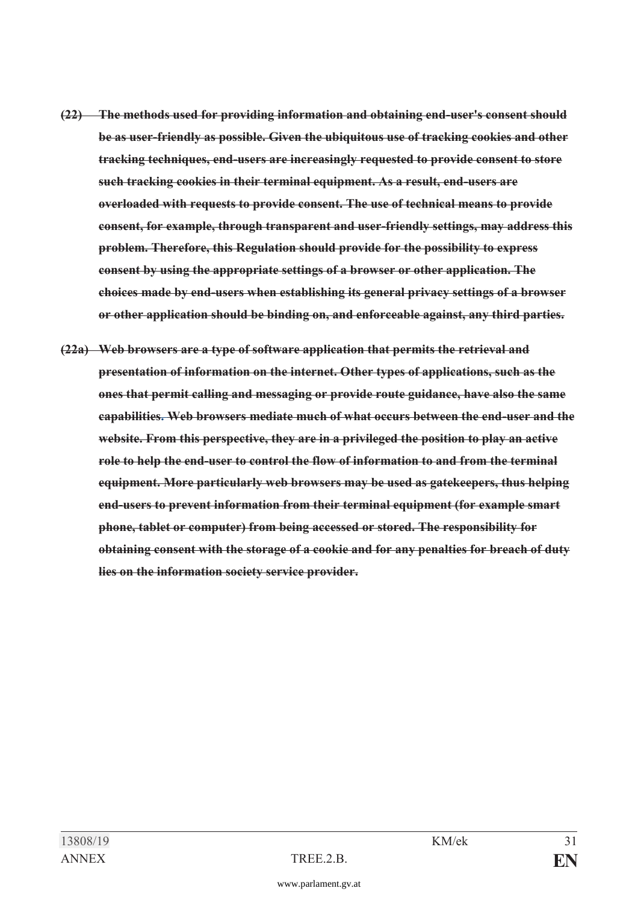- **(22) The methods used for providing information and obtaining end-user's consent should be as user-friendly as possible. Given the ubiquitous use of tracking cookies and other tracking techniques, end-users are increasingly requested to provide consent to store such tracking cookies in their terminal equipment. As a result, end-users are overloaded with requests to provide consent. The use of technical means to provide consent, for example, through transparent and user-friendly settings, may address this problem. Therefore, this Regulation should provide for the possibility to express consent by using the appropriate settings of a browser or other application. The choices made by end-users when establishing its general privacy settings of a browser or other application should be binding on, and enforceable against, any third parties.**
- **(22a) Web browsers are a type of software application that permits the retrieval and presentation of information on the internet. Other types of applications, such as the ones that permit calling and messaging or provide route guidance, have also the same capabilities. Web browsers mediate much of what occurs between the end-user and the website. From this perspective, they are in a privileged the position to play an active role to help the end-user to control the flow of information to and from the terminal equipment. More particularly web browsers may be used as gatekeepers, thus helping end-users to prevent information from their terminal equipment (for example smart phone, tablet or computer) from being accessed or stored. The responsibility for obtaining consent with the storage of a cookie and for any penalties for breach of duty lies on the information society service provider.**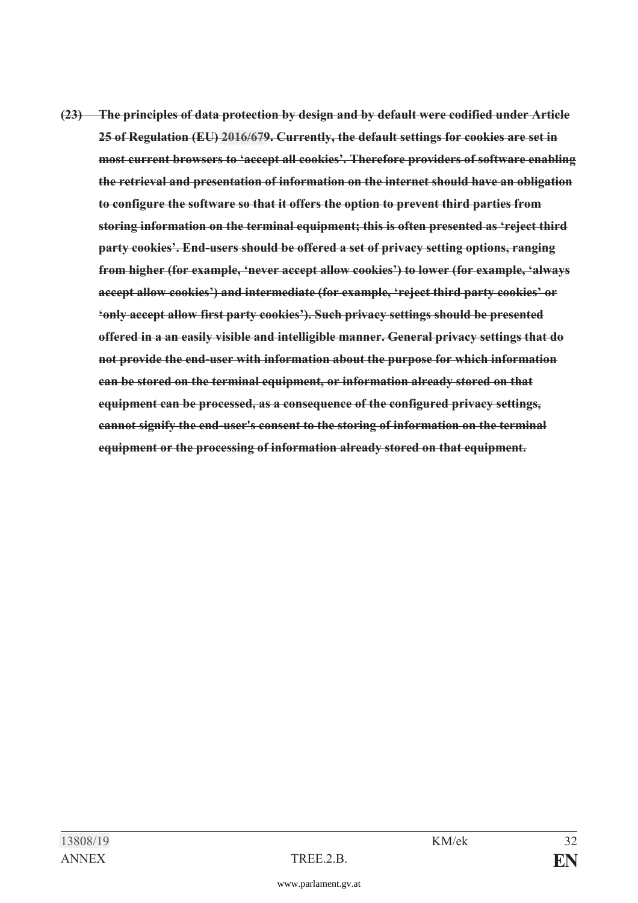**(23) The principles of data protection by design and by default were codified under Article 25 of Regulation (EU) [2016/67](https://www.parlament.gv.at/pls/portal/le.link?gp=XXVII&ityp=EU&inr=2143&code1=VER&code2=&gruppen=Link:2016/67;Nr:2016;Year:67&comp=)9. Currently, the default settings for cookies are set in most current browsers to 'accept all cookies'. Therefore providers of software enabling the retrieval and presentation of information on the internet should have an obligation to configure the software so that it offers the option to prevent third parties from storing information on the terminal equipment; this is often presented as 'reject third party cookies'. End-users should be offered a set of privacy setting options, ranging from higher (for example, 'never accept allow cookies') to lower (for example, 'always accept allow cookies') and intermediate (for example, 'reject third party cookies' or 'only accept allow first party cookies'). Such privacy settings should be presented offered in a an easily visible and intelligible manner. General privacy settings that do not provide the end-user with information about the purpose for which information can be stored on the terminal equipment, or information already stored on that equipment can be processed, as a consequence of the configured privacy settings, cannot signify the end-user's consent to the storing of information on the terminal equipment or the processing of information already stored on that equipment.**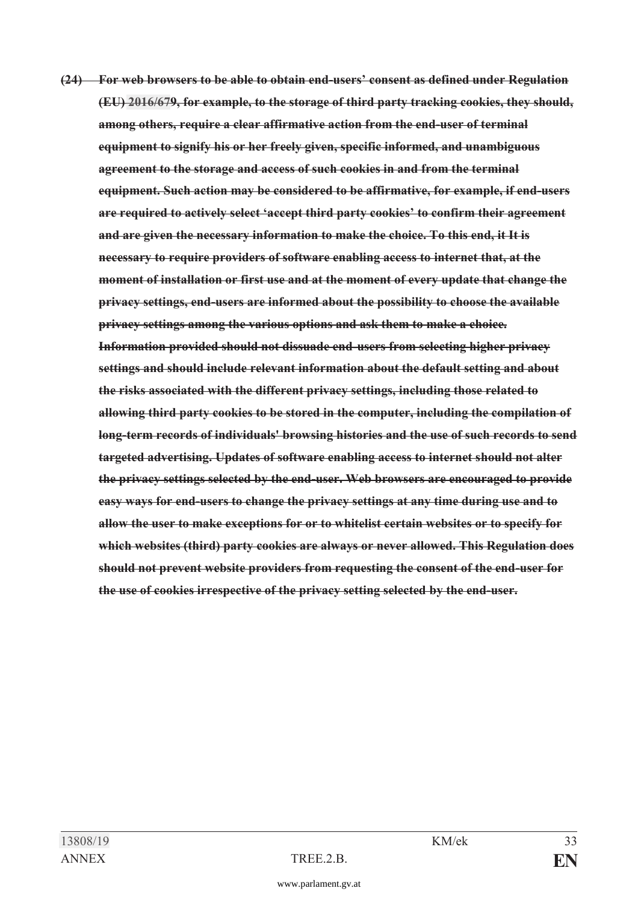**(24) For web browsers to be able to obtain end-users' consent as defined under Regulation (EU) [2016/67](https://www.parlament.gv.at/pls/portal/le.link?gp=XXVII&ityp=EU&inr=2143&code1=VER&code2=&gruppen=Link:2016/67;Nr:2016;Year:67&comp=)9, for example, to the storage of third party tracking cookies, they should, among others, require a clear affirmative action from the end-user of terminal equipment to signify his or her freely given, specific informed, and unambiguous agreement to the storage and access of such cookies in and from the terminal equipment. Such action may be considered to be affirmative, for example, if end-users are required to actively select 'accept third party cookies' to confirm their agreement and are given the necessary information to make the choice. To this end, it It is necessary to require providers of software enabling access to internet that, at the moment of installation or first use and at the moment of every update that change the privacy settings, end-users are informed about the possibility to choose the available privacy settings among the various options and ask them to make a choice. Information provided should not dissuade end-users from selecting higher privacy settings and should include relevant information about the default setting and about the risks associated with the different privacy settings, including those related to allowing third party cookies to be stored in the computer, including the compilation of long-term records of individuals' browsing histories and the use of such records to send targeted advertising. Updates of software enabling access to internet should not alter the privacy settings selected by the end-user. Web browsers are encouraged to provide easy ways for end-users to change the privacy settings at any time during use and to allow the user to make exceptions for or to whitelist certain websites or to specify for which websites (third) party cookies are always or never allowed. This Regulation does should not prevent website providers from requesting the consent of the end-user for the use of cookies irrespective of the privacy setting selected by the end-user.**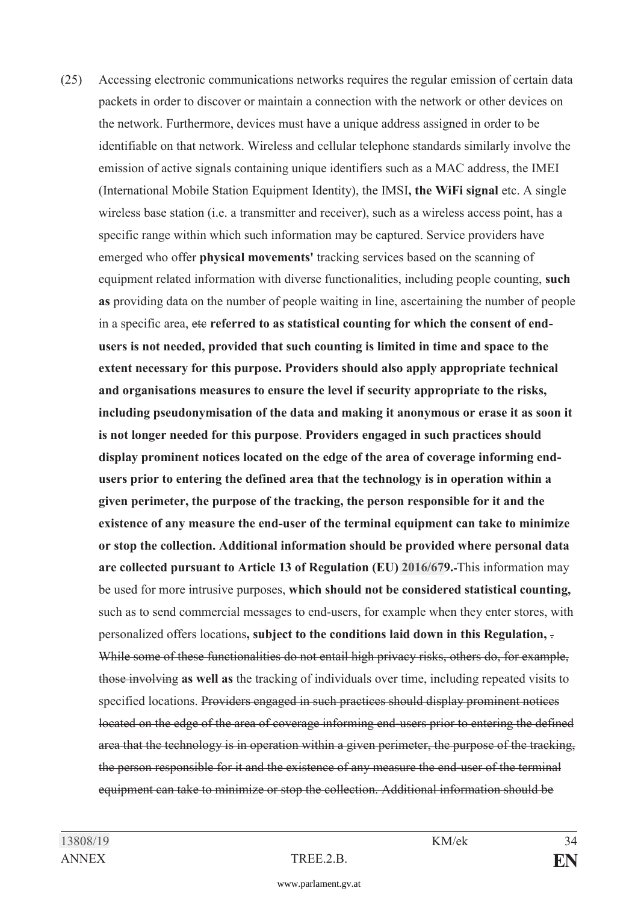(25) Accessing electronic communications networks requires the regular emission of certain data packets in order to discover or maintain a connection with the network or other devices on the network. Furthermore, devices must have a unique address assigned in order to be identifiable on that network. Wireless and cellular telephone standards similarly involve the emission of active signals containing unique identifiers such as a MAC address, the IMEI (International Mobile Station Equipment Identity), the IMSI**, the WiFi signal** etc. A single wireless base station (i.e. a transmitter and receiver), such as a wireless access point, has a specific range within which such information may be captured. Service providers have emerged who offer **physical movements'** tracking services based on the scanning of equipment related information with diverse functionalities, including people counting, **such as** providing data on the number of people waiting in line, ascertaining the number of people in a specific area, etc referred to as statistical counting for which the consent of end**users is not needed, provided that such counting is limited in time and space to the extent necessary for this purpose. Providers should also apply appropriate technical and organisations measures to ensure the level if security appropriate to the risks, including pseudonymisation of the data and making it anonymous or erase it as soon it is not longer needed for this purpose**. **Providers engaged in such practices should display prominent notices located on the edge of the area of coverage informing endusers prior to entering the defined area that the technology is in operation within a given perimeter, the purpose of the tracking, the person responsible for it and the existence of any measure the end-user of the terminal equipment can take to minimize or stop the collection. Additional information should be provided where personal data are collected pursuant to Article 13 of Regulation (EU) [2016/67](https://www.parlament.gv.at/pls/portal/le.link?gp=XXVII&ityp=EU&inr=2143&code1=VER&code2=&gruppen=Link:2016/67;Nr:2016;Year:67&comp=)9.** This information may be used for more intrusive purposes, **which should not be considered statistical counting,** such as to send commercial messages to end-users, for example when they enter stores, with personalized offers locations**, subject to the conditions laid down in this Regulation,** . While some of these functionalities do not entail high privacy risks, others do, for example, those involving **as well as** the tracking of individuals over time, including repeated visits to specified locations. Providers engaged in such practices should display prominent notices located on the edge of the area of coverage informing end-users prior to entering the defined area that the technology is in operation within a given perimeter, the purpose of the tracking, the person responsible for it and the existence of any measure the end-user of the terminal equipment can take to minimize or stop the collection. Additional information should be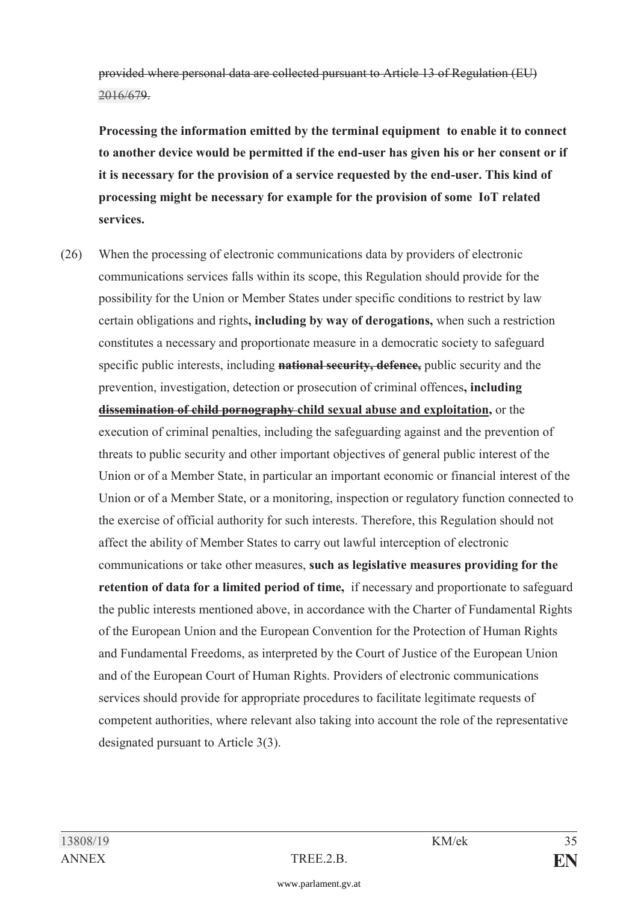provided where personal data are collected pursuant to Article 13 of Regulation (EU) [2016/67](https://www.parlament.gv.at/pls/portal/le.link?gp=XXVII&ityp=EU&inr=2143&code1=VER&code2=&gruppen=Link:2016/67;Nr:2016;Year:67&comp=)9.

**Processing the information emitted by the terminal equipment to enable it to connect to another device would be permitted if the end-user has given his or her consent or if it is necessary for the provision of a service requested by the end-user. This kind of processing might be necessary for example for the provision of some IoT related services.** 

(26) When the processing of electronic communications data by providers of electronic communications services falls within its scope, this Regulation should provide for the possibility for the Union or Member States under specific conditions to restrict by law certain obligations and rights**, including by way of derogations,** when such a restriction constitutes a necessary and proportionate measure in a democratic society to safeguard specific public interests, including **national security, defence,** public security and the prevention, investigation, detection or prosecution of criminal offences**, including dissemination of child pornography child sexual abuse and exploitation,** or the execution of criminal penalties, including the safeguarding against and the prevention of threats to public security and other important objectives of general public interest of the Union or of a Member State, in particular an important economic or financial interest of the Union or of a Member State, or a monitoring, inspection or regulatory function connected to the exercise of official authority for such interests. Therefore, this Regulation should not affect the ability of Member States to carry out lawful interception of electronic communications or take other measures, **such as legislative measures providing for the retention of data for a limited period of time,** if necessary and proportionate to safeguard the public interests mentioned above, in accordance with the Charter of Fundamental Rights of the European Union and the European Convention for the Protection of Human Rights and Fundamental Freedoms, as interpreted by the Court of Justice of the European Union and of the European Court of Human Rights. Providers of electronic communications services should provide for appropriate procedures to facilitate legitimate requests of competent authorities, where relevant also taking into account the role of the representative designated pursuant to Article 3(3).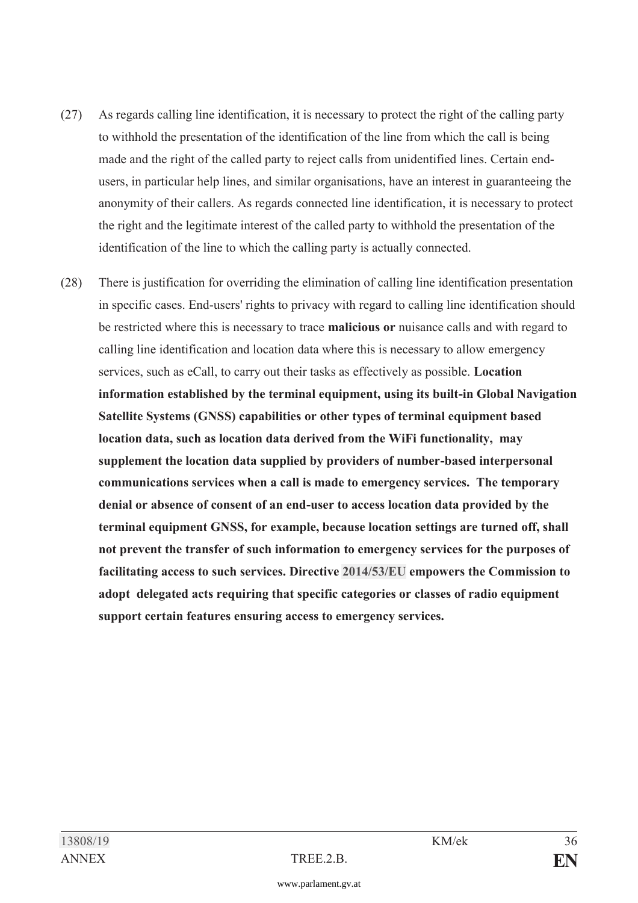- (27) As regards calling line identification, it is necessary to protect the right of the calling party to withhold the presentation of the identification of the line from which the call is being made and the right of the called party to reject calls from unidentified lines. Certain endusers, in particular help lines, and similar organisations, have an interest in guaranteeing the anonymity of their callers. As regards connected line identification, it is necessary to protect the right and the legitimate interest of the called party to withhold the presentation of the identification of the line to which the calling party is actually connected.
- (28) There is justification for overriding the elimination of calling line identification presentation in specific cases. End-users' rights to privacy with regard to calling line identification should be restricted where this is necessary to trace **malicious or** nuisance calls and with regard to calling line identification and location data where this is necessary to allow emergency services, such as eCall, to carry out their tasks as effectively as possible. **Location information established by the terminal equipment, using its built-in Global Navigation Satellite Systems (GNSS) capabilities or other types of terminal equipment based location data, such as location data derived from the WiFi functionality, may supplement the location data supplied by providers of number-based interpersonal communications services when a call is made to emergency services. The temporary denial or absence of consent of an end-user to access location data provided by the terminal equipment GNSS, for example, because location settings are turned off, shall not prevent the transfer of such information to emergency services for the purposes of facilitating access to such services. Directive [2014/53/EU](https://www.parlament.gv.at/pls/portal/le.link?gp=XXVII&ityp=EU&inr=2143&code1=RIL&code2=&gruppen=Link:2014/53/EU;Year:2014;Nr:53&comp=) empowers the Commission to adopt delegated acts requiring that specific categories or classes of radio equipment support certain features ensuring access to emergency services.**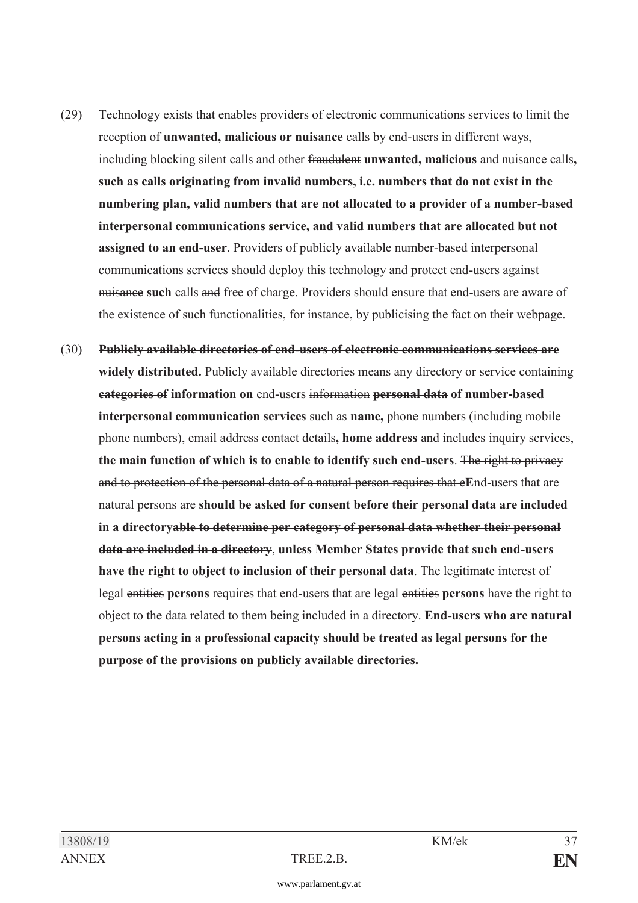- (29) Technology exists that enables providers of electronic communications services to limit the reception of **unwanted, malicious or nuisance** calls by end-users in different ways, including blocking silent calls and other fraudulent **unwanted, malicious** and nuisance calls**, such as calls originating from invalid numbers, i.e. numbers that do not exist in the numbering plan, valid numbers that are not allocated to a provider of a number-based interpersonal communications service, and valid numbers that are allocated but not assigned to an end-user**. Providers of publicly available number-based interpersonal communications services should deploy this technology and protect end-users against nuisance **such** calls and free of charge. Providers should ensure that end-users are aware of the existence of such functionalities, for instance, by publicising the fact on their webpage.
- (30) **Publicly available directories of end-users of electronic communications services are widely distributed.** Publicly available directories means any directory or service containing **categories of information on** end-users information **personal data of number-based interpersonal communication services** such as **name,** phone numbers (including mobile phone numbers), email address contact details**, home address** and includes inquiry services, **the main function of which is to enable to identify such end-users**. The right to privacy and to protection of the personal data of a natural person requires that e**E**nd-users that are natural persons are **should be asked for consent before their personal data are included in a directoryable to determine per category of personal data whether their personal data are included in a directory**, **unless Member States provide that such end-users have the right to object to inclusion of their personal data**. The legitimate interest of legal entities **persons** requires that end-users that are legal entities **persons** have the right to object to the data related to them being included in a directory. **End-users who are natural persons acting in a professional capacity should be treated as legal persons for the purpose of the provisions on publicly available directories.**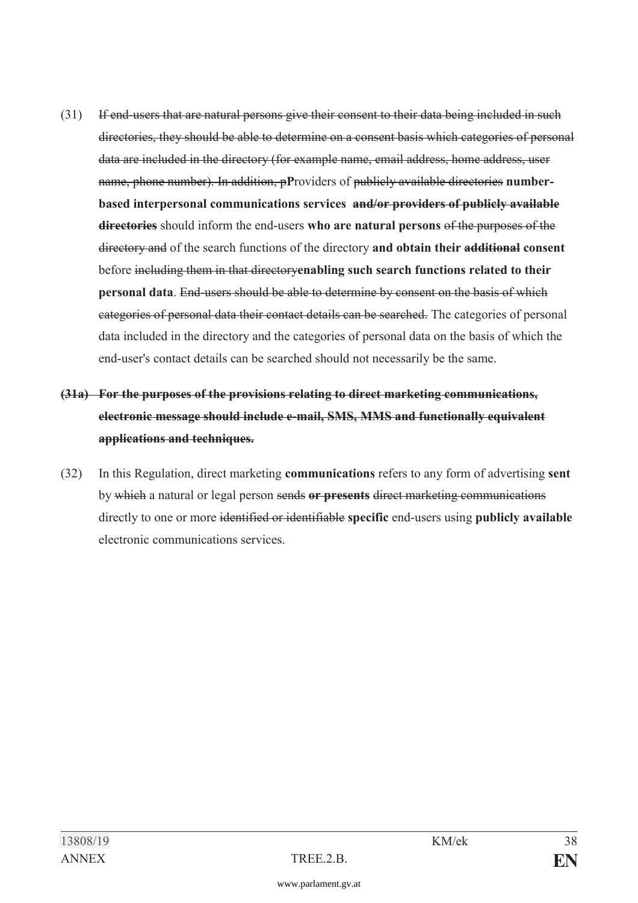- (31) If end-users that are natural persons give their consent to their data being included in such directories, they should be able to determine on a consent basis which categories of personal data are included in the directory (for example name, email address, home address, user name, phone number). In addition, p**P**roviders of publicly available directories **numberbased interpersonal communications services and/or providers of publicly available directories** should inform the end-users **who are natural persons** of the purposes of the directory and of the search functions of the directory **and obtain their additional consent** before including them in that directory**enabling such search functions related to their personal data**. End-users should be able to determine by consent on the basis of which categories of personal data their contact details can be searched. The categories of personal data included in the directory and the categories of personal data on the basis of which the end-user's contact details can be searched should not necessarily be the same.
- **(31a) For the purposes of the provisions relating to direct marketing communications, electronic message should include e-mail, SMS, MMS and functionally equivalent applications and techniques.**
- (32) In this Regulation, direct marketing **communications** refers to any form of advertising **sent**  by which a natural or legal person sends **or presents** direct marketing communications directly to one or more identified or identifiable **specific** end-users using **publicly available**  electronic communications services.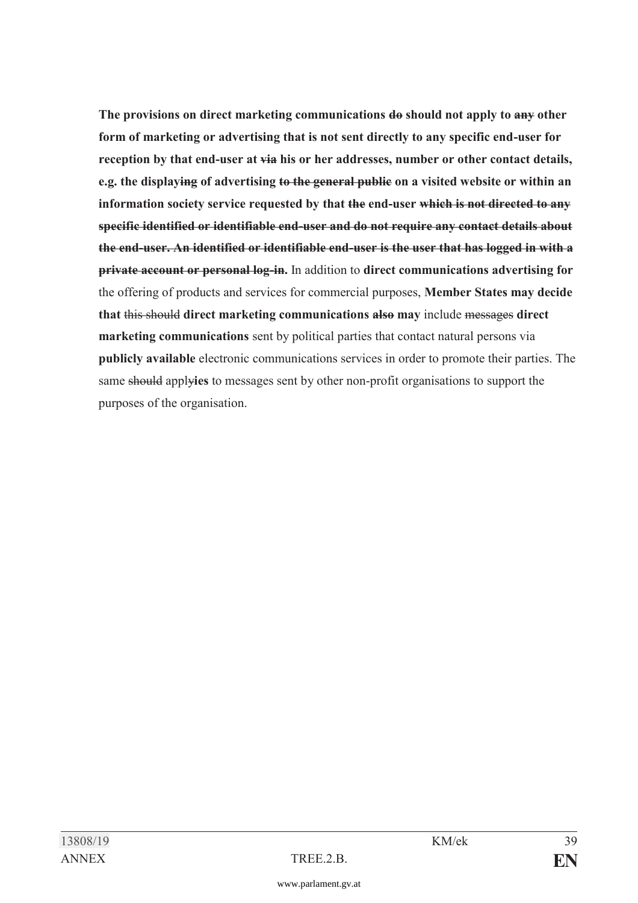**The provisions on direct marketing communications do should not apply to any other form of marketing or advertising that is not sent directly to any specific end-user for reception by that end-user at via his or her addresses, number or other contact details, e.g. the displaying of advertising to the general public on a visited website or within an information society service requested by that the end-user which is not directed to any specific identified or identifiable end-user and do not require any contact details about the end-user. An identified or identifiable end-user is the user that has logged in with a private account or personal log-in.** In addition to **direct communications advertising for**  the offering of products and services for commercial purposes, **Member States may decide that** this should **direct marketing communications also may** include messages **direct marketing communications** sent by political parties that contact natural persons via **publicly available** electronic communications services in order to promote their parties. The same should apply**ies** to messages sent by other non-profit organisations to support the purposes of the organisation.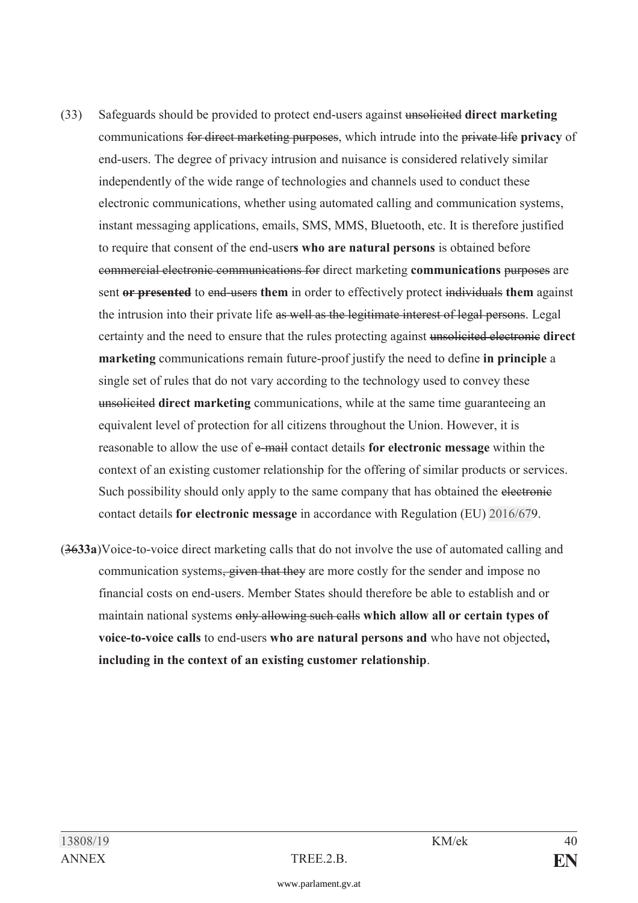- (33) Safeguards should be provided to protect end-users against unsolicited **direct marketing** communications for direct marketing purposes, which intrude into the private life **privacy** of end-users. The degree of privacy intrusion and nuisance is considered relatively similar independently of the wide range of technologies and channels used to conduct these electronic communications, whether using automated calling and communication systems, instant messaging applications, emails, SMS, MMS, Bluetooth, etc. It is therefore justified to require that consent of the end-user**s who are natural persons** is obtained before commercial electronic communications for direct marketing **communications** purposes are sent **or presented** to end-users **them** in order to effectively protect individuals **them** against the intrusion into their private life as well as the legitimate interest of legal persons. Legal certainty and the need to ensure that the rules protecting against unsolicited electronic **direct marketing** communications remain future-proof justify the need to define **in principle** a single set of rules that do not vary according to the technology used to convey these unsolicited **direct marketing** communications, while at the same time guaranteeing an equivalent level of protection for all citizens throughout the Union. However, it is reasonable to allow the use of e-mail contact details **for electronic message** within the context of an existing customer relationship for the offering of similar products or services. Such possibility should only apply to the same company that has obtained the electronic contact details **for electronic message** in accordance with Regulation (EU) [2016/67](https://www.parlament.gv.at/pls/portal/le.link?gp=XXVII&ityp=EU&inr=2143&code1=VER&code2=&gruppen=Link:2016/67;Nr:2016;Year:67&comp=)9.
- (36**33a**)Voice-to-voice direct marketing calls that do not involve the use of automated calling and communication systems, given that they are more costly for the sender and impose no financial costs on end-users. Member States should therefore be able to establish and or maintain national systems only allowing such calls **which allow all or certain types of voice-to-voice calls** to end-users **who are natural persons and** who have not objected**, including in the context of an existing customer relationship**.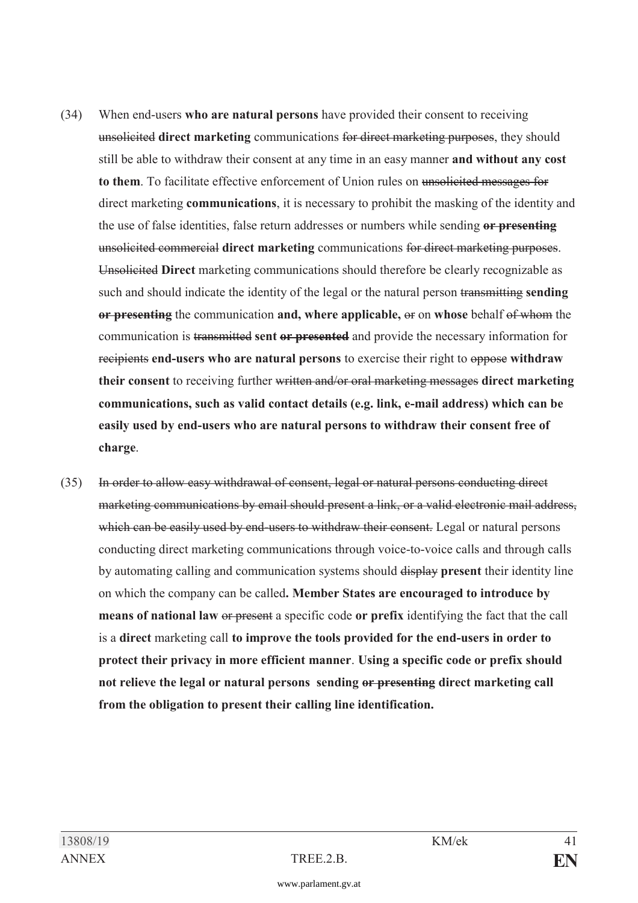- (34) When end-users **who are natural persons** have provided their consent to receiving unsolicited **direct marketing** communications for direct marketing purposes, they should still be able to withdraw their consent at any time in an easy manner **and without any cost to them**. To facilitate effective enforcement of Union rules on unsolicited messages for direct marketing **communications**, it is necessary to prohibit the masking of the identity and the use of false identities, false return addresses or numbers while sending **or presenting** unsolicited commercial **direct marketing** communications for direct marketing purposes. Unsolicited **Direct** marketing communications should therefore be clearly recognizable as such and should indicate the identity of the legal or the natural person transmitting **sending or presenting** the communication **and, where applicable,** or on **whose** behalf of whom the communication is transmitted **sent or presented** and provide the necessary information for recipients **end-users who are natural persons** to exercise their right to oppose **withdraw their consent** to receiving further written and/or oral marketing messages **direct marketing communications, such as valid contact details (e.g. link, e-mail address) which can be easily used by end-users who are natural persons to withdraw their consent free of charge**.
- (35) In order to allow easy withdrawal of consent, legal or natural persons conducting direct marketing communications by email should present a link, or a valid electronic mail address, which can be easily used by end-users to withdraw their consent. Legal or natural persons conducting direct marketing communications through voice-to-voice calls and through calls by automating calling and communication systems should display **present** their identity line on which the company can be called**. Member States are encouraged to introduce by means of national law** or present a specific code **or prefix** identifying the fact that the call is a **direct** marketing call **to improve the tools provided for the end-users in order to protect their privacy in more efficient manner**. **Using a specific code or prefix should not relieve the legal or natural persons sending or presenting direct marketing call from the obligation to present their calling line identification.**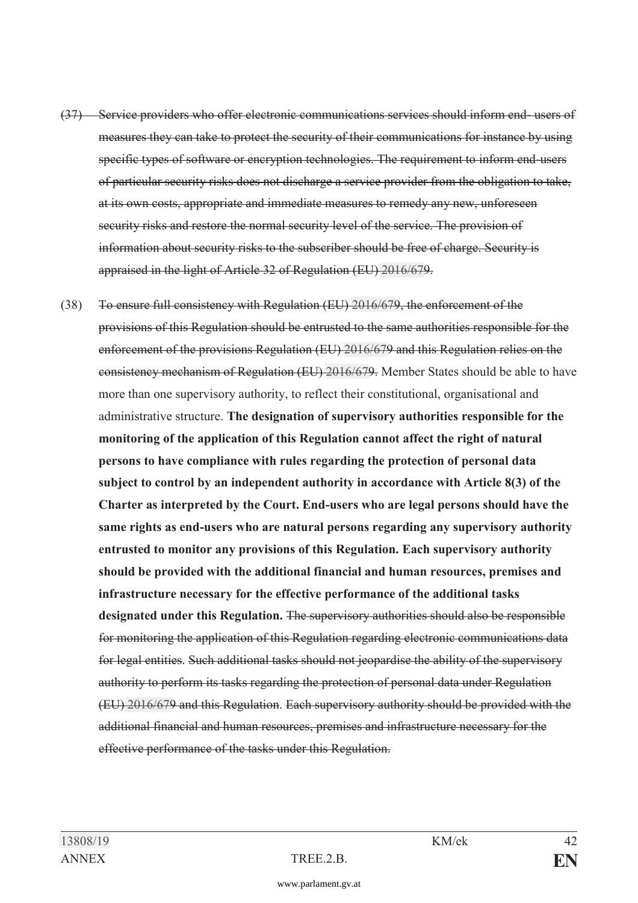- (37) Service providers who offer electronic communications services should inform end- users of measures they can take to protect the security of their communications for instance by using specific types of software or encryption technologies. The requirement to inform end-users of particular security risks does not discharge a service provider from the obligation to take, at its own costs, appropriate and immediate measures to remedy any new, unforeseen security risks and restore the normal security level of the service. The provision of information about security risks to the subscriber should be free of charge. Security is appraised in the light of Article 32 of Regulation (EU) [2016/67](https://www.parlament.gv.at/pls/portal/le.link?gp=XXVII&ityp=EU&inr=2143&code1=VER&code2=&gruppen=Link:2016/67;Nr:2016;Year:67&comp=)9.
- (38) To ensure full consistency with Regulation (EU) [2016/67](https://www.parlament.gv.at/pls/portal/le.link?gp=XXVII&ityp=EU&inr=2143&code1=VER&code2=&gruppen=Link:2016/67;Nr:2016;Year:67&comp=)9, the enforcement of the provisions of this Regulation should be entrusted to the same authorities responsible for the enforcement of the provisions Regulation (EU) [2016/67](https://www.parlament.gv.at/pls/portal/le.link?gp=XXVII&ityp=EU&inr=2143&code1=VER&code2=&gruppen=Link:2016/67;Nr:2016;Year:67&comp=)9 and this Regulation relies on the consistency mechanism of Regulation (EU) [2016/67](https://www.parlament.gv.at/pls/portal/le.link?gp=XXVII&ityp=EU&inr=2143&code1=VER&code2=&gruppen=Link:2016/67;Nr:2016;Year:67&comp=)9. Member States should be able to have more than one supervisory authority, to reflect their constitutional, organisational and administrative structure. **The designation of supervisory authorities responsible for the monitoring of the application of this Regulation cannot affect the right of natural persons to have compliance with rules regarding the protection of personal data subject to control by an independent authority in accordance with Article 8(3) of the Charter as interpreted by the Court. End-users who are legal persons should have the same rights as end-users who are natural persons regarding any supervisory authority entrusted to monitor any provisions of this Regulation. Each supervisory authority should be provided with the additional financial and human resources, premises and infrastructure necessary for the effective performance of the additional tasks designated under this Regulation.** The supervisory authorities should also be responsible for monitoring the application of this Regulation regarding electronic communications data for legal entities. Such additional tasks should not jeopardise the ability of the supervisory authority to perform its tasks regarding the protection of personal data under Regulation (EU) [2016/67](https://www.parlament.gv.at/pls/portal/le.link?gp=XXVII&ityp=EU&inr=2143&code1=VER&code2=&gruppen=Link:2016/67;Nr:2016;Year:67&comp=)9 and this Regulation. Each supervisory authority should be provided with the additional financial and human resources, premises and infrastructure necessary for the effective performance of the tasks under this Regulation.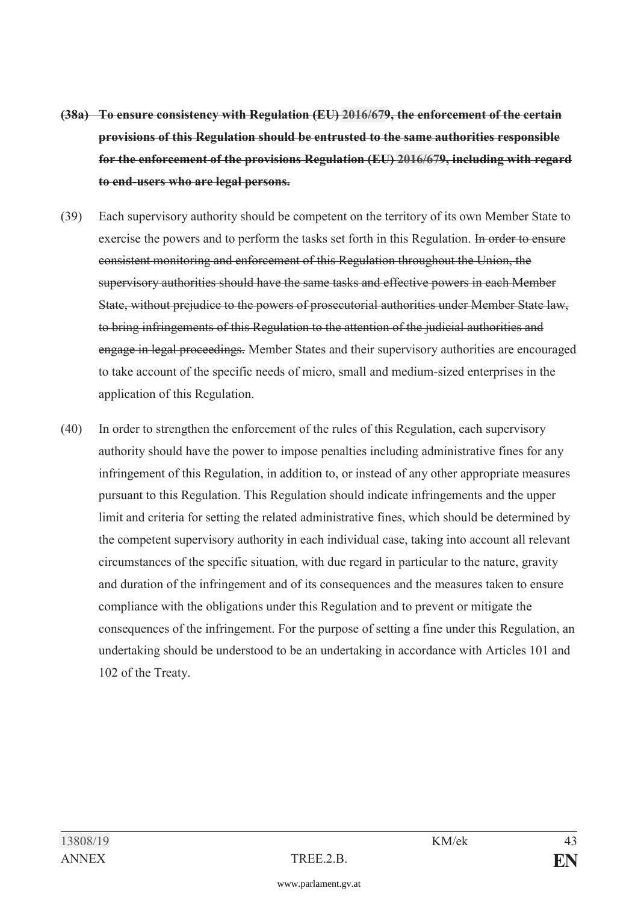- **(38a) To ensure consistency with Regulation (EU) [2016/67](https://www.parlament.gv.at/pls/portal/le.link?gp=XXVII&ityp=EU&inr=2143&code1=VER&code2=&gruppen=Link:2016/67;Nr:2016;Year:67&comp=)9, the enforcement of the certain provisions of this Regulation should be entrusted to the same authorities responsible for the enforcement of the provisions Regulation (EU) [2016/67](https://www.parlament.gv.at/pls/portal/le.link?gp=XXVII&ityp=EU&inr=2143&code1=VER&code2=&gruppen=Link:2016/67;Nr:2016;Year:67&comp=)9, including with regard to end-users who are legal persons.**
- (39) Each supervisory authority should be competent on the territory of its own Member State to exercise the powers and to perform the tasks set forth in this Regulation. In order to ensure consistent monitoring and enforcement of this Regulation throughout the Union, the supervisory authorities should have the same tasks and effective powers in each Member State, without prejudice to the powers of prosecutorial authorities under Member State law, to bring infringements of this Regulation to the attention of the judicial authorities and engage in legal proceedings. Member States and their supervisory authorities are encouraged to take account of the specific needs of micro, small and medium-sized enterprises in the application of this Regulation.
- (40) In order to strengthen the enforcement of the rules of this Regulation, each supervisory authority should have the power to impose penalties including administrative fines for any infringement of this Regulation, in addition to, or instead of any other appropriate measures pursuant to this Regulation. This Regulation should indicate infringements and the upper limit and criteria for setting the related administrative fines, which should be determined by the competent supervisory authority in each individual case, taking into account all relevant circumstances of the specific situation, with due regard in particular to the nature, gravity and duration of the infringement and of its consequences and the measures taken to ensure compliance with the obligations under this Regulation and to prevent or mitigate the consequences of the infringement. For the purpose of setting a fine under this Regulation, an undertaking should be understood to be an undertaking in accordance with Articles 101 and 102 of the Treaty.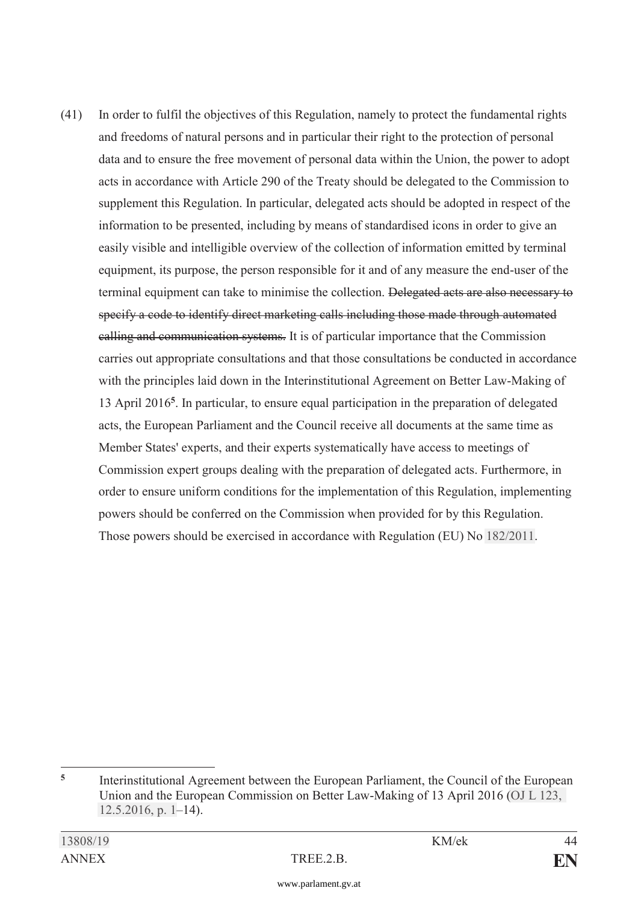(41) In order to fulfil the objectives of this Regulation, namely to protect the fundamental rights and freedoms of natural persons and in particular their right to the protection of personal data and to ensure the free movement of personal data within the Union, the power to adopt acts in accordance with Article 290 of the Treaty should be delegated to the Commission to supplement this Regulation. In particular, delegated acts should be adopted in respect of the information to be presented, including by means of standardised icons in order to give an easily visible and intelligible overview of the collection of information emitted by terminal equipment, its purpose, the person responsible for it and of any measure the end-user of the terminal equipment can take to minimise the collection. Delegated acts are also necessary to specify a code to identify direct marketing calls including those made through automated calling and communication systems. It is of particular importance that the Commission carries out appropriate consultations and that those consultations be conducted in accordance with the principles laid down in the Interinstitutional Agreement on Better Law-Making of 13 April 2016**<sup>5</sup>**. In particular, to ensure equal participation in the preparation of delegated acts, the European Parliament and the Council receive all documents at the same time as Member States' experts, and their experts systematically have access to meetings of Commission expert groups dealing with the preparation of delegated acts. Furthermore, in order to ensure uniform conditions for the implementation of this Regulation, implementing powers should be conferred on the Commission when provided for by this Regulation. Those powers should be exercised in accordance with Regulation (EU) No [182/2011](https://www.parlament.gv.at/pls/portal/le.link?gp=XXVII&ityp=EU&inr=2143&code1=VER&code2=&gruppen=Link:182/2011;Nr:182;Year:2011&comp=).

<sup>-</sup><sup>5</sup> Interinstitutional Agreement between the European Parliament, the Council of the European Union and the European Commission on Better Law-Making of 13 April 2016 [\(OJ L 123,](https://www.parlament.gv.at/pls/portal/le.link?gp=XXVII&ityp=EU&inr=2143&code1=ABL&code2=&gruppen=Code:L;Nr:123;Day:12;Month:5;Year:2016;Page:1&comp=)  [12.5.2016, p. 1](https://www.parlament.gv.at/pls/portal/le.link?gp=XXVII&ityp=EU&inr=2143&code1=ABL&code2=&gruppen=Code:L;Nr:123;Day:12;Month:5;Year:2016;Page:1&comp=)–14).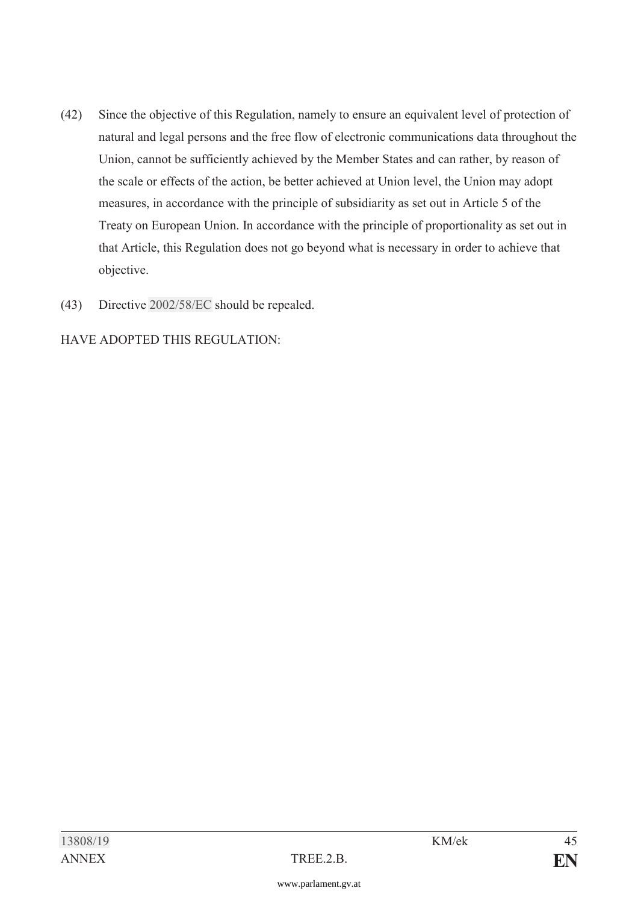- (42) Since the objective of this Regulation, namely to ensure an equivalent level of protection of natural and legal persons and the free flow of electronic communications data throughout the Union, cannot be sufficiently achieved by the Member States and can rather, by reason of the scale or effects of the action, be better achieved at Union level, the Union may adopt measures, in accordance with the principle of subsidiarity as set out in Article 5 of the Treaty on European Union. In accordance with the principle of proportionality as set out in that Article, this Regulation does not go beyond what is necessary in order to achieve that objective.
- (43) Directive [2002/58/EC](https://www.parlament.gv.at/pls/portal/le.link?gp=XXVII&ityp=EU&inr=2143&code1=RIL&code2=&gruppen=Link:2002/58/EC;Year:2002;Nr:58&comp=) should be repealed.

HAVE ADOPTED THIS REGULATION: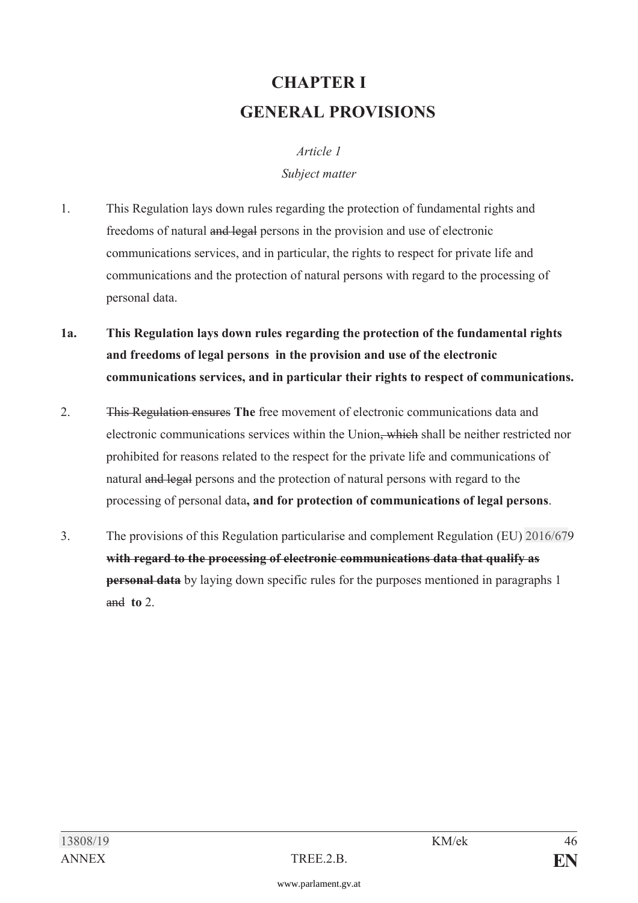# **CHAPTER I GENERAL PROVISIONS**

## *Article 1 Subject matter*

- 1. This Regulation lays down rules regarding the protection of fundamental rights and freedoms of natural and legal persons in the provision and use of electronic communications services, and in particular, the rights to respect for private life and communications and the protection of natural persons with regard to the processing of personal data.
- **1a. This Regulation lays down rules regarding the protection of the fundamental rights and freedoms of legal persons in the provision and use of the electronic communications services, and in particular their rights to respect of communications.**
- 2. This Regulation ensures **The** free movement of electronic communications data and electronic communications services within the Union, which shall be neither restricted nor prohibited for reasons related to the respect for the private life and communications of natural and legal persons and the protection of natural persons with regard to the processing of personal data**, and for protection of communications of legal persons**.
- 3. The provisions of this Regulation particularise and complement Regulation (EU) [2016/67](https://www.parlament.gv.at/pls/portal/le.link?gp=XXVII&ityp=EU&inr=2143&code1=VER&code2=&gruppen=Link:2016/67;Nr:2016;Year:67&comp=)9 **with regard to the processing of electronic communications data that qualify as personal data** by laying down specific rules for the purposes mentioned in paragraphs 1 and **to** 2.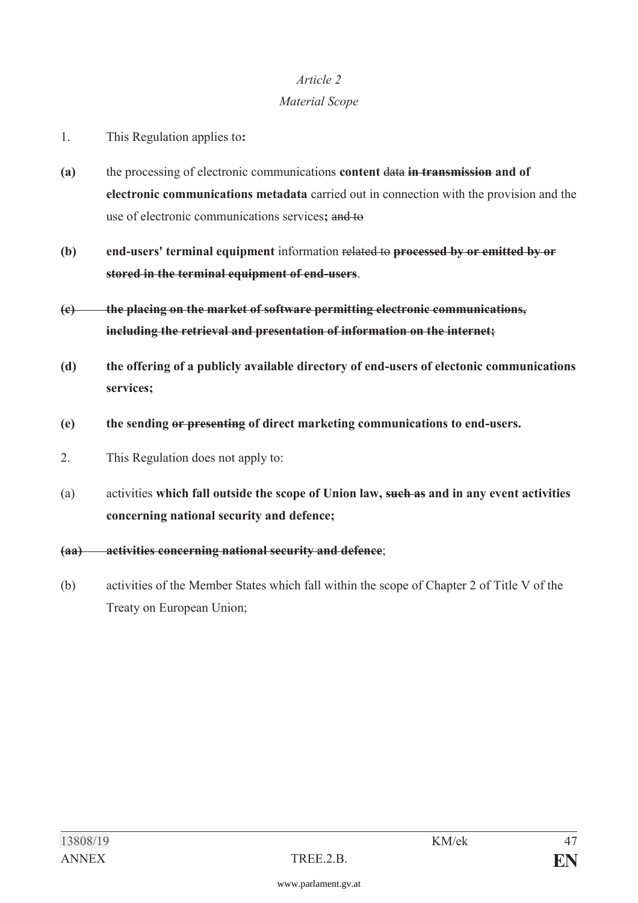#### *Material Scope*

- 1. This Regulation applies to**:**
- **(a)** the processing of electronic communications **content** data **in transmission and of electronic communications metadata** carried out in connection with the provision and the use of electronic communications services**;** and to
- **(b) end-users' terminal equipment** information related to **processed by or emitted by or stored in the terminal equipment of end-users**.
- **(c) the placing on the market of software permitting electronic communications, including the retrieval and presentation of information on the internet;**
- **(d) the offering of a publicly available directory of end-users of electonic communications services;**
- **(e) the sending or presenting of direct marketing communications to end-users.**
- 2. This Regulation does not apply to:
- (a) activities **which fall outside the scope of Union law, such as and in any event activities concerning national security and defence;**
- **(aa) activities concerning national security and defence**;
- (b) activities of the Member States which fall within the scope of Chapter 2 of Title V of the Treaty on European Union;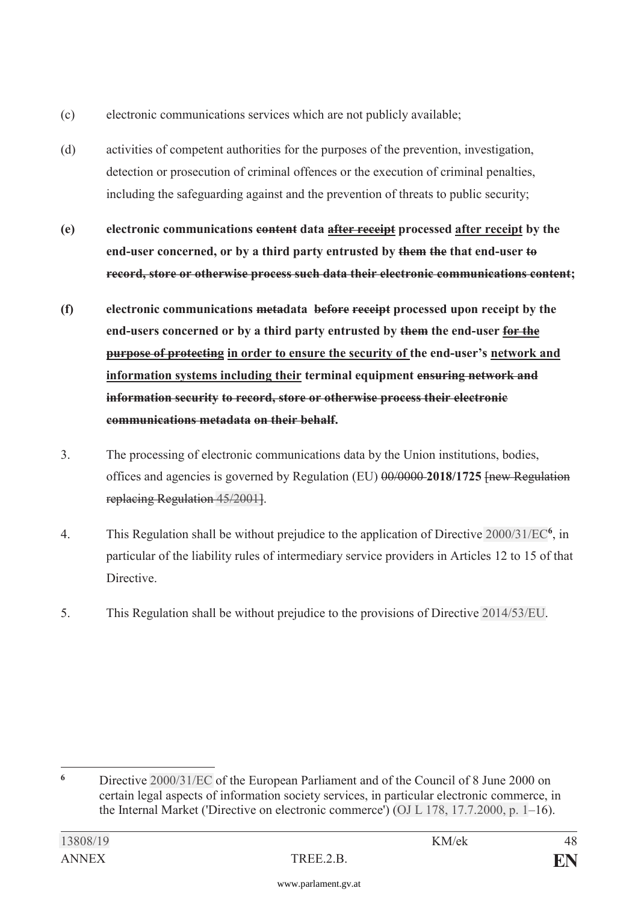- (c) electronic communications services which are not publicly available;
- (d) activities of competent authorities for the purposes of the prevention, investigation, detection or prosecution of criminal offences or the execution of criminal penalties, including the safeguarding against and the prevention of threats to public security;
- **(e) electronic communications content data after receipt processed after receipt by the end-user concerned, or by a third party entrusted by them the that end-user to record, store or otherwise process such data their electronic communications content;**
- **(f) electronic communications metadata before receipt processed upon receipt by the end-users concerned or by a third party entrusted by them the end-user for the purpose of protecting in order to ensure the security of the end-user's network and information systems including their terminal equipment ensuring network and information security to record, store or otherwise process their electronic communications metadata on their behalf.**
- 3. The processing of electronic communications data by the Union institutions, bodies, offices and agencies is governed by Regulation (EU) 00/0000 **2018/1725** [new Regulation replacing Regulation [45/2001](https://www.parlament.gv.at/pls/portal/le.link?gp=XXVII&ityp=EU&inr=2143&code1=VER&code2=&gruppen=Link:45/2001;Nr:45;Year:2001&comp=)].
- 4. This Regulation shall be without prejudice to the application of Directive [2000/31/EC](https://www.parlament.gv.at/pls/portal/le.link?gp=XXVII&ityp=EU&inr=2143&code1=RIL&code2=&gruppen=Link:2000/31/EC;Year:2000;Nr:31&comp=)**<sup>6</sup>**, in particular of the liability rules of intermediary service providers in Articles 12 to 15 of that Directive.
- 5. This Regulation shall be without prejudice to the provisions of Directive [2014/53/EU](https://www.parlament.gv.at/pls/portal/le.link?gp=XXVII&ityp=EU&inr=2143&code1=RIL&code2=&gruppen=Link:2014/53/EU;Year:2014;Nr:53&comp=).

 $\overline{a}$ **<sup>6</sup>** Directive [2000/31/EC](https://www.parlament.gv.at/pls/portal/le.link?gp=XXVII&ityp=EU&inr=2143&code1=RIL&code2=&gruppen=Link:2000/31/EC;Year:2000;Nr:31&comp=) of the European Parliament and of the Council of 8 June 2000 on certain legal aspects of information society services, in particular electronic commerce, in the Internal Market ('Directive on electronic commerce') [\(OJ L 178, 17.7.2000, p. 1](https://www.parlament.gv.at/pls/portal/le.link?gp=XXVII&ityp=EU&inr=2143&code1=ABL&code2=&gruppen=Code:L;Nr:178;Day:17;Month:7;Year:2000;Page:1&comp=)–16).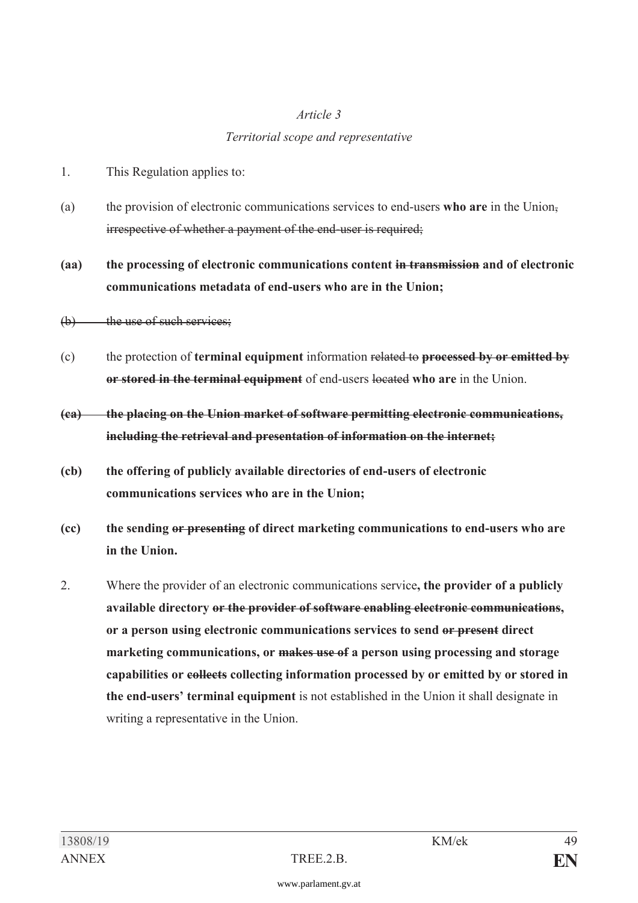#### *Territorial scope and representative*

- 1. This Regulation applies to:
- (a) the provision of electronic communications services to end-users **who are** in the Union, irrespective of whether a payment of the end-user is required;

**(aa) the processing of electronic communications content in transmission and of electronic communications metadata of end-users who are in the Union;** 

- $(b)$  the use of such services;
- (c) the protection of **terminal equipment** information related to **processed by or emitted by or stored in the terminal equipment** of end-users located **who are** in the Union.
- **(ca) the placing on the Union market of software permitting electronic communications, including the retrieval and presentation of information on the internet;**
- **(cb) the offering of publicly available directories of end-users of electronic communications services who are in the Union;**
- **(cc) the sending or presenting of direct marketing communications to end-users who are in the Union.**
- 2. Where the provider of an electronic communications service**, the provider of a publicly available directory or the provider of software enabling electronic communications, or a person using electronic communications services to send or present direct marketing communications, or makes use of a person using processing and storage capabilities or collects collecting information processed by or emitted by or stored in the end-users' terminal equipment** is not established in the Union it shall designate in writing a representative in the Union.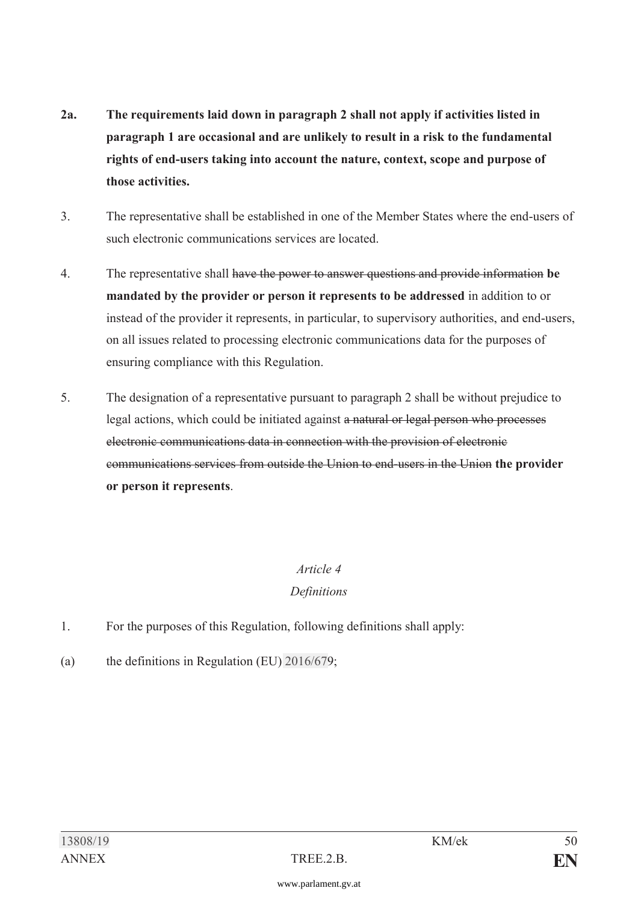- **2a. The requirements laid down in paragraph 2 shall not apply if activities listed in paragraph 1 are occasional and are unlikely to result in a risk to the fundamental rights of end-users taking into account the nature, context, scope and purpose of those activities.**
- 3. The representative shall be established in one of the Member States where the end-users of such electronic communications services are located.
- 4. The representative shall have the power to answer questions and provide information **be mandated by the provider or person it represents to be addressed** in addition to or instead of the provider it represents, in particular, to supervisory authorities, and end-users, on all issues related to processing electronic communications data for the purposes of ensuring compliance with this Regulation.
- 5. The designation of a representative pursuant to paragraph 2 shall be without prejudice to legal actions, which could be initiated against a natural or legal person who processes electronic communications data in connection with the provision of electronic communications services from outside the Union to end-users in the Union **the provider or person it represents**.

### *Definitions*

- 1. For the purposes of this Regulation, following definitions shall apply:
- (a) the definitions in Regulation (EU) [2016/67](https://www.parlament.gv.at/pls/portal/le.link?gp=XXVII&ityp=EU&inr=2143&code1=VER&code2=&gruppen=Link:2016/67;Nr:2016;Year:67&comp=)9;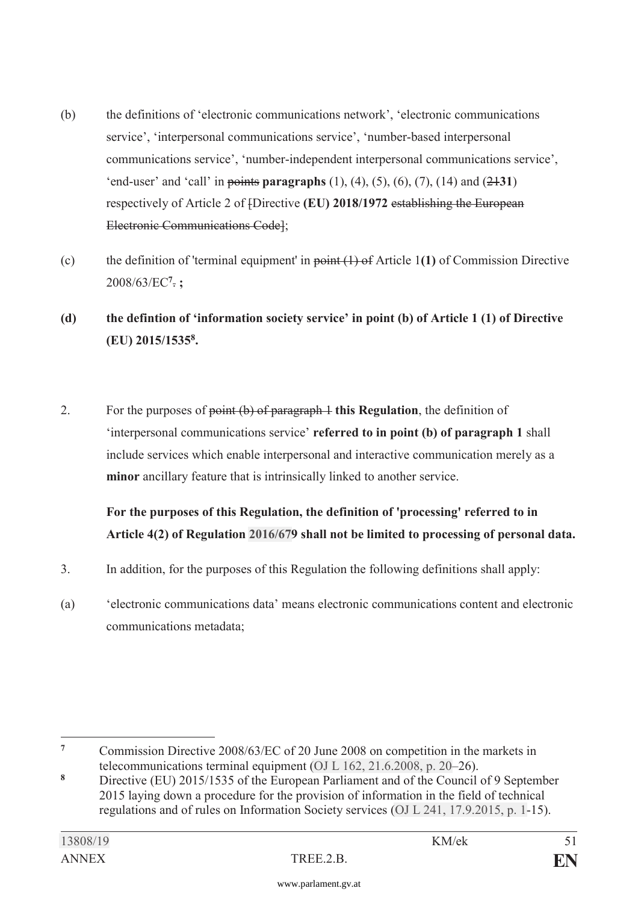- (b) the definitions of 'electronic communications network', 'electronic communications service', 'interpersonal communications service', 'number-based interpersonal communications service', 'number-independent interpersonal communications service', 'end-user' and 'call' in points **paragraphs** (1), (4), (5), (6), (7), (14) and (21**31**) respectively of Article 2 of [Directive **(EU) 2018/1972** establishing the European Electronic Communications Code];
- (c) the definition of 'terminal equipment' in point (1) of Article 1**(1)** of Commission Directive 2008/63/EC**<sup>7</sup>**. **;**
- **(d) the defintion of 'information society service' in point (b) of Article 1 (1) of Directive (EU) 2015/15358.**
- 2. For the purposes of point (b) of paragraph 1 **this Regulation**, the definition of 'interpersonal communications service' **referred to in point (b) of paragraph 1** shall include services which enable interpersonal and interactive communication merely as a **minor** ancillary feature that is intrinsically linked to another service.

**For the purposes of this Regulation, the definition of 'processing' referred to in Article 4(2) of Regulation [2016/67](https://www.parlament.gv.at/pls/portal/le.link?gp=XXVII&ityp=EU&inr=2143&code1=VER&code2=&gruppen=Link:2016/67;Nr:2016;Year:67&comp=)9 shall not be limited to processing of personal data.** 

- 3. In addition, for the purposes of this Regulation the following definitions shall apply:
- (a) 'electronic communications data' means electronic communications content and electronic communications metadata;

 $\overline{7}$ **<sup>7</sup>** Commission Directive 2008/63/EC of 20 June 2008 on competition in the markets in telecommunications terminal equipment [\(OJ L 162, 21.6.2008, p. 20](https://www.parlament.gv.at/pls/portal/le.link?gp=XXVII&ityp=EU&inr=2143&code1=ABL&code2=&gruppen=Code:L;Nr:162;Day:21;Month:6;Year:2008;Page:20&comp=)–26).

**<sup>8</sup>** Directive (EU) 2015/1535 of the European Parliament and of the Council of 9 September 2015 laying down a procedure for the provision of information in the field of technical regulations and of rules on Information Society services [\(OJ L 241, 17.9.2015, p. 1](https://www.parlament.gv.at/pls/portal/le.link?gp=XXVII&ityp=EU&inr=2143&code1=ABL&code2=&gruppen=Code:L;Nr:241;Day:17;Month:9;Year:2015;Page:1&comp=)-15).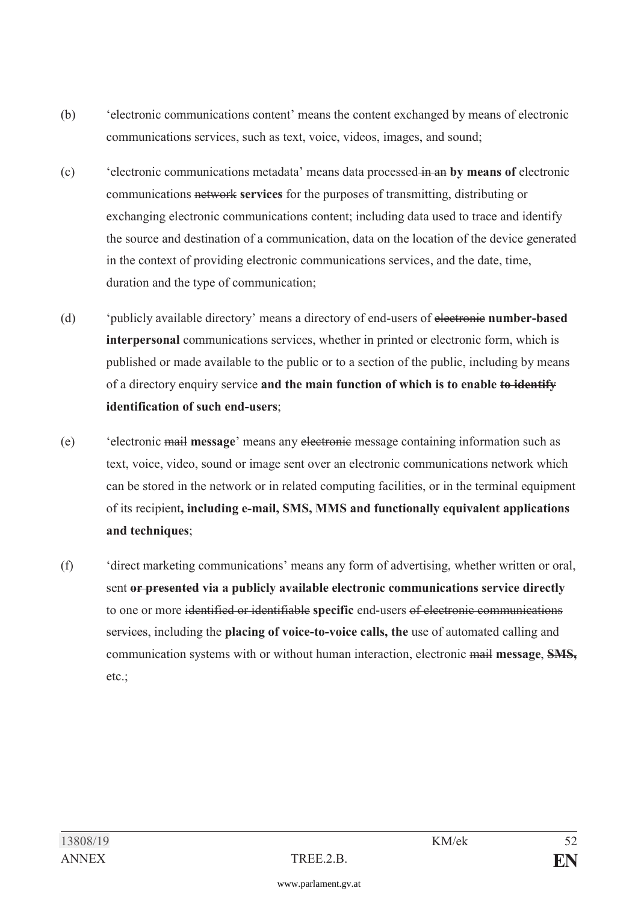- (b) 'electronic communications content' means the content exchanged by means of electronic communications services, such as text, voice, videos, images, and sound;
- (c) 'electronic communications metadata' means data processed in an **by means of** electronic communications network **services** for the purposes of transmitting, distributing or exchanging electronic communications content; including data used to trace and identify the source and destination of a communication, data on the location of the device generated in the context of providing electronic communications services, and the date, time, duration and the type of communication;
- (d) 'publicly available directory' means a directory of end-users of electronic **number-based interpersonal** communications services, whether in printed or electronic form, which is published or made available to the public or to a section of the public, including by means of a directory enquiry service **and the main function of which is to enable to identify identification of such end-users**;
- (e) 'electronic mail **message**' means any electronic message containing information such as text, voice, video, sound or image sent over an electronic communications network which can be stored in the network or in related computing facilities, or in the terminal equipment of its recipient**, including e-mail, SMS, MMS and functionally equivalent applications and techniques**;
- (f) 'direct marketing communications' means any form of advertising, whether written or oral, sent **or presented via a publicly available electronic communications service directly** to one or more identified or identifiable **specific** end-users of electronic communications services, including the **placing of voice-to-voice calls, the** use of automated calling and communication systems with or without human interaction, electronic mail **message**, **SMS,** etc.;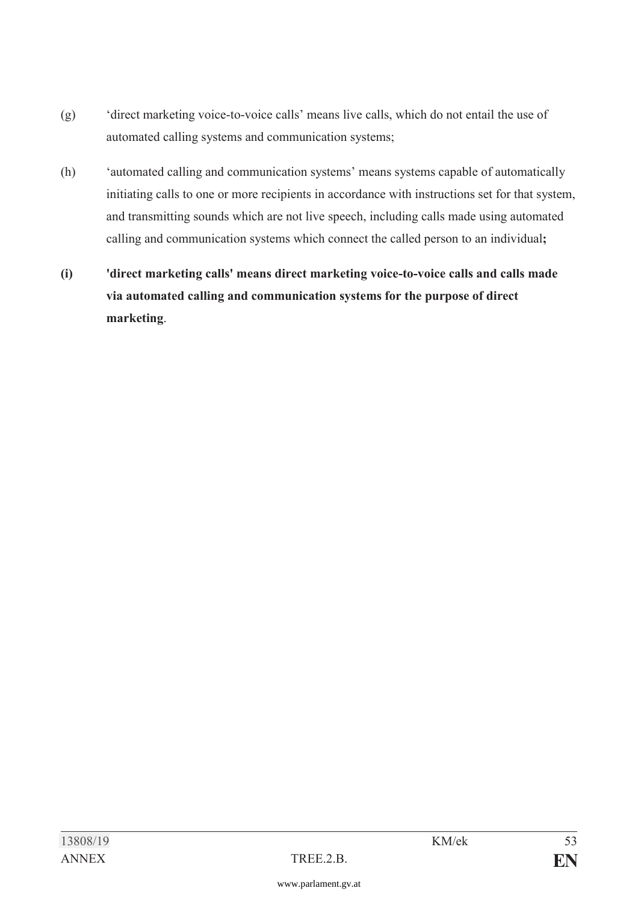- (g) 'direct marketing voice-to-voice calls' means live calls, which do not entail the use of automated calling systems and communication systems;
- (h) 'automated calling and communication systems' means systems capable of automatically initiating calls to one or more recipients in accordance with instructions set for that system, and transmitting sounds which are not live speech, including calls made using automated calling and communication systems which connect the called person to an individual**;**
- **(i) 'direct marketing calls' means direct marketing voice-to-voice calls and calls made via automated calling and communication systems for the purpose of direct marketing**.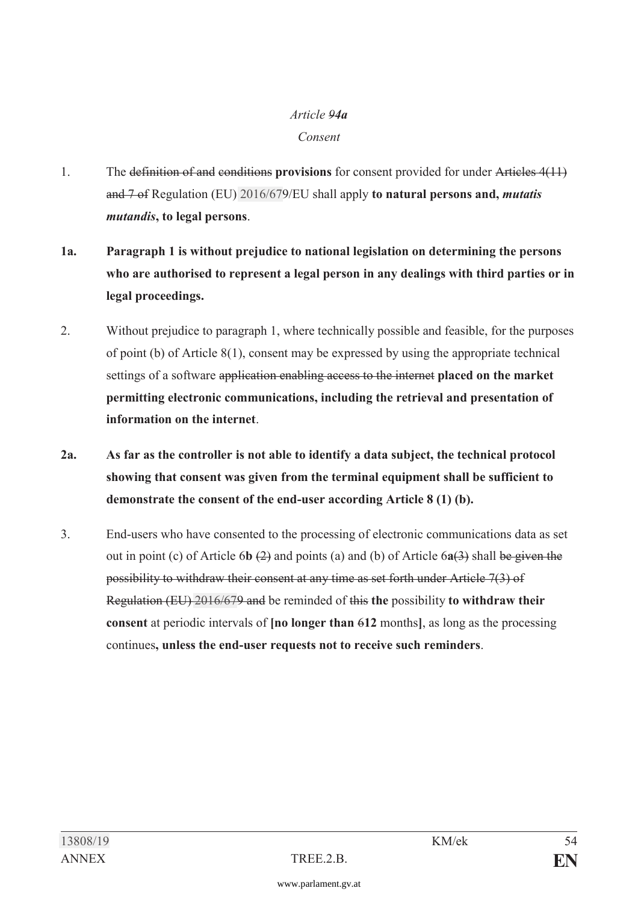# *Article 94a*

### *Consent*

- 1. The definition of and conditions **provisions** for consent provided for under Articles 4(11) and 7 of Regulation (EU) [2016/67](https://www.parlament.gv.at/pls/portal/le.link?gp=XXVII&ityp=EU&inr=2143&code1=VER&code2=&gruppen=Link:2016/67;Nr:2016;Year:67&comp=)9/EU shall apply **to natural persons and,** *mutatis mutandis***, to legal persons**.
- **1a. Paragraph 1 is without prejudice to national legislation on determining the persons who are authorised to represent a legal person in any dealings with third parties or in legal proceedings.**
- 2. Without prejudice to paragraph 1, where technically possible and feasible, for the purposes of point (b) of Article 8(1), consent may be expressed by using the appropriate technical settings of a software application enabling access to the internet **placed on the market permitting electronic communications, including the retrieval and presentation of information on the internet**.
- **2a. As far as the controller is not able to identify a data subject, the technical protocol showing that consent was given from the terminal equipment shall be sufficient to demonstrate the consent of the end-user according Article 8 (1) (b).**
- 3. End-users who have consented to the processing of electronic communications data as set out in point (c) of Article 6**b** (2) and points (a) and (b) of Article 6**a**(3) shall be given the possibility to withdraw their consent at any time as set forth under Article 7(3) of Regulation (EU) [2016/67](https://www.parlament.gv.at/pls/portal/le.link?gp=XXVII&ityp=EU&inr=2143&code1=VER&code2=&gruppen=Link:2016/67;Nr:2016;Year:67&comp=)9 and be reminded of this **the** possibility **to withdraw their consent** at periodic intervals of **[no longer than** 6**12** months**]**, as long as the processing continues**, unless the end-user requests not to receive such reminders**.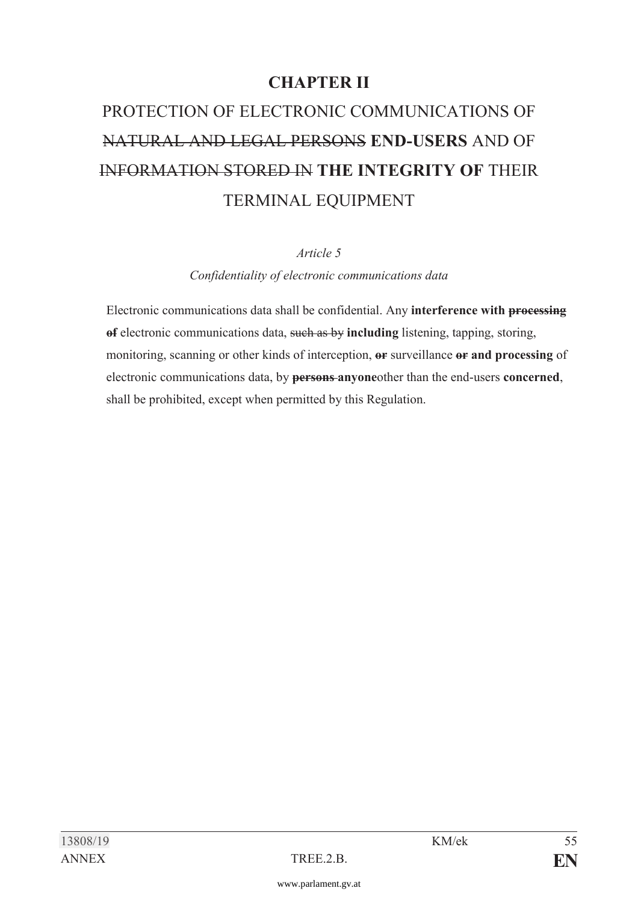# **CHAPTER II**

# PROTECTION OF ELECTRONIC COMMUNICATIONS OF NATURAL AND LEGAL PERSONS **END-USERS** AND OF INFORMATION STORED IN **THE INTEGRITY OF** THEIR TERMINAL EQUIPMENT

#### *Article 5*

*Confidentiality of electronic communications data* 

 Electronic communications data shall be confidential. Any **interference with processing of** electronic communications data, such as by **including** listening, tapping, storing, monitoring, scanning or other kinds of interception, **or** surveillance **or and processing** of electronic communications data, by **persons anyone**other than the end-users **concerned**, shall be prohibited, except when permitted by this Regulation.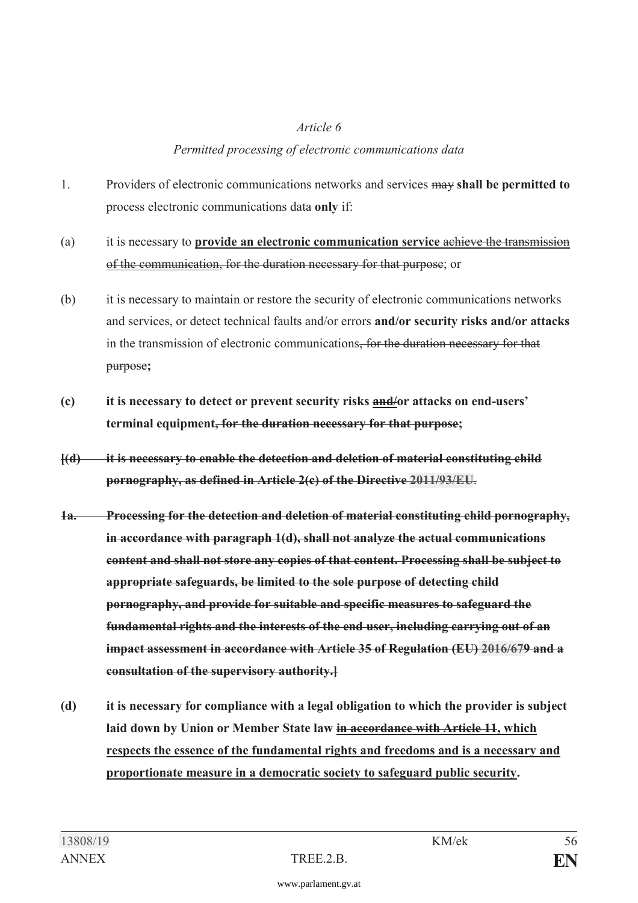#### *Permitted processing of electronic communications data*

- 1. Providers of electronic communications networks and services may **shall be permitted to** process electronic communications data **only** if:
- (a) it is necessary to **provide an electronic communication service** achieve the transmission of the communication, for the duration necessary for that purpose; or
- (b) it is necessary to maintain or restore the security of electronic communications networks and services, or detect technical faults and/or errors **and/or security risks and/or attacks** in the transmission of electronic communications, for the duration necessary for that purpose**;**
- **(c) it is necessary to detect or prevent security risks and/or attacks on end-users' terminal equipment, for the duration necessary for that purpose;**
- **[(d) it is necessary to enable the detection and deletion of material constituting child pornography, as defined in Article 2(c) of the Directive [2011/93/EU](https://www.parlament.gv.at/pls/portal/le.link?gp=XXVII&ityp=EU&inr=2143&code1=RIL&code2=&gruppen=Link:2011/93/EU;Year:2011;Nr:93&comp=)**.
- **1a. Processing for the detection and deletion of material constituting child pornography, in accordance with paragraph 1(d), shall not analyze the actual communications content and shall not store any copies of that content. Processing shall be subject to appropriate safeguards, be limited to the sole purpose of detecting child pornography, and provide for suitable and specific measures to safeguard the fundamental rights and the interests of the end user, including carrying out of an impact assessment in accordance with Article 35 of Regulation (EU) [2016/67](https://www.parlament.gv.at/pls/portal/le.link?gp=XXVII&ityp=EU&inr=2143&code1=VER&code2=&gruppen=Link:2016/67;Nr:2016;Year:67&comp=)9 and a consultation of the supervisory authority.]**
- **(d) it is necessary for compliance with a legal obligation to which the provider is subject laid down by Union or Member State law in accordance with Article 11, which respects the essence of the fundamental rights and freedoms and is a necessary and proportionate measure in a democratic society to safeguard public security.**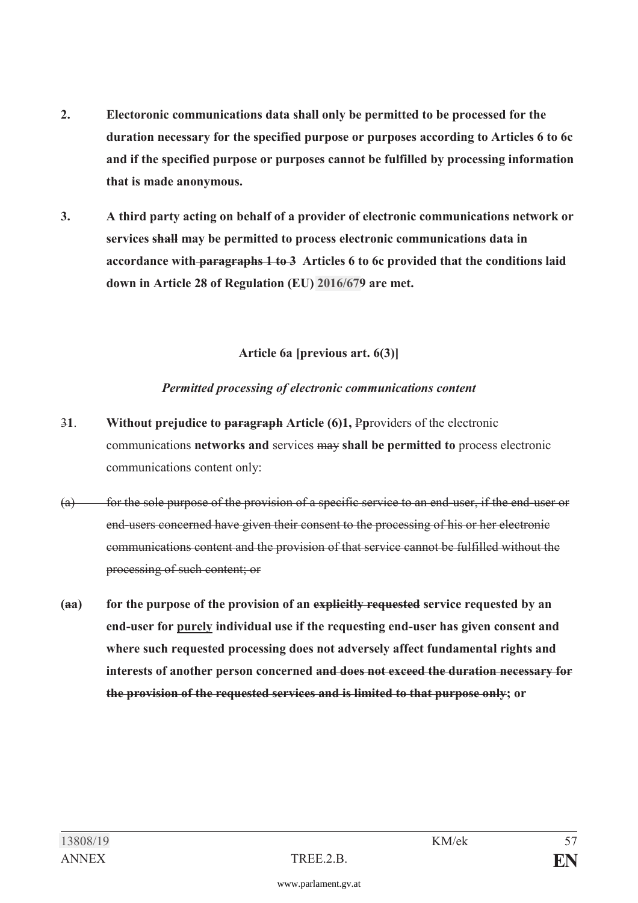- **2. Electoronic communications data shall only be permitted to be processed for the duration necessary for the specified purpose or purposes according to Articles 6 to 6c and if the specified purpose or purposes cannot be fulfilled by processing information that is made anonymous.**
- **3. A third party acting on behalf of a provider of electronic communications network or services shall may be permitted to process electronic communications data in accordance with paragraphs 1 to 3 Articles 6 to 6c provided that the conditions laid down in Article 28 of Regulation (EU) [2016/67](https://www.parlament.gv.at/pls/portal/le.link?gp=XXVII&ityp=EU&inr=2143&code1=VER&code2=&gruppen=Link:2016/67;Nr:2016;Year:67&comp=)9 are met.**

**Article 6a [previous art. 6(3)]** 

#### *Permitted processing of electronic communications content*

- 3**1**. **Without prejudice to paragraph Article (6)1,** P**p**roviders of the electronic communications **networks and** services may **shall be permitted to** process electronic communications content only:
- $(a)$  for the sole purpose of the provision of a specific service to an end-user, if the end-user or end-users concerned have given their consent to the processing of his or her electronic communications content and the provision of that service cannot be fulfilled without the processing of such content; or
- **(aa) for the purpose of the provision of an explicitly requested service requested by an end-user for purely individual use if the requesting end-user has given consent and where such requested processing does not adversely affect fundamental rights and interests of another person concerned and does not exceed the duration necessary for the provision of the requested services and is limited to that purpose only; or**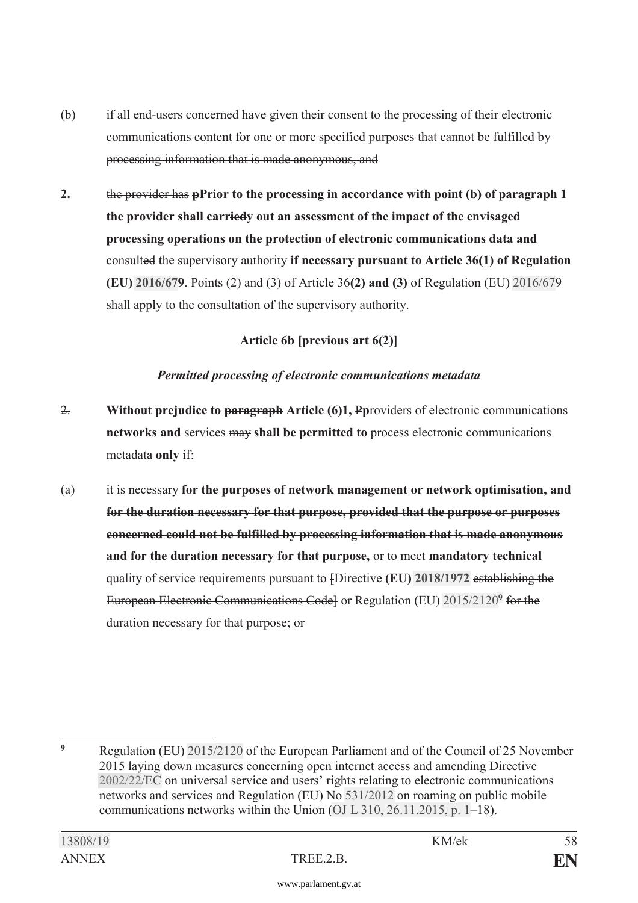- (b) if all end-users concerned have given their consent to the processing of their electronic communications content for one or more specified purposes that cannot be fulfilled by processing information that is made anonymous, and
- **2.** the provider has **pPrior to the processing in accordance with point (b) of paragraph 1 the provider shall carriedy out an assessment of the impact of the envisaged processing operations on the protection of electronic communications data and**  consulted the supervisory authority **if necessary pursuant to Article 36(1) of Regulation (EU) [2016/67](https://www.parlament.gv.at/pls/portal/le.link?gp=XXVII&ityp=EU&inr=2143&code1=VER&code2=&gruppen=Link:2016/67;Nr:2016;Year:67&comp=)9**. Points (2) and (3) of Article 36**(2) and (3)** of Regulation (EU) [2016/67](https://www.parlament.gv.at/pls/portal/le.link?gp=XXVII&ityp=EU&inr=2143&code1=VER&code2=&gruppen=Link:2016/67;Nr:2016;Year:67&comp=)9 shall apply to the consultation of the supervisory authority.

#### **Article 6b [previous art 6(2)]**

#### *Permitted processing of electronic communications metadata*

- 2. **Without prejudice to paragraph Article (6)1,** P**p**roviders of electronic communications **networks and** services may **shall be permitted to** process electronic communications metadata **only** if:
- (a) it is necessary **for the purposes of network management or network optimisation, and for the duration necessary for that purpose, provided that the purpose or purposes concerned could not be fulfilled by processing information that is made anonymous and for the duration necessary for that purpose,** or to meet **mandatory technical** quality of service requirements pursuant to [Directive **(EU) [2018/1972](https://www.parlament.gv.at/pls/portal/le.link?gp=XXVII&ityp=EU&inr=2143&code1=VER&code2=&gruppen=Link:2018/1972;Nr:2018;Year:1972&comp=)** establishing the European Electronic Communications Code] or Regulation (EU) [2015/2120](https://www.parlament.gv.at/pls/portal/le.link?gp=XXVII&ityp=EU&inr=2143&code1=VER&code2=&gruppen=Link:2015/21209;Year2:2015;Nr2:21209&comp=)**[9](https://www.parlament.gv.at/pls/portal/le.link?gp=XXVII&ityp=EU&inr=2143&code1=VER&code2=&gruppen=Link:2015/21209;Year2:2015;Nr2:21209&comp=)** for the duration necessary for that purpose; or

 $\mathbf{q}$ **<sup>9</sup>** Regulation (EU) [2015/2120](https://www.parlament.gv.at/pls/portal/le.link?gp=XXVII&ityp=EU&inr=2143&code1=VER&code2=&gruppen=Link:2015/2120;Year2:2015;Nr2:2120&comp=) of the European Parliament and of the Council of 25 November 2015 laying down measures concerning open internet access and amending Directive [2002/22/EC](https://www.parlament.gv.at/pls/portal/le.link?gp=XXVII&ityp=EU&inr=2143&code1=RIL&code2=&gruppen=Link:2002/22/EC;Year:2002;Nr:22&comp=) on universal service and users' rights relating to electronic communications networks and services and Regulation (EU) No [531/2012](https://www.parlament.gv.at/pls/portal/le.link?gp=XXVII&ityp=EU&inr=2143&code1=VER&code2=&gruppen=Link:531/2012;Nr:531;Year:2012&comp=) on roaming on public mobile communications networks within the Union [\(OJ L 310, 26.11.2015, p. 1](https://www.parlament.gv.at/pls/portal/le.link?gp=XXVII&ityp=EU&inr=2143&code1=ABL&code2=&gruppen=Code:L;Nr:310;Day:26;Month:11;Year:2015;Page:1&comp=)–18).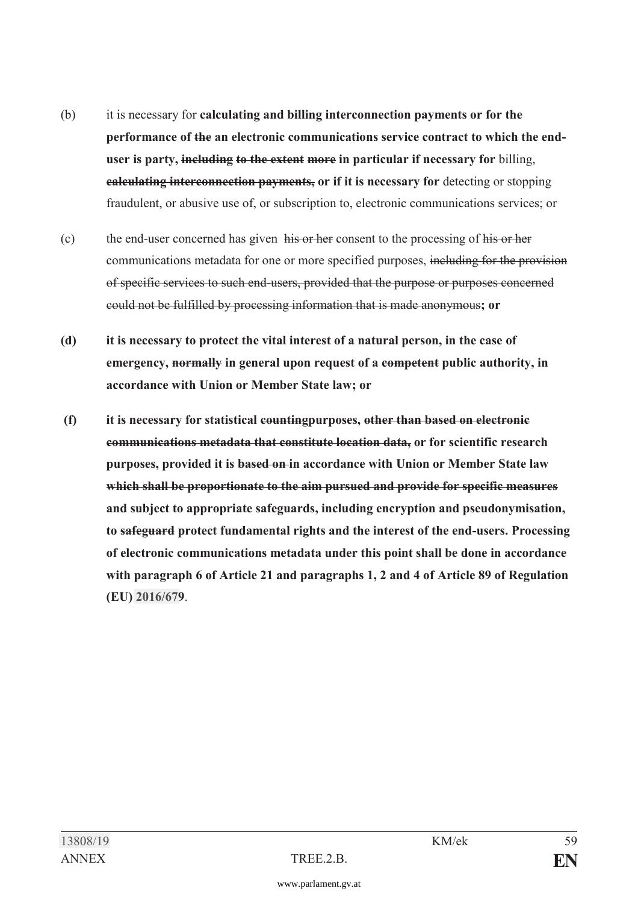- (b) it is necessary for **calculating and billing interconnection payments or for the performance of the an electronic communications service contract to which the enduser is party, including to the extent more in particular if necessary for** billing, **calculating interconnection payments, or if it is necessary for** detecting or stopping fraudulent, or abusive use of, or subscription to, electronic communications services; or
- (c) the end-user concerned has given his or her consent to the processing of his or her communications metadata for one or more specified purposes, including for the provision of specific services to such end-users, provided that the purpose or purposes concerned could not be fulfilled by processing information that is made anonymous**; or**
- **(d) it is necessary to protect the vital interest of a natural person, in the case of emergency, normally in general upon request of a competent public authority, in accordance with Union or Member State law; or**
- **(f) it is necessary for statistical countingpurposes, other than based on electronic communications metadata that constitute location data, or for scientific research purposes, provided it is based on in accordance with Union or Member State law which shall be proportionate to the aim pursued and provide for specific measures and subject to appropriate safeguards, including encryption and pseudonymisation, to safeguard protect fundamental rights and the interest of the end-users. Processing of electronic communications metadata under this point shall be done in accordance with paragraph 6 of Article 21 and paragraphs 1, 2 and 4 of Article 89 of Regulation (EU) [2016/67](https://www.parlament.gv.at/pls/portal/le.link?gp=XXVII&ityp=EU&inr=2143&code1=VER&code2=&gruppen=Link:2016/67;Nr:2016;Year:67&comp=)9**.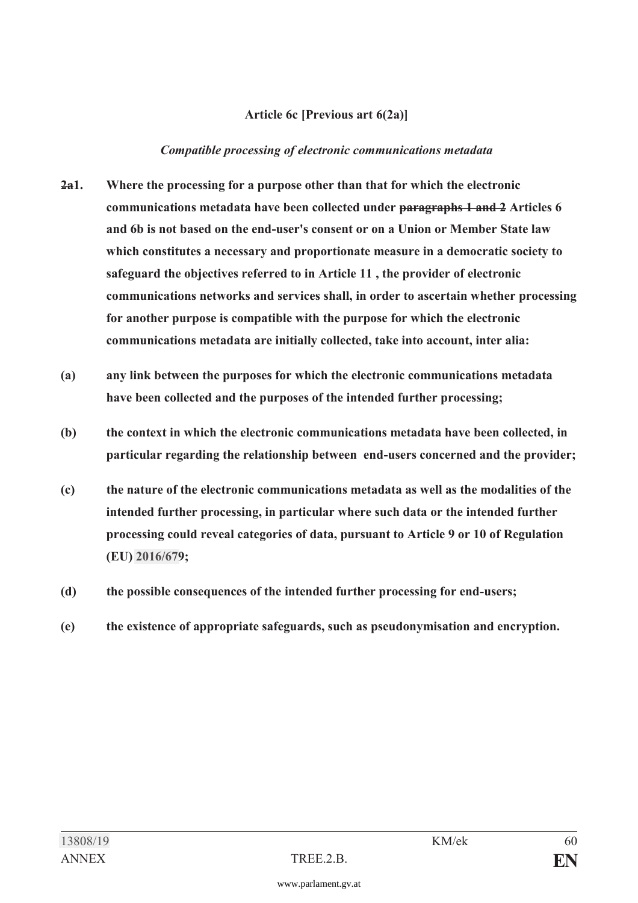#### **Article 6c [Previous art 6(2a)]**

#### *Compatible processing of electronic communications metadata*

- **2a1. Where the processing for a purpose other than that for which the electronic communications metadata have been collected under paragraphs 1 and 2 Articles 6 and 6b is not based on the end-user's consent or on a Union or Member State law which constitutes a necessary and proportionate measure in a democratic society to safeguard the objectives referred to in Article 11 , the provider of electronic communications networks and services shall, in order to ascertain whether processing for another purpose is compatible with the purpose for which the electronic communications metadata are initially collected, take into account, inter alia:**
- **(a) any link between the purposes for which the electronic communications metadata have been collected and the purposes of the intended further processing;**
- **(b) the context in which the electronic communications metadata have been collected, in particular regarding the relationship between end-users concerned and the provider;**
- **(c) the nature of the electronic communications metadata as well as the modalities of the intended further processing, in particular where such data or the intended further processing could reveal categories of data, pursuant to Article 9 or 10 of Regulation (EU) [2016/67](https://www.parlament.gv.at/pls/portal/le.link?gp=XXVII&ityp=EU&inr=2143&code1=VER&code2=&gruppen=Link:2016/67;Nr:2016;Year:67&comp=)9;**
- **(d) the possible consequences of the intended further processing for end-users;**
- **(e) the existence of appropriate safeguards, such as pseudonymisation and encryption.**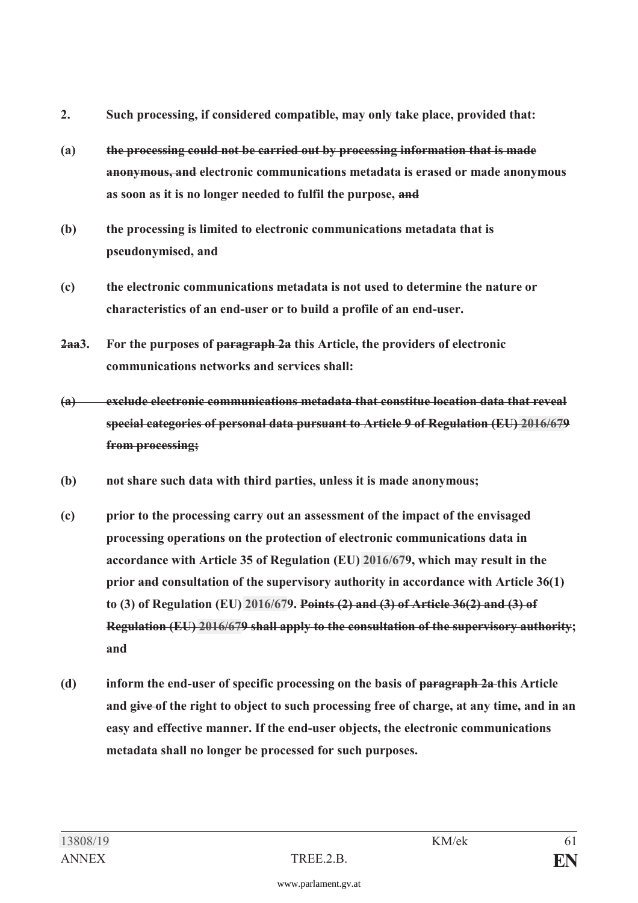- **2. Such processing, if considered compatible, may only take place, provided that:**
- **(a) the processing could not be carried out by processing information that is made anonymous, and electronic communications metadata is erased or made anonymous as soon as it is no longer needed to fulfil the purpose, and**
- **(b) the processing is limited to electronic communications metadata that is pseudonymised, and**
- **(c) the electronic communications metadata is not used to determine the nature or characteristics of an end-user or to build a profile of an end-user.**
- **2aa3. For the purposes of paragraph 2a this Article, the providers of electronic communications networks and services shall:**
- **(a) exclude electronic communications metadata that constitue location data that reveal special categories of personal data pursuant to Article 9 of Regulation (EU) [2016/67](https://www.parlament.gv.at/pls/portal/le.link?gp=XXVII&ityp=EU&inr=2143&code1=VER&code2=&gruppen=Link:2016/67;Nr:2016;Year:67&comp=)9 from processing;**
- **(b) not share such data with third parties, unless it is made anonymous;**
- **(c) prior to the processing carry out an assessment of the impact of the envisaged processing operations on the protection of electronic communications data in accordance with Article 35 of Regulation (EU) [2016/67](https://www.parlament.gv.at/pls/portal/le.link?gp=XXVII&ityp=EU&inr=2143&code1=VER&code2=&gruppen=Link:2016/67;Nr:2016;Year:67&comp=)9, which may result in the prior and consultation of the supervisory authority in accordance with Article 36(1) to (3) of Regulation (EU) [2016/67](https://www.parlament.gv.at/pls/portal/le.link?gp=XXVII&ityp=EU&inr=2143&code1=VER&code2=&gruppen=Link:2016/67;Nr:2016;Year:67&comp=)9. Points (2) and (3) of Article 36(2) and (3) of Regulation (EU) [2016/67](https://www.parlament.gv.at/pls/portal/le.link?gp=XXVII&ityp=EU&inr=2143&code1=VER&code2=&gruppen=Link:2016/67;Nr:2016;Year:67&comp=)9 shall apply to the consultation of the supervisory authority; and**
- **(d) inform the end-user of specific processing on the basis of paragraph 2a this Article and give of the right to object to such processing free of charge, at any time, and in an easy and effective manner. If the end-user objects, the electronic communications metadata shall no longer be processed for such purposes.**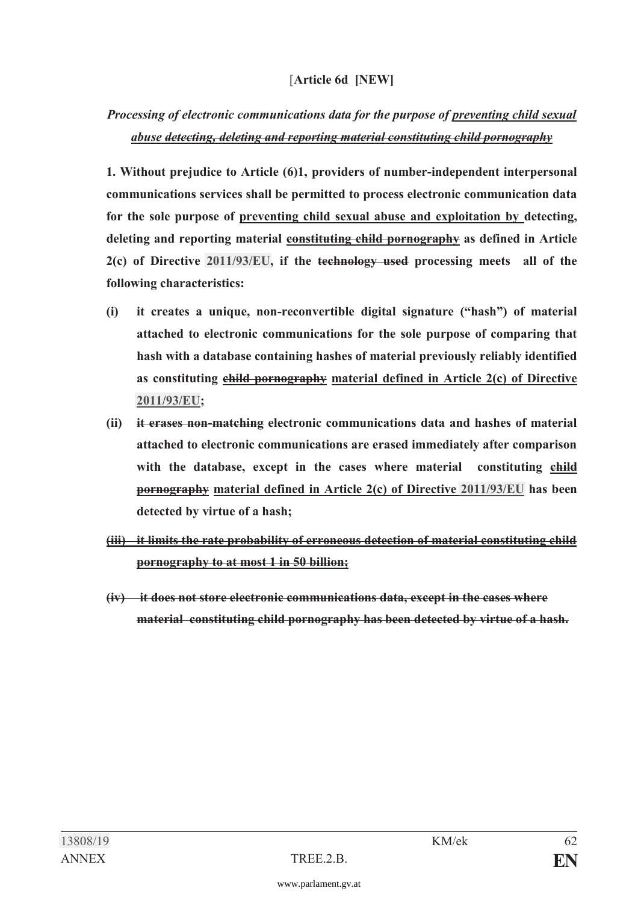### [**Article 6d [NEW]**

## *Processing of electronic communications data for the purpose of preventing child sexual abuse detecting, deleting and reporting material constituting child pornography*

**1. Without prejudice to Article (6)1, providers of number-independent interpersonal communications services shall be permitted to process electronic communication data for the sole purpose of preventing child sexual abuse and exploitation by detecting, deleting and reporting material constituting child pornography as defined in Article 2(c) of Directive [2011/93/EU](https://www.parlament.gv.at/pls/portal/le.link?gp=XXVII&ityp=EU&inr=2143&code1=RIL&code2=&gruppen=Link:2011/93/EU;Year:2011;Nr:93&comp=), if the technology used processing meets all of the following characteristics:**

- **(i) it creates a unique, non-reconvertible digital signature ("hash") of material attached to electronic communications for the sole purpose of comparing that hash with a database containing hashes of material previously reliably identified as constituting child pornography material defined in Article 2(c) of Directive [2011/93/EU](https://www.parlament.gv.at/pls/portal/le.link?gp=XXVII&ityp=EU&inr=2143&code1=RIL&code2=&gruppen=Link:2011/93/EU;Year:2011;Nr:93&comp=);**
- **(ii) it erases non-matching electronic communications data and hashes of material attached to electronic communications are erased immediately after comparison**  with the database, except in the cases where material constituting  $\epsilon$ hild **pornography material defined in Article 2(c) of Directive [2011/93/EU](https://www.parlament.gv.at/pls/portal/le.link?gp=XXVII&ityp=EU&inr=2143&code1=RIL&code2=&gruppen=Link:2011/93/EU;Year:2011;Nr:93&comp=) has been detected by virtue of a hash;**
- **(iii) it limits the rate probability of erroneous detection of material constituting child pornography to at most 1 in 50 billion;**
- **(iv) it does not store electronic communications data, except in the cases where material constituting child pornography has been detected by virtue of a hash.**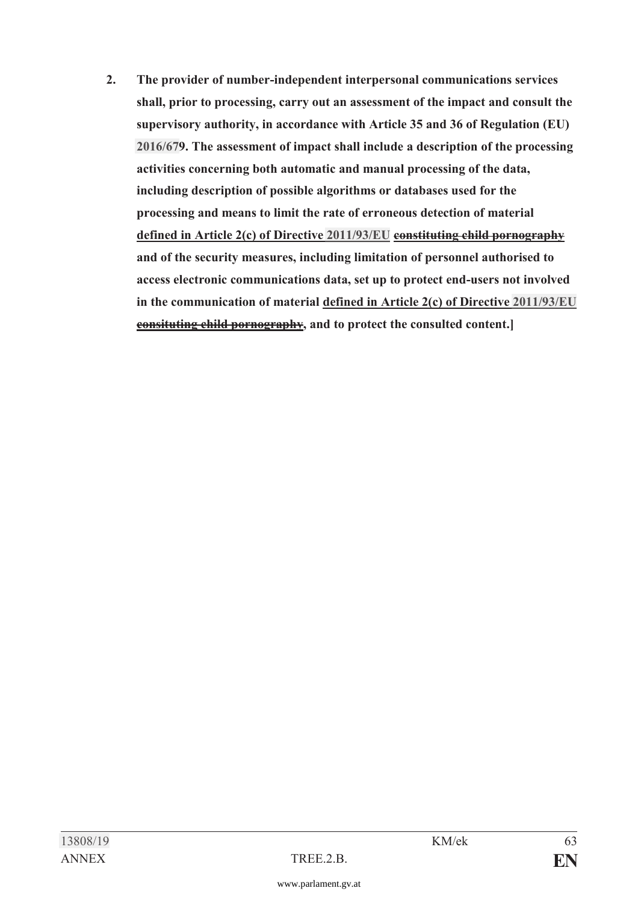**2. The provider of number-independent interpersonal communications services shall, prior to processing, carry out an assessment of the impact and consult the supervisory authority, in accordance with Article 35 and 36 of Regulation (EU) [2016/67](https://www.parlament.gv.at/pls/portal/le.link?gp=XXVII&ityp=EU&inr=2143&code1=VER&code2=&gruppen=Link:2016/67;Nr:2016;Year:67&comp=)9. The assessment of impact shall include a description of the processing activities concerning both automatic and manual processing of the data, including description of possible algorithms or databases used for the processing and means to limit the rate of erroneous detection of material defined in Article 2(c) of Directive [2011/93/EU](https://www.parlament.gv.at/pls/portal/le.link?gp=XXVII&ityp=EU&inr=2143&code1=RIL&code2=&gruppen=Link:2011/93/EU;Year:2011;Nr:93&comp=) constituting child pornography and of the security measures, including limitation of personnel authorised to access electronic communications data, set up to protect end-users not involved in the communication of material defined in Article 2(c) of Directive [2011/93/EU](https://www.parlament.gv.at/pls/portal/le.link?gp=XXVII&ityp=EU&inr=2143&code1=RIL&code2=&gruppen=Link:2011/93/EU;Year:2011;Nr:93&comp=) consituting child pornography, and to protect the consulted content.]**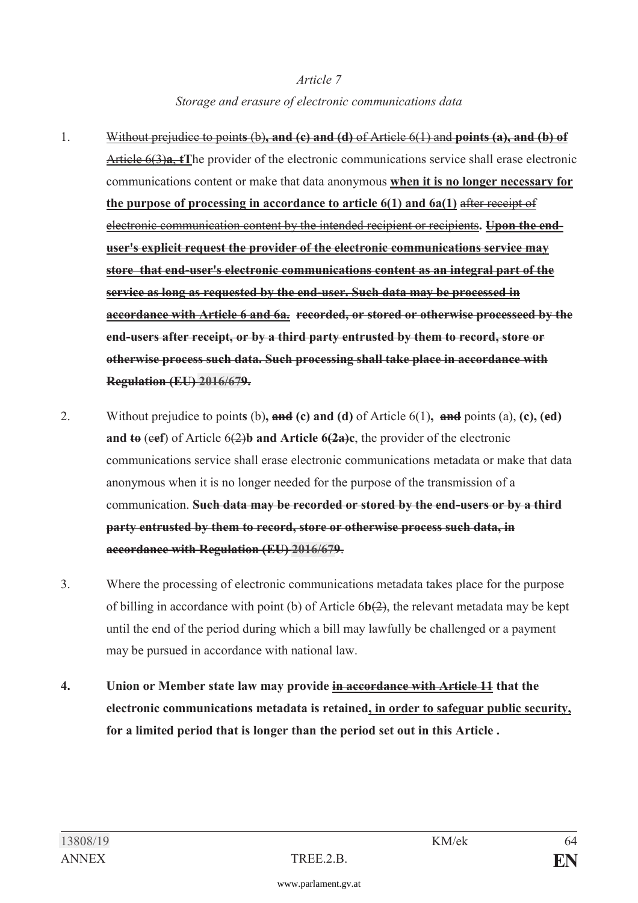## *Article 7 Storage and erasure of electronic communications data*

- 1. Without prejudice to point**s** (b)**, and (c) and (d)** of Article 6(1) and **points (a), and (b) of** Article 6(3)**a**, **tT**he provider of the electronic communications service shall erase electronic communications content or make that data anonymous **when it is no longer necessary for the purpose of processing in accordance to article 6(1) and 6a(1)** after receipt of electronic communication content by the intended recipient or recipients**. Upon the enduser's explicit request the provider of the electronic communications service may store that end-user's electronic communications content as an integral part of the service as long as requested by the end-user. Such data may be processed in accordance with Article 6 and 6a. recorded, or stored or otherwise processeed by the end-users after receipt, or by a third party entrusted by them to record, store or otherwise process such data. Such processing shall take place in accordance with Regulation (EU) [2016/67](https://www.parlament.gv.at/pls/portal/le.link?gp=XXVII&ityp=EU&inr=2143&code1=VER&code2=&gruppen=Link:2016/67;Nr:2016;Year:67&comp=)9.**
- 2. Without prejudice to point**s** (b)**, and (c) and (d)** of Article 6(1)**, and** points (a), **(c), (cd) and**  $\mathbf{t}_{\Theta}$  (eef) of Article 6(2)**b** and Article 6(2a)c, the provider of the electronic communications service shall erase electronic communications metadata or make that data anonymous when it is no longer needed for the purpose of the transmission of a communication. **Such data may be recorded or stored by the end-users or by a third party entrusted by them to record, store or otherwise process such data, in accordance with Regulation (EU) [2016/67](https://www.parlament.gv.at/pls/portal/le.link?gp=XXVII&ityp=EU&inr=2143&code1=VER&code2=&gruppen=Link:2016/67;Nr:2016;Year:67&comp=)9**.
- 3. Where the processing of electronic communications metadata takes place for the purpose of billing in accordance with point (b) of Article 6**b**(2), the relevant metadata may be kept until the end of the period during which a bill may lawfully be challenged or a payment may be pursued in accordance with national law.
- **4. Union or Member state law may provide in accordance with Article 11 that the electronic communications metadata is retained, in order to safeguar public security, for a limited period that is longer than the period set out in this Article .**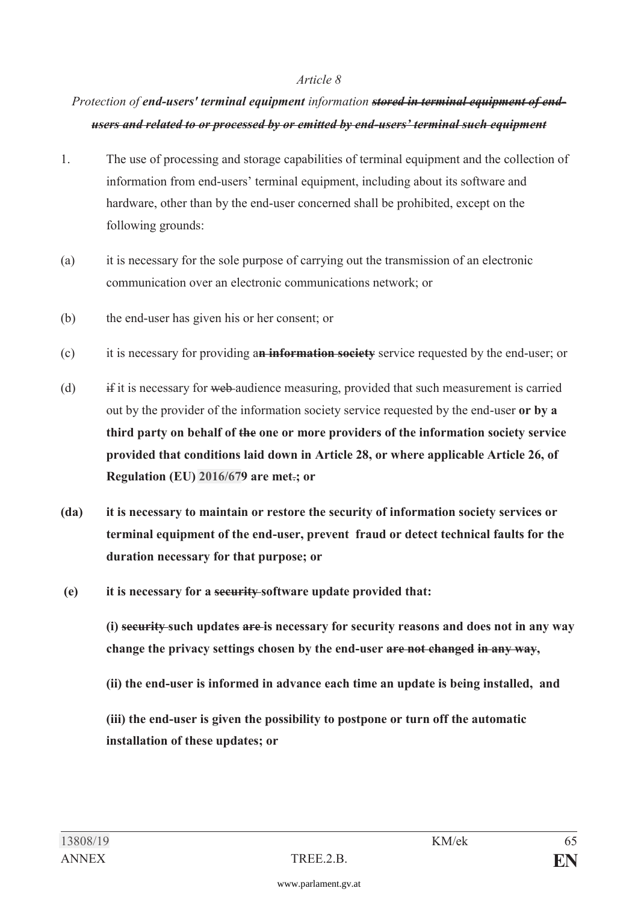## *Protection of end-users' terminal equipment information stored in terminal equipment of endusers and related to or processed by or emitted by end-users' terminal such equipment*

- 1. The use of processing and storage capabilities of terminal equipment and the collection of information from end-users' terminal equipment, including about its software and hardware, other than by the end-user concerned shall be prohibited, except on the following grounds:
- (a) it is necessary for the sole purpose of carrying out the transmission of an electronic communication over an electronic communications network; or
- (b) the end-user has given his or her consent; or
- (c) it is necessary for providing a**n information society** service requested by the end-user; or
- (d) if it is necessary for web audience measuring, provided that such measurement is carried out by the provider of the information society service requested by the end-user **or by a third party on behalf of the one or more providers of the information society service provided that conditions laid down in Article 28, or where applicable Article 26, of Regulation (EU) [2016/67](https://www.parlament.gv.at/pls/portal/le.link?gp=XXVII&ityp=EU&inr=2143&code1=VER&code2=&gruppen=Link:2016/67;Nr:2016;Year:67&comp=)9 are met**.**; or**
- **(da) it is necessary to maintain or restore the security of information society services or terminal equipment of the end-user, prevent fraud or detect technical faults for the duration necessary for that purpose; or**
- **(e) it is necessary for a security software update provided that:**

 **(i) security such updates are is necessary for security reasons and does not in any way change the privacy settings chosen by the end-user are not changed in any way,** 

 **(ii) the end-user is informed in advance each time an update is being installed, and** 

 **(iii) the end-user is given the possibility to postpone or turn off the automatic installation of these updates; or**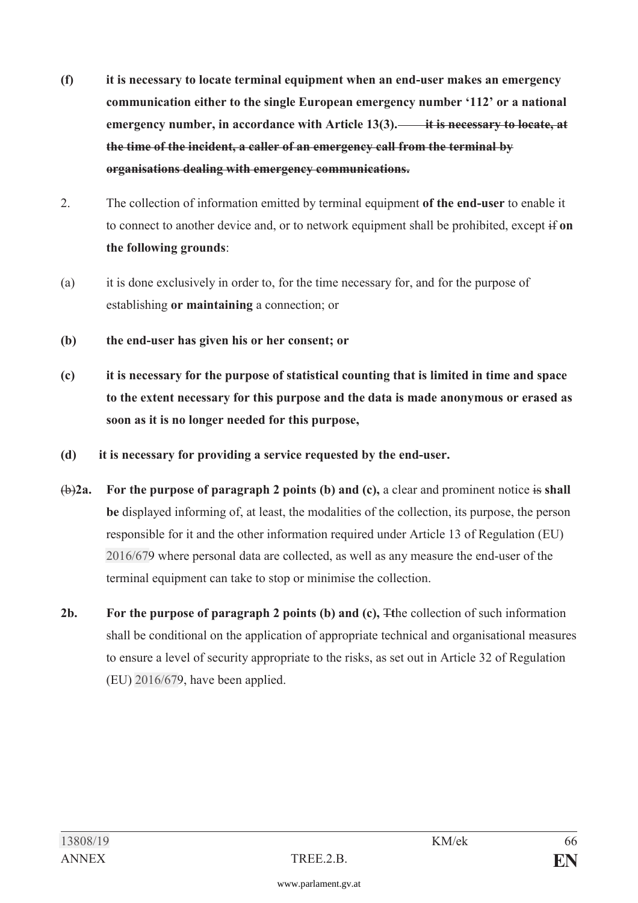- **(f) it is necessary to locate terminal equipment when an end-user makes an emergency communication either to the single European emergency number '112' or a national emergency number, in accordance with Article 13(3). it is necessary to locate, at the time of the incident, a caller of an emergency call from the terminal by organisations dealing with emergency communications.**
- 2. The collection of information emitted by terminal equipment **of the end-user** to enable it to connect to another device and, or to network equipment shall be prohibited, except if **on the following grounds**:
- (a) it is done exclusively in order to, for the time necessary for, and for the purpose of establishing **or maintaining** a connection; or
- **(b) the end-user has given his or her consent; or**
- **(c) it is necessary for the purpose of statistical counting that is limited in time and space to the extent necessary for this purpose and the data is made anonymous or erased as soon as it is no longer needed for this purpose,**
- **(d) it is necessary for providing a service requested by the end-user.**
- (b)**2a. For the purpose of paragraph 2 points (b) and (c),** a clear and prominent notice is **shall be** displayed informing of, at least, the modalities of the collection, its purpose, the person responsible for it and the other information required under Article 13 of Regulation (EU) [2016/67](https://www.parlament.gv.at/pls/portal/le.link?gp=XXVII&ityp=EU&inr=2143&code1=VER&code2=&gruppen=Link:2016/67;Nr:2016;Year:67&comp=)9 where personal data are collected, as well as any measure the end-user of the terminal equipment can take to stop or minimise the collection.
- **2b. For the purpose of paragraph 2 points (b) and (c),** T**t**he collection of such information shall be conditional on the application of appropriate technical and organisational measures to ensure a level of security appropriate to the risks, as set out in Article 32 of Regulation (EU) [2016/67](https://www.parlament.gv.at/pls/portal/le.link?gp=XXVII&ityp=EU&inr=2143&code1=VER&code2=&gruppen=Link:2016/67;Nr:2016;Year:67&comp=)9, have been applied.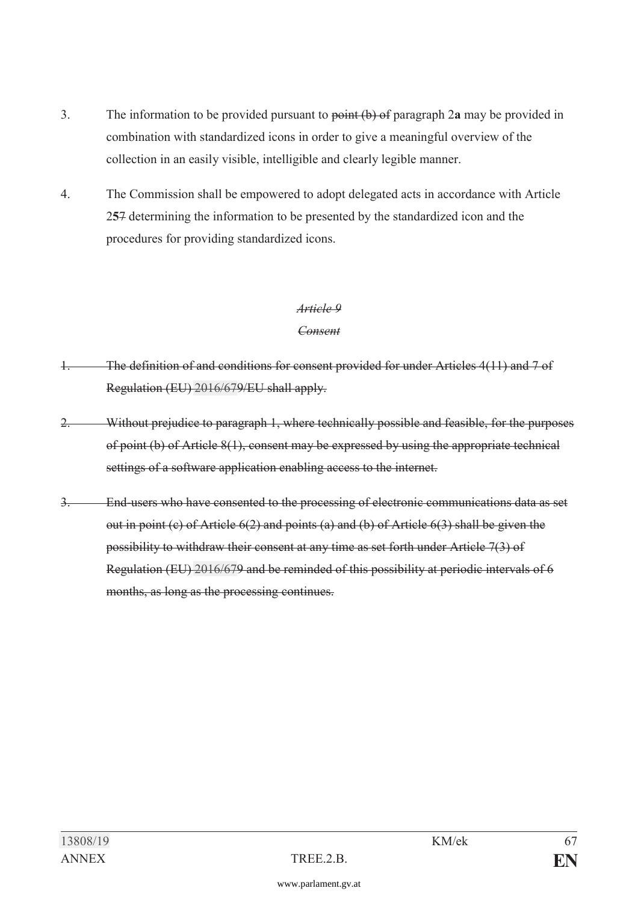- 3. The information to be provided pursuant to point (b) of paragraph 2**a** may be provided in combination with standardized icons in order to give a meaningful overview of the collection in an easily visible, intelligible and clearly legible manner.
- 4. The Commission shall be empowered to adopt delegated acts in accordance with Article 2**5**7 determining the information to be presented by the standardized icon and the procedures for providing standardized icons.

#### *Consent*

- 1. The definition of and conditions for consent provided for under Articles 4(11) and 7 of Regulation (EU) [2016/67](https://www.parlament.gv.at/pls/portal/le.link?gp=XXVII&ityp=EU&inr=2143&code1=VER&code2=&gruppen=Link:2016/67;Nr:2016;Year:67&comp=)9/EU shall apply.
- 2. Without prejudice to paragraph 1, where technically possible and feasible, for the purposes of point (b) of Article 8(1), consent may be expressed by using the appropriate technical settings of a software application enabling access to the internet.
- 3. End-users who have consented to the processing of electronic communications data as set out in point (c) of Article 6(2) and points (a) and (b) of Article 6(3) shall be given the possibility to withdraw their consent at any time as set forth under Article 7(3) of Regulation (EU) [2016/67](https://www.parlament.gv.at/pls/portal/le.link?gp=XXVII&ityp=EU&inr=2143&code1=VER&code2=&gruppen=Link:2016/67;Nr:2016;Year:67&comp=)9 and be reminded of this possibility at periodic intervals of 6 months, as long as the processing continues.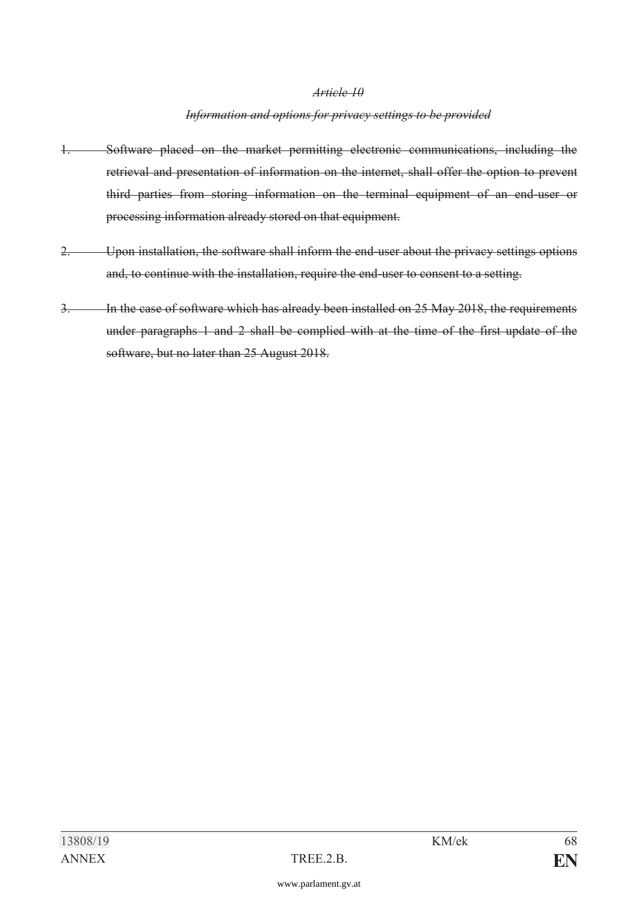#### *Information and options for privacy settings to be provided*

- 1. Software placed on the market permitting electronic communications, including the retrieval and presentation of information on the internet, shall offer the option to prevent third parties from storing information on the terminal equipment of an end-user or processing information already stored on that equipment.
- 2. Upon installation, the software shall inform the end-user about the privacy settings options and, to continue with the installation, require the end-user to consent to a setting.
- 3. In the case of software which has already been installed on 25 May 2018, the requirements under paragraphs 1 and 2 shall be complied with at the time of the first update of the software, but no later than 25 August 2018.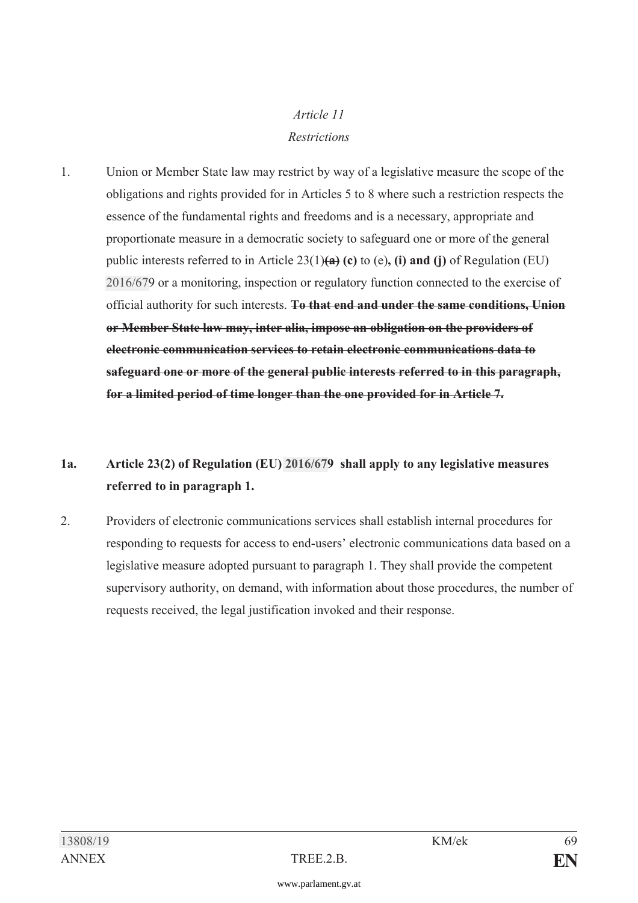## *Article 11 Restrictions*

1. Union or Member State law may restrict by way of a legislative measure the scope of the obligations and rights provided for in Articles 5 to 8 where such a restriction respects the essence of the fundamental rights and freedoms and is a necessary, appropriate and proportionate measure in a democratic society to safeguard one or more of the general public interests referred to in Article 23(1)**(a) (c)** to (e)**, (i) and (j)** of Regulation (EU) [2016/67](https://www.parlament.gv.at/pls/portal/le.link?gp=XXVII&ityp=EU&inr=2143&code1=VER&code2=&gruppen=Link:2016/67;Nr:2016;Year:67&comp=)9 or a monitoring, inspection or regulatory function connected to the exercise of official authority for such interests. **To that end and under the same conditions, Union or Member State law may, inter alia, impose an obligation on the providers of electronic communication services to retain electronic communications data to safeguard one or more of the general public interests referred to in this paragraph, for a limited period of time longer than the one provided for in Article 7.** 

# **1a. Article 23(2) of Regulation (EU) [2016/67](https://www.parlament.gv.at/pls/portal/le.link?gp=XXVII&ityp=EU&inr=2143&code1=VER&code2=&gruppen=Link:2016/67;Nr:2016;Year:67&comp=)9 shall apply to any legislative measures referred to in paragraph 1.**

2. Providers of electronic communications services shall establish internal procedures for responding to requests for access to end-users' electronic communications data based on a legislative measure adopted pursuant to paragraph 1. They shall provide the competent supervisory authority, on demand, with information about those procedures, the number of requests received, the legal justification invoked and their response.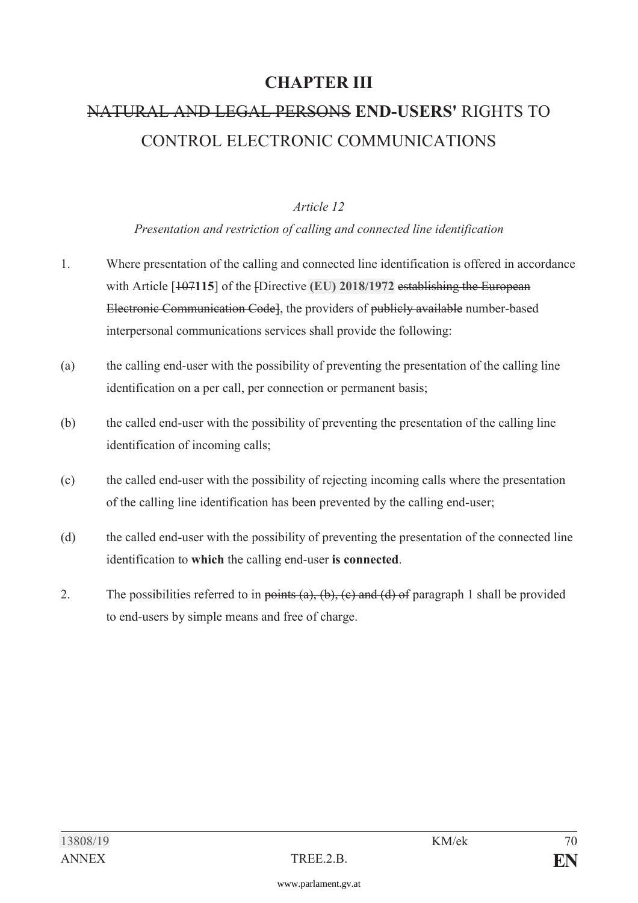# **CHAPTER III**

# NATURAL AND LEGAL PERSONS **END-USERS'** RIGHTS TO CONTROL ELECTRONIC COMMUNICATIONS

#### *Article 12*

#### *Presentation and restriction of calling and connected line identification*

- 1. Where presentation of the calling and connected line identification is offered in accordance with Article [107**115**] of the [Directive **[\(EU\) 2018/1972](https://www.parlament.gv.at/pls/portal/le.link?gp=XXVII&ityp=EU&inr=2143&code1=RIL&code2=&gruppen=Link:(EU)%202018/1972;Year2:2018;Nr2:1972&comp=)** establishing the European Electronic Communication Code], the providers of publicly available number-based interpersonal communications services shall provide the following:
- (a) the calling end-user with the possibility of preventing the presentation of the calling line identification on a per call, per connection or permanent basis;
- (b) the called end-user with the possibility of preventing the presentation of the calling line identification of incoming calls;
- (c) the called end-user with the possibility of rejecting incoming calls where the presentation of the calling line identification has been prevented by the calling end-user;
- (d) the called end-user with the possibility of preventing the presentation of the connected line identification to **which** the calling end-user **is connected**.
- 2. The possibilities referred to in points  $(a)$ ,  $(b)$ ,  $(c)$  and  $(d)$  of paragraph 1 shall be provided to end-users by simple means and free of charge.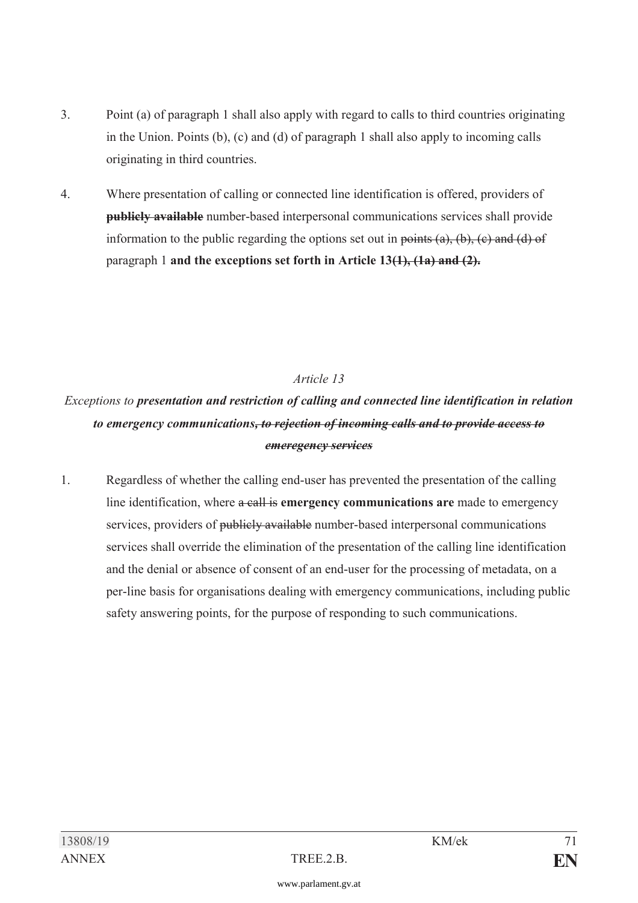- 3. Point (a) of paragraph 1 shall also apply with regard to calls to third countries originating in the Union. Points (b), (c) and (d) of paragraph 1 shall also apply to incoming calls originating in third countries.
- 4. Where presentation of calling or connected line identification is offered, providers of **publicly available** number-based interpersonal communications services shall provide information to the public regarding the options set out in points  $(a)$ ,  $(b)$ ,  $(c)$  and  $(d)$  of paragraph 1 **and the exceptions set forth in Article 13(1), (1a) and (2).**

*Exceptions to presentation and restriction of calling and connected line identification in relation to emergency communications, to rejection of incoming calls and to provide access to emeregency services* 

1. Regardless of whether the calling end-user has prevented the presentation of the calling line identification, where a call is **emergency communications are** made to emergency services, providers of publicly available number-based interpersonal communications services shall override the elimination of the presentation of the calling line identification and the denial or absence of consent of an end-user for the processing of metadata, on a per-line basis for organisations dealing with emergency communications, including public safety answering points, for the purpose of responding to such communications.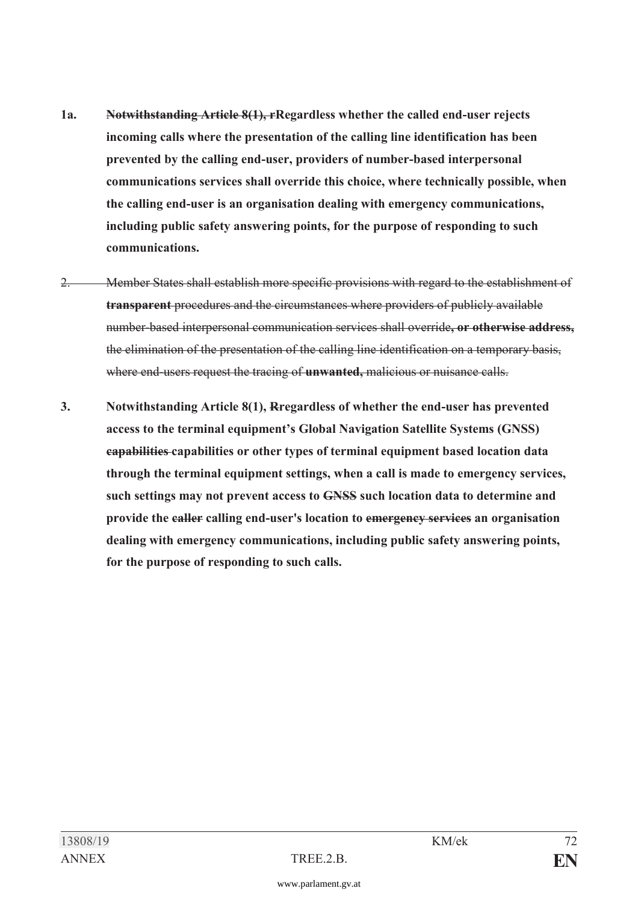- **1a. Notwithstanding Article 8(1), rRegardless whether the called end-user rejects incoming calls where the presentation of the calling line identification has been prevented by the calling end-user, providers of number-based interpersonal communications services shall override this choice, where technically possible, when the calling end-user is an organisation dealing with emergency communications, including public safety answering points, for the purpose of responding to such communications.**
- 2. Member States shall establish more specific provisions with regard to the establishment of **transparent** procedures and the circumstances where providers of publicly available number-based interpersonal communication services shall override**, or otherwise address,** the elimination of the presentation of the calling line identification on a temporary basis, where end-users request the tracing of **unwanted,** malicious or nuisance calls.
- **3. Notwithstanding Article 8(1), Rregardless of whether the end-user has prevented access to the terminal equipment's Global Navigation Satellite Systems (GNSS) capabilities capabilities or other types of terminal equipment based location data through the terminal equipment settings, when a call is made to emergency services, such settings may not prevent access to GNSS such location data to determine and provide the caller calling end-user's location to emergency services an organisation dealing with emergency communications, including public safety answering points, for the purpose of responding to such calls.**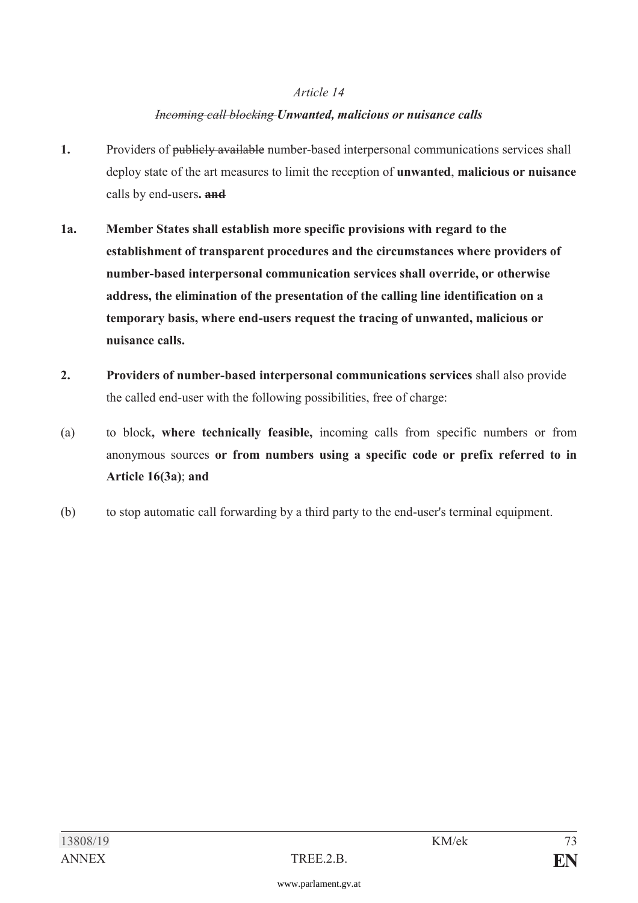#### *Article 14*

#### *Incoming call blocking Unwanted, malicious or nuisance calls*

- **1.** Providers of publicly available number-based interpersonal communications services shall deploy state of the art measures to limit the reception of **unwanted**, **malicious or nuisance** calls by end-users**. and**
- **1a. Member States shall establish more specific provisions with regard to the establishment of transparent procedures and the circumstances where providers of number-based interpersonal communication services shall override, or otherwise address, the elimination of the presentation of the calling line identification on a temporary basis, where end-users request the tracing of unwanted, malicious or nuisance calls.**
- **2. Providers of number-based interpersonal communications services** shall also provide the called end-user with the following possibilities, free of charge:
- (a) to block**, where technically feasible,** incoming calls from specific numbers or from anonymous sources **or from numbers using a specific code or prefix referred to in Article 16(3a)**; **and**
- (b) to stop automatic call forwarding by a third party to the end-user's terminal equipment.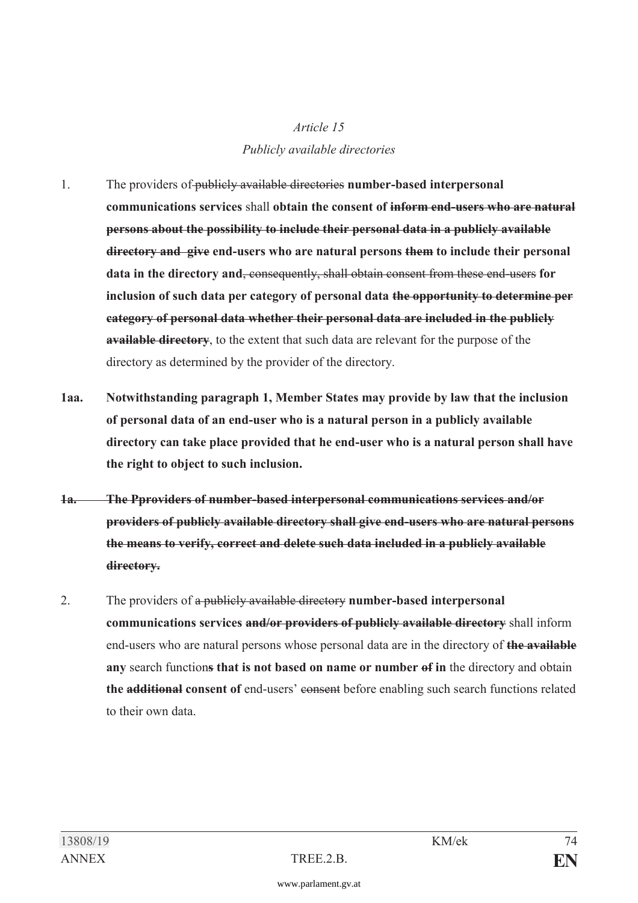# *Article 15 Publicly available directories*

- 1. The providers of publicly available directories **number-based interpersonal communications services** shall **obtain the consent of inform end-users who are natural persons about the possibility to include their personal data in a publicly available directory and give end-users who are natural persons them to include their personal data in the directory and**, consequently, shall obtain consent from these end-users **for inclusion of such data per category of personal data the opportunity to determine per category of personal data whether their personal data are included in the publicly available directory**, to the extent that such data are relevant for the purpose of the directory as determined by the provider of the directory.
- **1aa. Notwithstanding paragraph 1, Member States may provide by law that the inclusion of personal data of an end-user who is a natural person in a publicly available directory can take place provided that he end-user who is a natural person shall have the right to object to such inclusion.**
- **1a. The Pproviders of number-based interpersonal communications services and/or providers of publicly available directory shall give end-users who are natural persons the means to verify, correct and delete such data included in a publicly available directory.**
- 2. The providers of a publicly available directory **number-based interpersonal communications services and/or providers of publicly available directory** shall inform end-users who are natural persons whose personal data are in the directory of **the available any** search function**s that is not based on name or number of in** the directory and obtain **the additional consent of** end-users' consent before enabling such search functions related to their own data.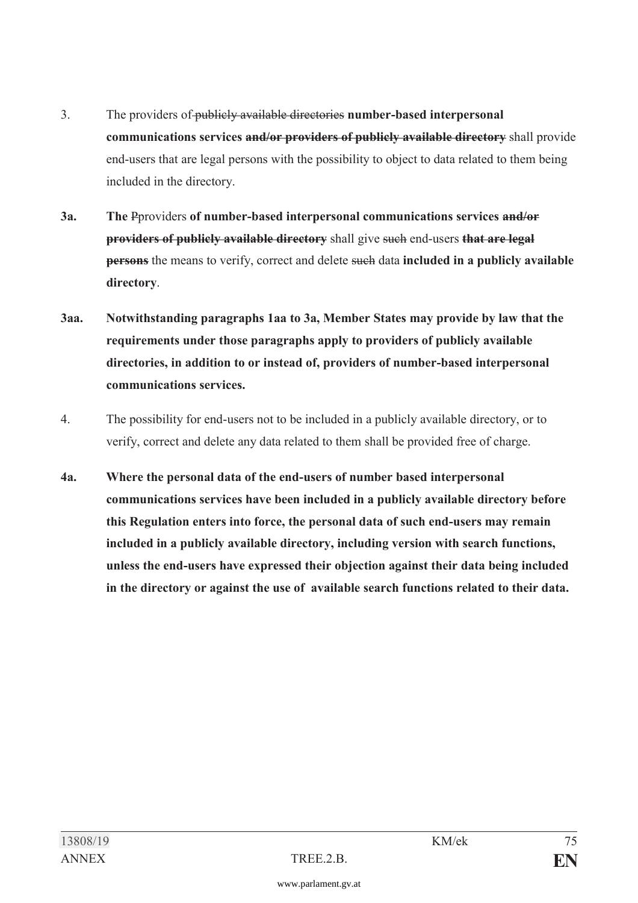- 3. The providers of publicly available directories **number-based interpersonal communications services and/or providers of publicly available directory** shall provide end-users that are legal persons with the possibility to object to data related to them being included in the directory.
- **3a. The** Pproviders **of number-based interpersonal communications services and/or providers of publicly available directory** shall give such end-users **that are legal persons** the means to verify, correct and delete such data **included in a publicly available directory**.
- **3aa. Notwithstanding paragraphs 1aa to 3a, Member States may provide by law that the requirements under those paragraphs apply to providers of publicly available directories, in addition to or instead of, providers of number-based interpersonal communications services.**
- 4. The possibility for end-users not to be included in a publicly available directory, or to verify, correct and delete any data related to them shall be provided free of charge.
- **4a. Where the personal data of the end-users of number based interpersonal communications services have been included in a publicly available directory before this Regulation enters into force, the personal data of such end-users may remain included in a publicly available directory, including version with search functions, unless the end-users have expressed their objection against their data being included in the directory or against the use of available search functions related to their data.**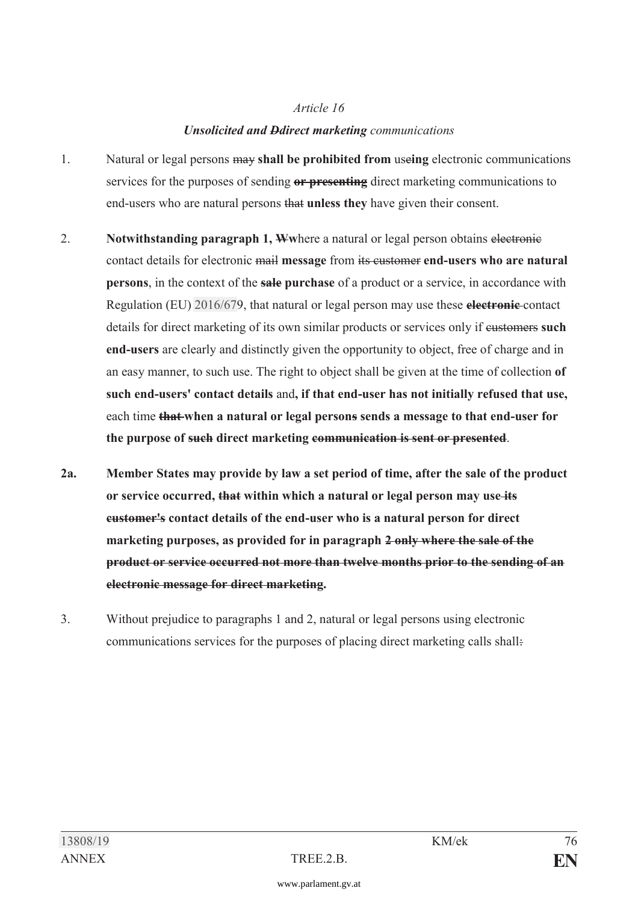## *Article 16 Unsolicited and Ddirect marketing communications*

- 1. Natural or legal persons may **shall be prohibited from** use**ing** electronic communications services for the purposes of sending **or presenting** direct marketing communications to end-users who are natural persons that **unless they** have given their consent.
- 2. **Notwithstanding paragraph 1, W**where a natural or legal person obtains electronic contact details for electronic mail **message** from its customer **end-users who are natural persons**, in the context of the **sale purchase** of a product or a service, in accordance with Regulation (EU) [2016/67](https://www.parlament.gv.at/pls/portal/le.link?gp=XXVII&ityp=EU&inr=2143&code1=VER&code2=&gruppen=Link:2016/67;Nr:2016;Year:67&comp=)9, that natural or legal person may use these **electronic** contact details for direct marketing of its own similar products or services only if customers **such end-users** are clearly and distinctly given the opportunity to object, free of charge and in an easy manner, to such use. The right to object shall be given at the time of collection **of such end-users' contact details** and**, if that end-user has not initially refused that use,** each time **that when a natural or legal persons sends a message to that end-user for the purpose of such direct marketing communication is sent or presented**.
- **2a. Member States may provide by law a set period of time, after the sale of the product or service occurred, that within which a natural or legal person may use its customer's contact details of the end-user who is a natural person for direct marketing purposes, as provided for in paragraph 2 only where the sale of the product or service occurred not more than twelve months prior to the sending of an electronic message for direct marketing.**
- 3. Without prejudice to paragraphs 1 and 2, natural or legal persons using electronic communications services for the purposes of placing direct marketing calls shall: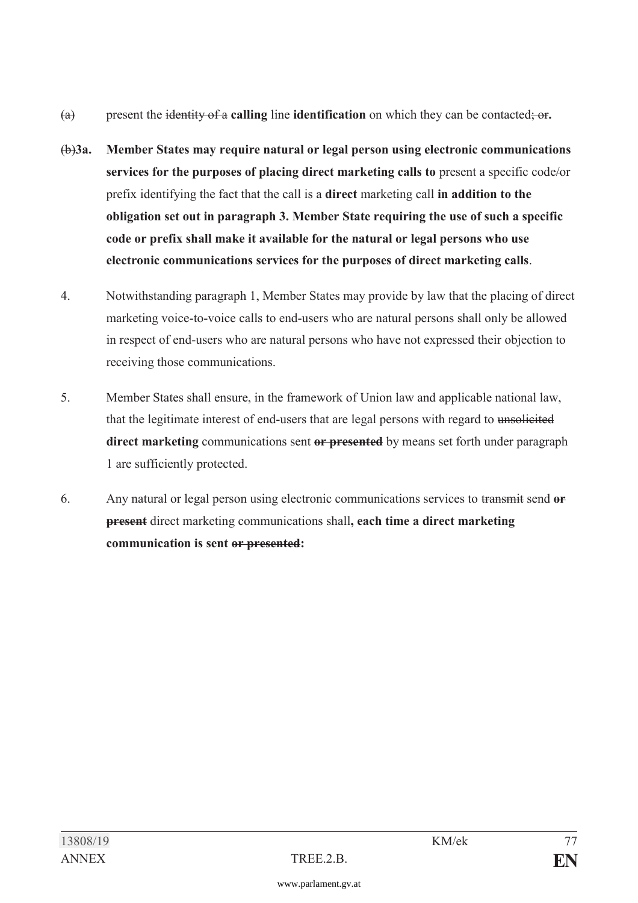- (a) present the identity of a **calling** line **identification** on which they can be contacted; or**.**
- (b)**3a. Member States may require natural or legal person using electronic communications services for the purposes of placing direct marketing calls to** present a specific code/or prefix identifying the fact that the call is a **direct** marketing call **in addition to the obligation set out in paragraph 3. Member State requiring the use of such a specific code or prefix shall make it available for the natural or legal persons who use electronic communications services for the purposes of direct marketing calls**.
- 4. Notwithstanding paragraph 1, Member States may provide by law that the placing of direct marketing voice-to-voice calls to end-users who are natural persons shall only be allowed in respect of end-users who are natural persons who have not expressed their objection to receiving those communications.
- 5. Member States shall ensure, in the framework of Union law and applicable national law, that the legitimate interest of end-users that are legal persons with regard to unsolicited **direct marketing** communications sent **or presented** by means set forth under paragraph 1 are sufficiently protected.
- 6. Any natural or legal person using electronic communications services to transmit send **or present** direct marketing communications shall**, each time a direct marketing communication is sent or presented:**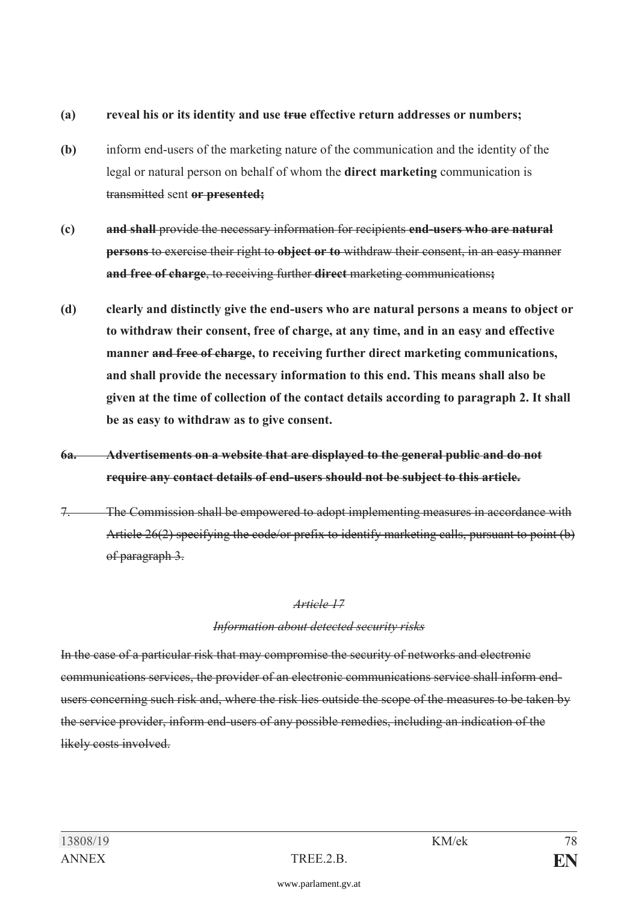#### **(a) reveal his or its identity and use true effective return addresses or numbers;**

- **(b)** inform end-users of the marketing nature of the communication and the identity of the legal or natural person on behalf of whom the **direct marketing** communication is transmitted sent **or presented;**
- **(c) and shall** provide the necessary information for recipients **end-users who are natural persons** to exercise their right to **object or to** withdraw their consent, in an easy manner **and free of charge**, to receiving further **direct** marketing communications**;**
- **(d) clearly and distinctly give the end-users who are natural persons a means to object or to withdraw their consent, free of charge, at any time, and in an easy and effective manner and free of charge, to receiving further direct marketing communications, and shall provide the necessary information to this end. This means shall also be given at the time of collection of the contact details according to paragraph 2. It shall be as easy to withdraw as to give consent.**
- **6a. Advertisements on a website that are displayed to the general public and do not require any contact details of end-users should not be subject to this article.**
- 7. The Commission shall be empowered to adopt implementing measures in accordance with Article 26(2) specifying the code/or prefix to identify marketing calls, pursuant to point (b) of paragraph 3.

#### *Article 17*

#### *Information about detected security risks*

In the case of a particular risk that may compromise the security of networks and electronic communications services, the provider of an electronic communications service shall inform endusers concerning such risk and, where the risk lies outside the scope of the measures to be taken by the service provider, inform end-users of any possible remedies, including an indication of the likely costs involved.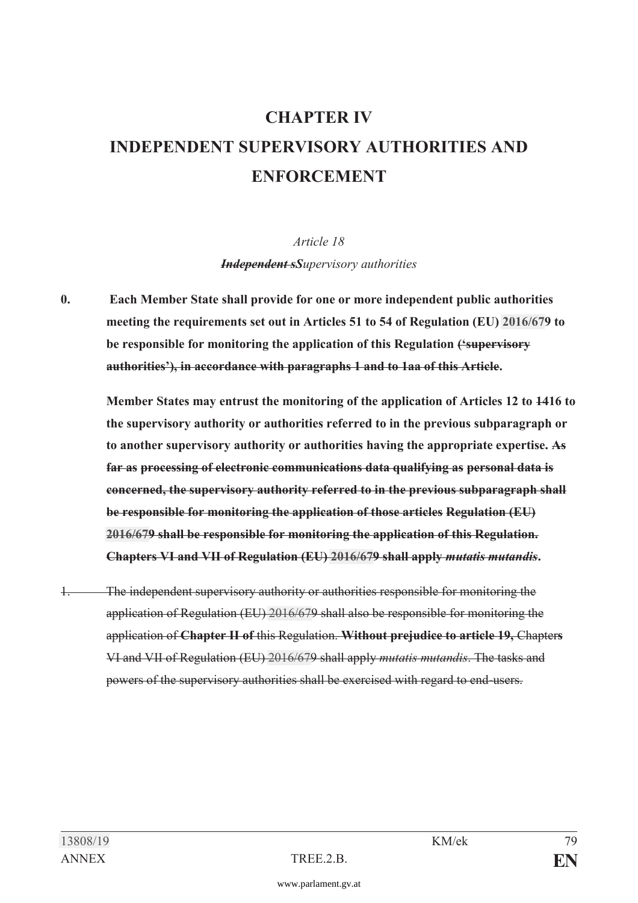# **CHAPTER IV INDEPENDENT SUPERVISORY AUTHORITIES AND ENFORCEMENT**

*Article 18 Independent sSupervisory authorities* 

**0. Each Member State shall provide for one or more independent public authorities meeting the requirements set out in Articles 51 to 54 of Regulation (EU) [2016/67](https://www.parlament.gv.at/pls/portal/le.link?gp=XXVII&ityp=EU&inr=2143&code1=VER&code2=&gruppen=Link:2016/67;Nr:2016;Year:67&comp=)9 to be responsible for monitoring the application of this Regulation ('supervisory authorities'), in accordance with paragraphs 1 and to 1aa of this Article.** 

 **Member States may entrust the monitoring of the application of Articles 12 to 1416 to the supervisory authority or authorities referred to in the previous subparagraph or to another supervisory authority or authorities having the appropriate expertise. As far as processing of electronic communications data qualifying as personal data is concerned, the supervisory authority referred to in the previous subparagraph shall be responsible for monitoring the application of those articles Regulation (EU) [2016/67](https://www.parlament.gv.at/pls/portal/le.link?gp=XXVII&ityp=EU&inr=2143&code1=VER&code2=&gruppen=Link:2016/67;Nr:2016;Year:67&comp=)9 shall be responsible for monitoring the application of this Regulation. Chapters VI and VII of Regulation (EU) [2016/67](https://www.parlament.gv.at/pls/portal/le.link?gp=XXVII&ityp=EU&inr=2143&code1=VER&code2=&gruppen=Link:2016/67;Nr:2016;Year:67&comp=)9 shall apply** *mutatis mutandis***.** 

1. The independent supervisory authority or authorities responsible for monitoring the application of Regulation (EU) [2016/67](https://www.parlament.gv.at/pls/portal/le.link?gp=XXVII&ityp=EU&inr=2143&code1=VER&code2=&gruppen=Link:2016/67;Nr:2016;Year:67&comp=)9 shall also be responsible for monitoring the application of **Chapter II of** this Regulation. **Without prejudice to article 19,** Chapter**s** VI and VII of Regulation (EU) [2016/67](https://www.parlament.gv.at/pls/portal/le.link?gp=XXVII&ityp=EU&inr=2143&code1=VER&code2=&gruppen=Link:2016/67;Nr:2016;Year:67&comp=)9 shall apply *mutatis mutandis*. The tasks and powers of the supervisory authorities shall be exercised with regard to end-users.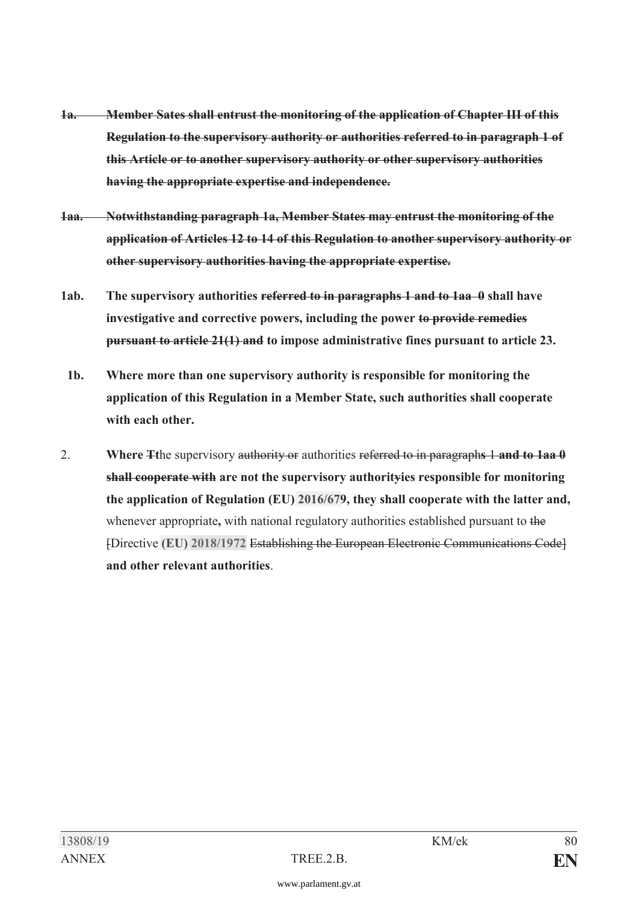- **1a. Member Sates shall entrust the monitoring of the application of Chapter III of this Regulation to the supervisory authority or authorities referred to in paragraph 1 of this Article or to another supervisory authority or other supervisory authorities having the appropriate expertise and independence.**
- **1aa. Notwithstanding paragraph 1a, Member States may entrust the monitoring of the application of Articles 12 to 14 of this Regulation to another supervisory authority or other supervisory authorities having the appropriate expertise.**
- **1ab. The supervisory authorities referred to in paragraphs 1 and to 1aa 0 shall have investigative and corrective powers, including the power to provide remedies pursuant to article 21(1) and to impose administrative fines pursuant to article 23.**
- **1b. Where more than one supervisory authority is responsible for monitoring the application of this Regulation in a Member State, such authorities shall cooperate with each other.**
- 2. **Where Tt**he supervisory authority or authorities referred to in paragraph**s** 1 **and to 1aa 0 shall cooperate with are not the supervisory authorityies responsible for monitoring the application of Regulation (EU) [2016/67](https://www.parlament.gv.at/pls/portal/le.link?gp=XXVII&ityp=EU&inr=2143&code1=VER&code2=&gruppen=Link:2016/67;Nr:2016;Year:67&comp=)9, they shall cooperate with the latter and,** whenever appropriate**,** with national regulatory authorities established pursuant to the [Directive **[\(EU\) 2018/1972](https://www.parlament.gv.at/pls/portal/le.link?gp=XXVII&ityp=EU&inr=2143&code1=RIL&code2=&gruppen=Link:(EU)%202018/1972;Year2:2018;Nr2:1972&comp=)** Establishing the European Electronic Communications Code] **and other relevant authorities**.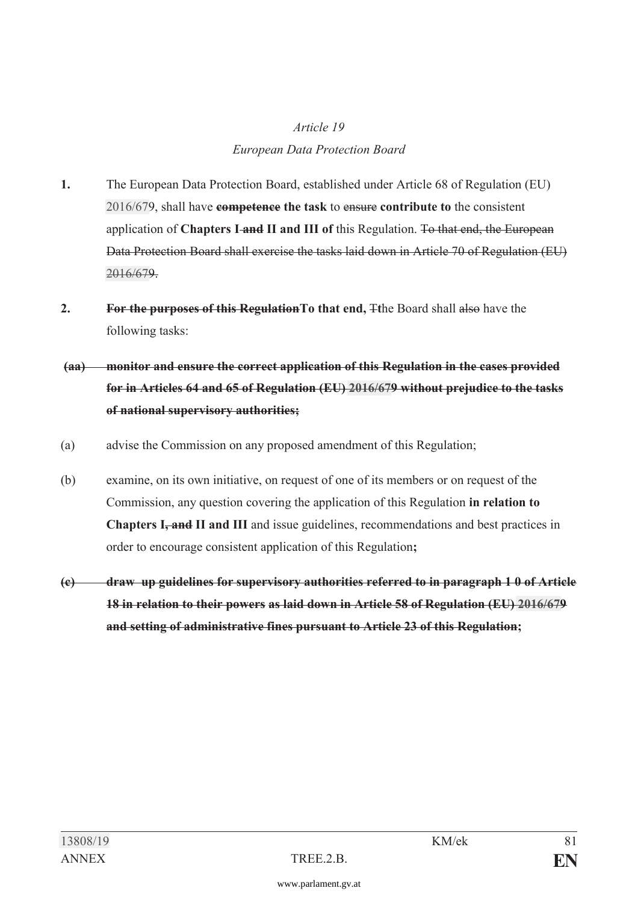# *Article 19 European Data Protection Board*

- **1.** The European Data Protection Board, established under Article 68 of Regulation (EU) [2016/67](https://www.parlament.gv.at/pls/portal/le.link?gp=XXVII&ityp=EU&inr=2143&code1=VER&code2=&gruppen=Link:2016/67;Nr:2016;Year:67&comp=)9, shall have **competence the task** to ensure **contribute to** the consistent application of **Chapters I and II and III of** this Regulation. To that end, the European Data Protection Board shall exercise the tasks laid down in Article 70 of Regulation (EU) [2016/67](https://www.parlament.gv.at/pls/portal/le.link?gp=XXVII&ityp=EU&inr=2143&code1=VER&code2=&gruppen=Link:2016/67;Nr:2016;Year:67&comp=)9.
- **2. For the purposes of this RegulationTo that end,** T**t**he Board shall also have the following tasks:

# **(aa) monitor and ensure the correct application of this Regulation in the cases provided for in Articles 64 and 65 of Regulation (EU) [2016/67](https://www.parlament.gv.at/pls/portal/le.link?gp=XXVII&ityp=EU&inr=2143&code1=VER&code2=&gruppen=Link:2016/67;Nr:2016;Year:67&comp=)9 without prejudice to the tasks of national supervisory authorities;**

- (a) advise the Commission on any proposed amendment of this Regulation;
- (b) examine, on its own initiative, on request of one of its members or on request of the Commission, any question covering the application of this Regulation **in relation to Chapters I<del>, and</del> II and III** and issue guidelines, recommendations and best practices in order to encourage consistent application of this Regulation**;**
- **(c) draw up guidelines for supervisory authorities referred to in paragraph 1 0 of Article 18 in relation to their powers as laid down in Article 58 of Regulation (EU) [2016/67](https://www.parlament.gv.at/pls/portal/le.link?gp=XXVII&ityp=EU&inr=2143&code1=VER&code2=&gruppen=Link:2016/67;Nr:2016;Year:67&comp=)9 and setting of administrative fines pursuant to Article 23 of this Regulation;**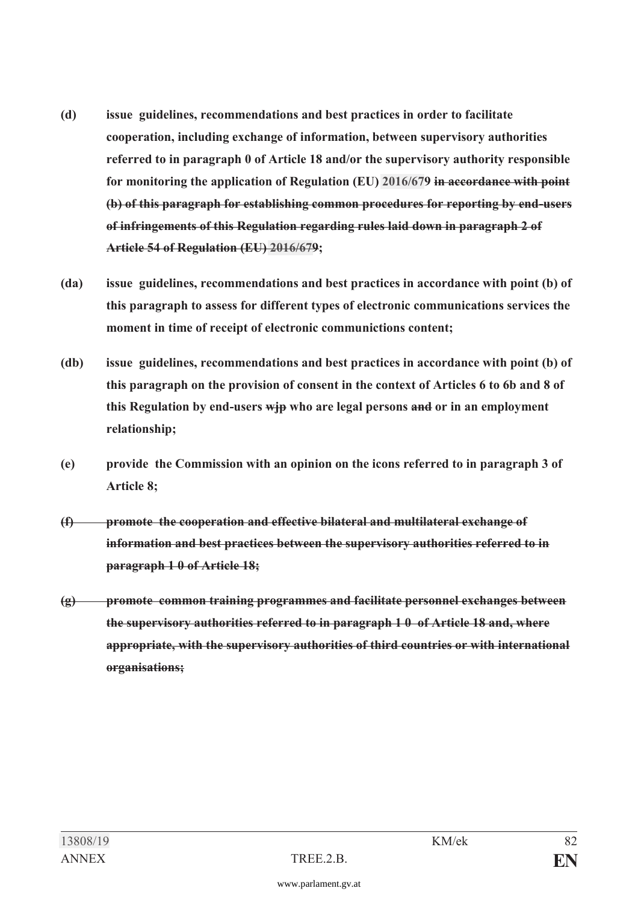- **(d) issue guidelines, recommendations and best practices in order to facilitate cooperation, including exchange of information, between supervisory authorities referred to in paragraph 0 of Article 18 and/or the supervisory authority responsible for monitoring the application of Regulation (EU) [2016/67](https://www.parlament.gv.at/pls/portal/le.link?gp=XXVII&ityp=EU&inr=2143&code1=VER&code2=&gruppen=Link:2016/67;Nr:2016;Year:67&comp=)9 in accordance with point (b) of this paragraph for establishing common procedures for reporting by end-users of infringements of this Regulation regarding rules laid down in paragraph 2 of Article 54 of Regulation (EU) [2016/67](https://www.parlament.gv.at/pls/portal/le.link?gp=XXVII&ityp=EU&inr=2143&code1=VER&code2=&gruppen=Link:2016/67;Nr:2016;Year:67&comp=)9;**
- **(da) issue guidelines, recommendations and best practices in accordance with point (b) of this paragraph to assess for different types of electronic communications services the moment in time of receipt of electronic communictions content;**
- **(db) issue guidelines, recommendations and best practices in accordance with point (b) of this paragraph on the provision of consent in the context of Articles 6 to 6b and 8 of this Regulation by end-users wjp who are legal persons and or in an employment relationship;**
- **(e) provide the Commission with an opinion on the icons referred to in paragraph 3 of Article 8;**
- **(f) promote the cooperation and effective bilateral and multilateral exchange of information and best practices between the supervisory authorities referred to in paragraph 1 0 of Article 18;**
- **(g) promote common training programmes and facilitate personnel exchanges between the supervisory authorities referred to in paragraph 1 0 of Article 18 and, where appropriate, with the supervisory authorities of third countries or with international organisations;**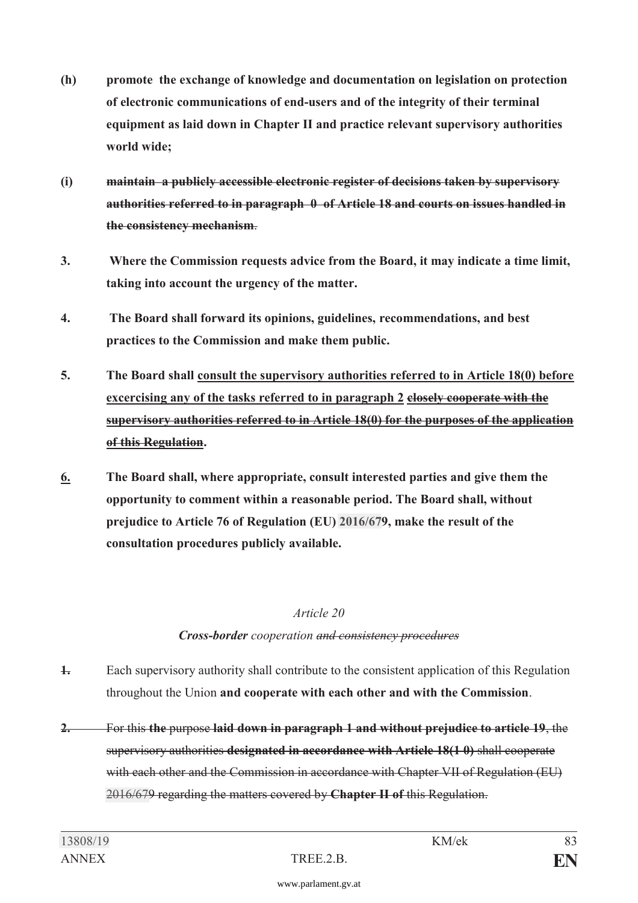- **(h) promote the exchange of knowledge and documentation on legislation on protection of electronic communications of end-users and of the integrity of their terminal equipment as laid down in Chapter II and practice relevant supervisory authorities world wide;**
- **(i) maintain a publicly accessible electronic register of decisions taken by supervisory authorities referred to in paragraph 0 of Article 18 and courts on issues handled in the consistency mechanism**.
- **3. Where the Commission requests advice from the Board, it may indicate a time limit, taking into account the urgency of the matter.**
- **4. The Board shall forward its opinions, guidelines, recommendations, and best practices to the Commission and make them public.**
- **5. The Board shall consult the supervisory authorities referred to in Article 18(0) before excercising any of the tasks referred to in paragraph 2 closely cooperate with the supervisory authorities referred to in Article 18(0) for the purposes of the application of this Regulation.**
- **6. The Board shall, where appropriate, consult interested parties and give them the opportunity to comment within a reasonable period. The Board shall, without prejudice to Article 76 of Regulation (EU) [2016/67](https://www.parlament.gv.at/pls/portal/le.link?gp=XXVII&ityp=EU&inr=2143&code1=VER&code2=&gruppen=Link:2016/67;Nr:2016;Year:67&comp=)9, make the result of the consultation procedures publicly available.**

#### *Article 20*

### *Cross-border cooperation and consistency procedures*

- **1.** Each supervisory authority shall contribute to the consistent application of this Regulation throughout the Union **and cooperate with each other and with the Commission**.
- **2.** For this **the** purpose **laid down in paragraph 1 and without prejudice to article 19**, the supervisory authorities **designated in accordance with Article 18(1 0)** shall cooperate with each other and the Commission in accordance with Chapter VII of Regulation (EU) [2016/67](https://www.parlament.gv.at/pls/portal/le.link?gp=XXVII&ityp=EU&inr=2143&code1=VER&code2=&gruppen=Link:2016/67;Nr:2016;Year:67&comp=)9 regarding the matters covered by **Chapter II of** this Regulation.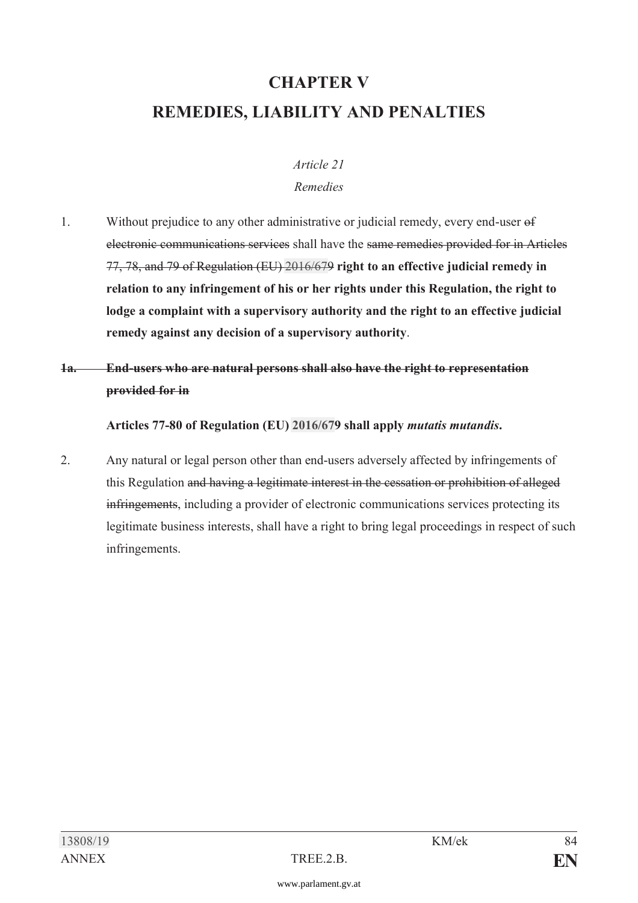# **CHAPTER V REMEDIES, LIABILITY AND PENALTIES**

#### *Article 21 Remedies*

1. Without prejudice to any other administrative or judicial remedy, every end-user of electronic communications services shall have the same remedies provided for in Articles 77, 78, and 79 of Regulation (EU) [2016/67](https://www.parlament.gv.at/pls/portal/le.link?gp=XXVII&ityp=EU&inr=2143&code1=VER&code2=&gruppen=Link:2016/67;Nr:2016;Year:67&comp=)9 **right to an effective judicial remedy in relation to any infringement of his or her rights under this Regulation, the right to lodge a complaint with a supervisory authority and the right to an effective judicial remedy against any decision of a supervisory authority**.

## **1a. End-users who are natural persons shall also have the right to representation provided for in**

**Articles 77-80 of Regulation (EU) [2016/67](https://www.parlament.gv.at/pls/portal/le.link?gp=XXVII&ityp=EU&inr=2143&code1=VER&code2=&gruppen=Link:2016/67;Nr:2016;Year:67&comp=)9 shall apply** *mutatis mutandis***.** 

2. Any natural or legal person other than end-users adversely affected by infringements of this Regulation and having a legitimate interest in the cessation or prohibition of alleged infringements, including a provider of electronic communications services protecting its legitimate business interests, shall have a right to bring legal proceedings in respect of such infringements.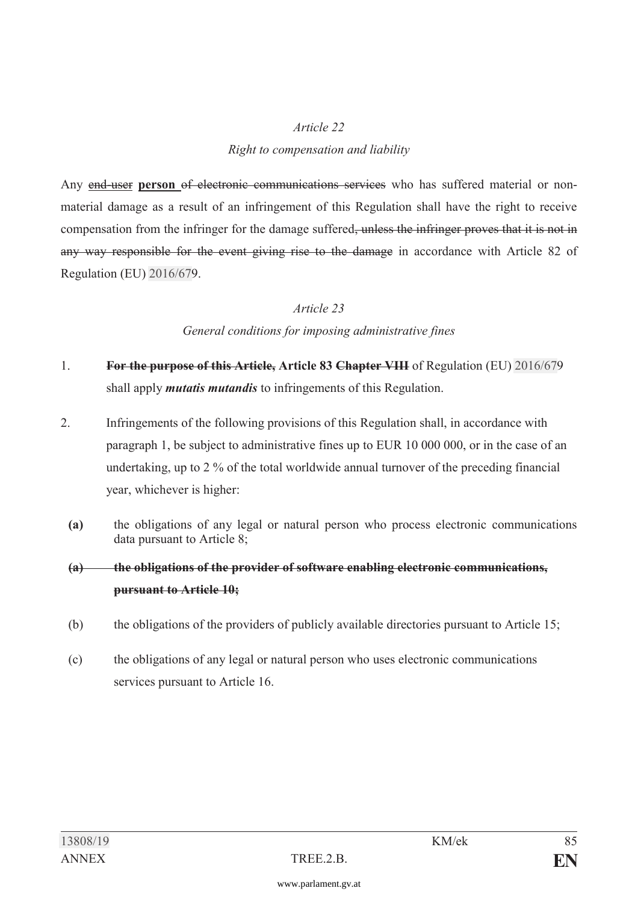#### *Article 22*

#### *Right to compensation and liability*

Any end-user person of electronic communications services who has suffered material or nonmaterial damage as a result of an infringement of this Regulation shall have the right to receive compensation from the infringer for the damage suffered, unless the infringer proves that it is not in any way responsible for the event giving rise to the damage in accordance with Article 82 of Regulation (EU) [2016/67](https://www.parlament.gv.at/pls/portal/le.link?gp=XXVII&ityp=EU&inr=2143&code1=VER&code2=&gruppen=Link:2016/67;Nr:2016;Year:67&comp=)9.

#### *Article 23*

#### *General conditions for imposing administrative fines*

- 1. **For the purpose of this Article, Article 83 Chapter VIII** of Regulation (EU) [2016/67](https://www.parlament.gv.at/pls/portal/le.link?gp=XXVII&ityp=EU&inr=2143&code1=VER&code2=&gruppen=Link:2016/67;Nr:2016;Year:67&comp=)9 shall apply *mutatis mutandis* to infringements of this Regulation.
- 2. Infringements of the following provisions of this Regulation shall, in accordance with paragraph 1, be subject to administrative fines up to EUR 10 000 000, or in the case of an undertaking, up to 2 % of the total worldwide annual turnover of the preceding financial year, whichever is higher:
	- **(a)** the obligations of any legal or natural person who process electronic communications data pursuant to Article 8;
	- **(a) the obligations of the provider of software enabling electronic communications, pursuant to Article 10;**
	- (b) the obligations of the providers of publicly available directories pursuant to Article 15;
	- (c) the obligations of any legal or natural person who uses electronic communications services pursuant to Article 16.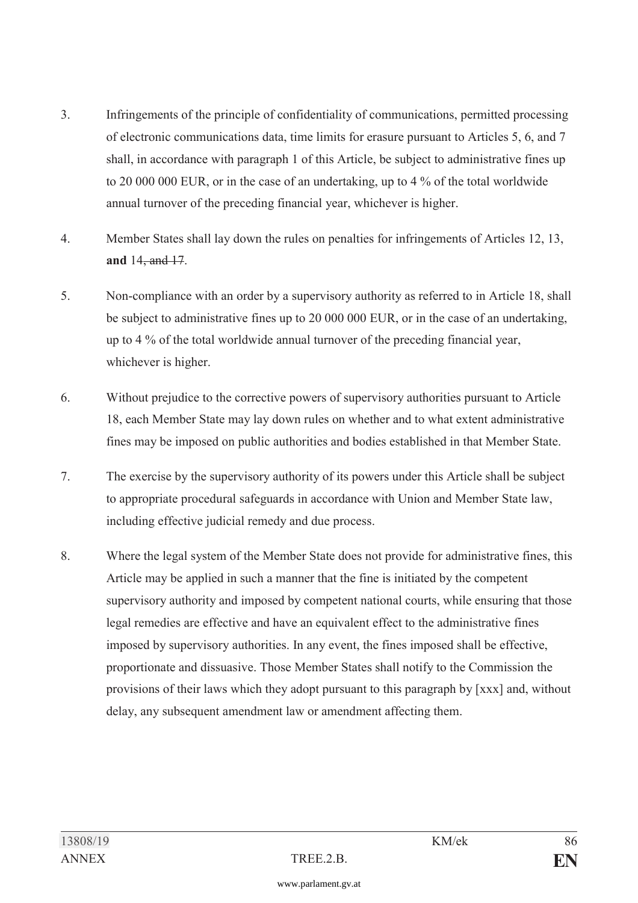- 3. Infringements of the principle of confidentiality of communications, permitted processing of electronic communications data, time limits for erasure pursuant to Articles 5, 6, and 7 shall, in accordance with paragraph 1 of this Article, be subject to administrative fines up to 20 000 000 EUR, or in the case of an undertaking, up to 4 % of the total worldwide annual turnover of the preceding financial year, whichever is higher.
- 4. Member States shall lay down the rules on penalties for infringements of Articles 12, 13, **and** 14, and 17.
- 5. Non-compliance with an order by a supervisory authority as referred to in Article 18, shall be subject to administrative fines up to 20 000 000 EUR, or in the case of an undertaking, up to 4 % of the total worldwide annual turnover of the preceding financial year, whichever is higher.
- 6. Without prejudice to the corrective powers of supervisory authorities pursuant to Article 18, each Member State may lay down rules on whether and to what extent administrative fines may be imposed on public authorities and bodies established in that Member State.
- 7. The exercise by the supervisory authority of its powers under this Article shall be subject to appropriate procedural safeguards in accordance with Union and Member State law, including effective judicial remedy and due process.
- 8. Where the legal system of the Member State does not provide for administrative fines, this Article may be applied in such a manner that the fine is initiated by the competent supervisory authority and imposed by competent national courts, while ensuring that those legal remedies are effective and have an equivalent effect to the administrative fines imposed by supervisory authorities. In any event, the fines imposed shall be effective, proportionate and dissuasive. Those Member States shall notify to the Commission the provisions of their laws which they adopt pursuant to this paragraph by [xxx] and, without delay, any subsequent amendment law or amendment affecting them.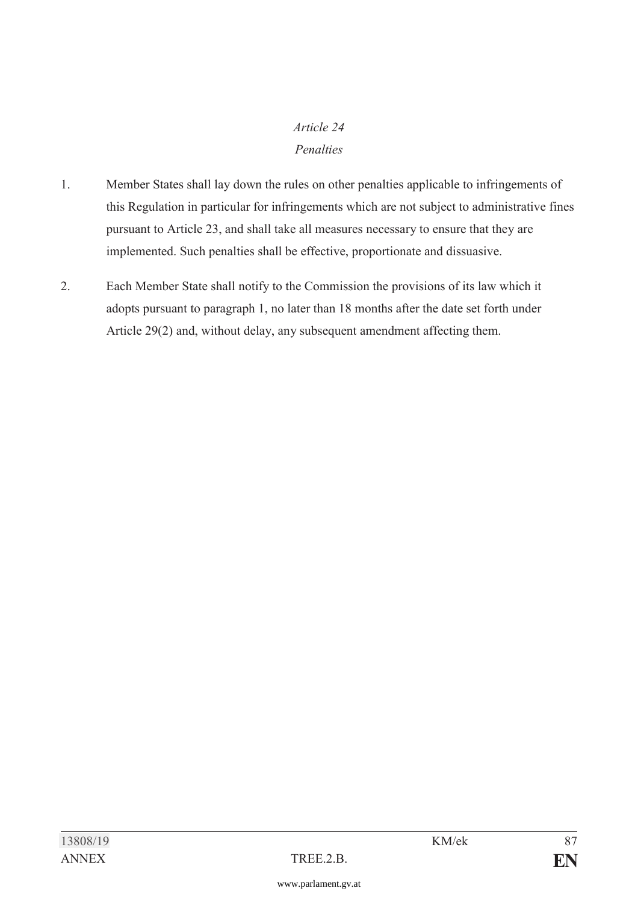## *Article 24 Penalties*

- 1. Member States shall lay down the rules on other penalties applicable to infringements of this Regulation in particular for infringements which are not subject to administrative fines pursuant to Article 23, and shall take all measures necessary to ensure that they are implemented. Such penalties shall be effective, proportionate and dissuasive.
- 2. Each Member State shall notify to the Commission the provisions of its law which it adopts pursuant to paragraph 1, no later than 18 months after the date set forth under Article 29(2) and, without delay, any subsequent amendment affecting them.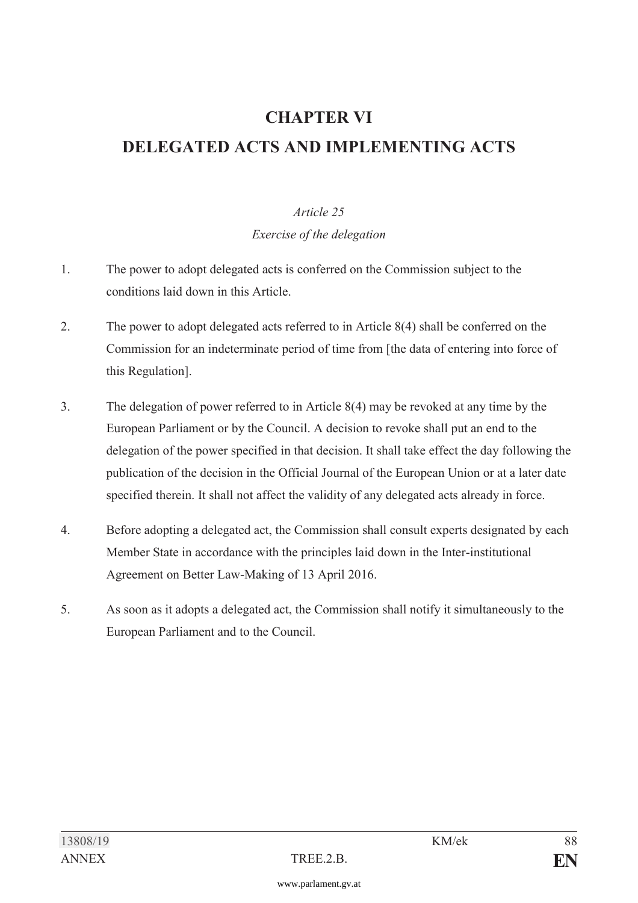# **CHAPTER VI DELEGATED ACTS AND IMPLEMENTING ACTS**

### *Article 25*

*Exercise of the delegation* 

- 1. The power to adopt delegated acts is conferred on the Commission subject to the conditions laid down in this Article.
- 2. The power to adopt delegated acts referred to in Article 8(4) shall be conferred on the Commission for an indeterminate period of time from [the data of entering into force of this Regulation].
- 3. The delegation of power referred to in Article 8(4) may be revoked at any time by the European Parliament or by the Council. A decision to revoke shall put an end to the delegation of the power specified in that decision. It shall take effect the day following the publication of the decision in the Official Journal of the European Union or at a later date specified therein. It shall not affect the validity of any delegated acts already in force.
- 4. Before adopting a delegated act, the Commission shall consult experts designated by each Member State in accordance with the principles laid down in the Inter-institutional Agreement on Better Law-Making of 13 April 2016.
- 5. As soon as it adopts a delegated act, the Commission shall notify it simultaneously to the European Parliament and to the Council.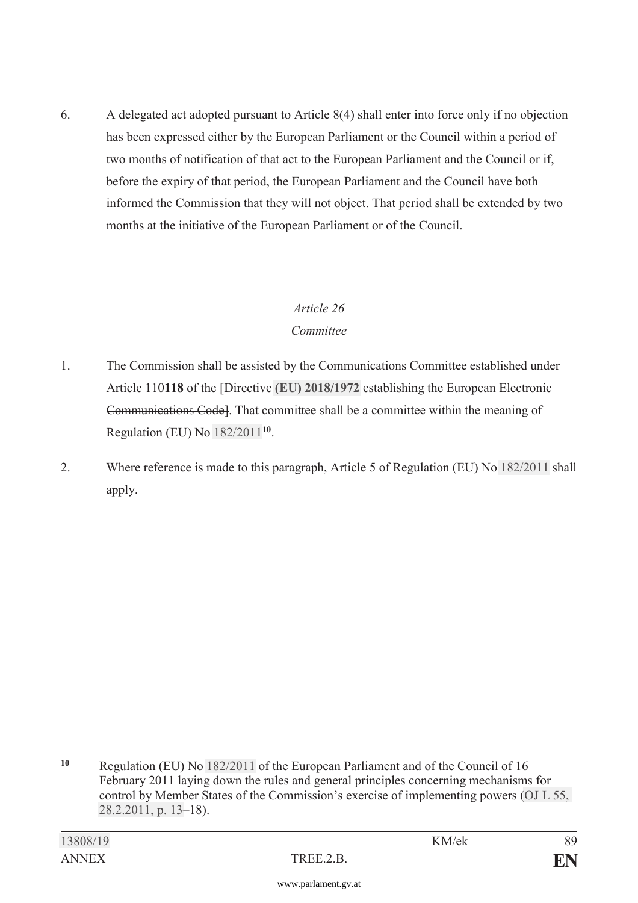6. A delegated act adopted pursuant to Article 8(4) shall enter into force only if no objection has been expressed either by the European Parliament or the Council within a period of two months of notification of that act to the European Parliament and the Council or if, before the expiry of that period, the European Parliament and the Council have both informed the Commission that they will not object. That period shall be extended by two months at the initiative of the European Parliament or of the Council.

#### *Article 26*

### *Committee*

- 1. The Commission shall be assisted by the Communications Committee established under Article 110**118** of the [Directive **[\(EU\) 2018/1972](https://www.parlament.gv.at/pls/portal/le.link?gp=XXVII&ityp=EU&inr=2143&code1=RIL&code2=&gruppen=Link:(EU)%202018/1972;Year2:2018;Nr2:1972&comp=)** establishing the European Electronic Communications Code]. That committee shall be a committee within the meaning of Regulation (EU) No [182/2011](https://www.parlament.gv.at/pls/portal/le.link?gp=XXVII&ityp=EU&inr=2143&code1=VER&code2=&gruppen=Link:182/2011;Nr:182;Year:2011&comp=)**<sup>10</sup>**.
- 2. Where reference is made to this paragraph, Article 5 of Regulation (EU) No [182/2011](https://www.parlament.gv.at/pls/portal/le.link?gp=XXVII&ityp=EU&inr=2143&code1=VER&code2=&gruppen=Link:182/2011;Nr:182;Year:2011&comp=) shall apply.

 $10$ **<sup>10</sup>** Regulation (EU) No [182/2011](https://www.parlament.gv.at/pls/portal/le.link?gp=XXVII&ityp=EU&inr=2143&code1=VER&code2=&gruppen=Link:182/2011;Nr:182;Year:2011&comp=) of the European Parliament and of the Council of 16 February 2011 laying down the rules and general principles concerning mechanisms for control by Member States of the Commission's exercise of implementing powers [\(OJ L 55,](https://www.parlament.gv.at/pls/portal/le.link?gp=XXVII&ityp=EU&inr=2143&code1=ABL&code2=&gruppen=Code:L;Nr:55;Day:28;Month:2;Year:2011;Page:13&comp=)  [28.2.2011, p. 13](https://www.parlament.gv.at/pls/portal/le.link?gp=XXVII&ityp=EU&inr=2143&code1=ABL&code2=&gruppen=Code:L;Nr:55;Day:28;Month:2;Year:2011;Page:13&comp=)–18).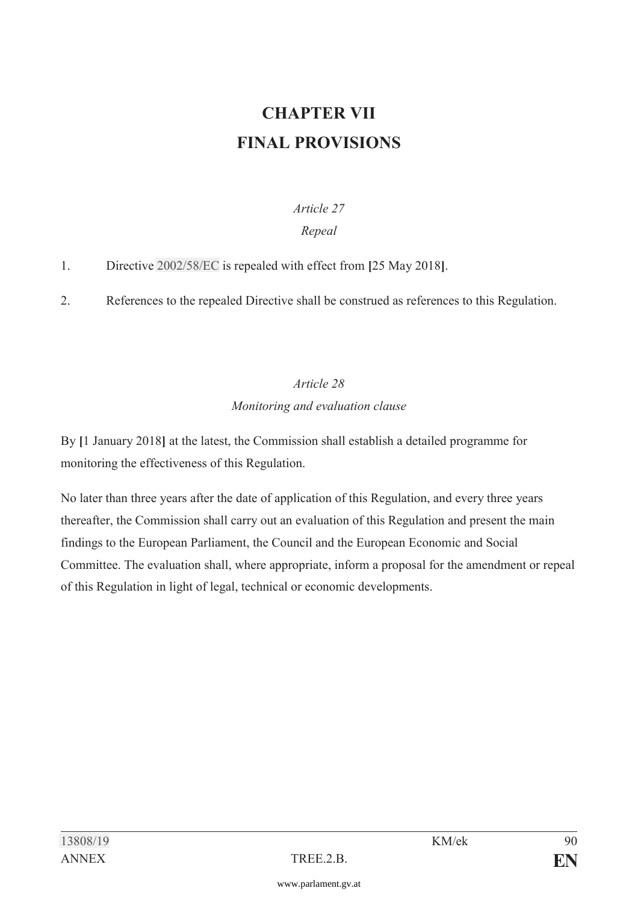# **CHAPTER VII FINAL PROVISIONS**

## *Article 27*

## *Repeal*

1. Directive [2002/58/EC](https://www.parlament.gv.at/pls/portal/le.link?gp=XXVII&ityp=EU&inr=2143&code1=RIL&code2=&gruppen=Link:2002/58/EC;Year:2002;Nr:58&comp=) is repealed with effect from **[**25 May 2018**]**.

2. References to the repealed Directive shall be construed as references to this Regulation.

# *Article 28 Monitoring and evaluation clause*

By **[**1 January 2018**]** at the latest, the Commission shall establish a detailed programme for monitoring the effectiveness of this Regulation.

No later than three years after the date of application of this Regulation, and every three years thereafter, the Commission shall carry out an evaluation of this Regulation and present the main findings to the European Parliament, the Council and the European Economic and Social Committee. The evaluation shall, where appropriate, inform a proposal for the amendment or repeal of this Regulation in light of legal, technical or economic developments.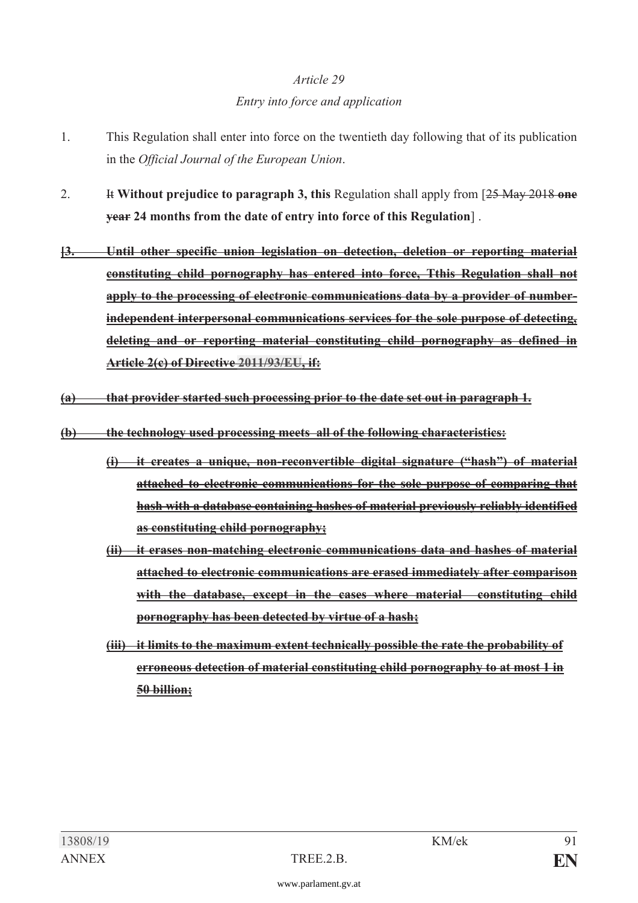## *Article 29 Entry into force and application*

- 1. This Regulation shall enter into force on the twentieth day following that of its publication in the *Official Journal of the European Union*.
- 2. It **Without prejudice to paragraph 3, this** Regulation shall apply from [25 May 2018 **one year 24 months from the date of entry into force of this Regulation**] .
- **[3. Until other specific union legislation on detection, deletion or reporting material constituting child pornography has entered into force, Tthis Regulation shall not apply to the processing of electronic communications data by a provider of numberindependent interpersonal communications services for the sole purpose of detecting, deleting and or reporting material constituting child pornography as defined in Article 2(c) of Directive [2011/93/EU](https://www.parlament.gv.at/pls/portal/le.link?gp=XXVII&ityp=EU&inr=2143&code1=RIL&code2=&gruppen=Link:2011/93/EU;Year:2011;Nr:93&comp=), if:**
- **(a) that provider started such processing prior to the date set out in paragraph 1.**
- **(b) the technology used processing meets all of the following characteristics:** 
	- **(i) it creates a unique, non-reconvertible digital signature ("hash") of material attached to electronic communications for the sole purpose of comparing that hash with a database containing hashes of material previously reliably identified as constituting child pornography;**
	- **(ii) it erases non-matching electronic communications data and hashes of material attached to electronic communications are erased immediately after comparison with the database, except in the cases where material constituting child pornography has been detected by virtue of a hash;**
	- **(iii) it limits to the maximum extent technically possible the rate the probability of erroneous detection of material constituting child pornography to at most 1 in 50 billion;**